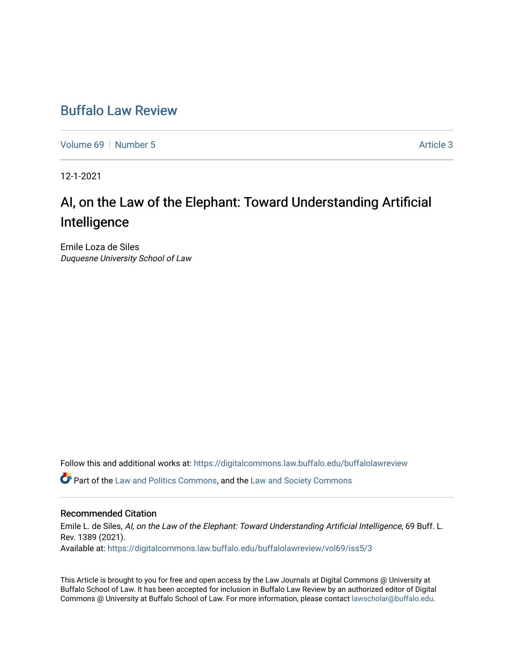## [Buffalo Law Review](https://digitalcommons.law.buffalo.edu/buffalolawreview)

[Volume 69](https://digitalcommons.law.buffalo.edu/buffalolawreview/vol69) [Number 5](https://digitalcommons.law.buffalo.edu/buffalolawreview/vol69/iss5) Article 3

12-1-2021

# AI, on the Law of the Elephant: Toward Understanding Artificial Intelligence

Emile Loza de Siles Duquesne University School of Law

Follow this and additional works at: [https://digitalcommons.law.buffalo.edu/buffalolawreview](https://digitalcommons.law.buffalo.edu/buffalolawreview?utm_source=digitalcommons.law.buffalo.edu%2Fbuffalolawreview%2Fvol69%2Fiss5%2F3&utm_medium=PDF&utm_campaign=PDFCoverPages) 

Part of the [Law and Politics Commons,](http://network.bepress.com/hgg/discipline/867?utm_source=digitalcommons.law.buffalo.edu%2Fbuffalolawreview%2Fvol69%2Fiss5%2F3&utm_medium=PDF&utm_campaign=PDFCoverPages) and the [Law and Society Commons](http://network.bepress.com/hgg/discipline/853?utm_source=digitalcommons.law.buffalo.edu%2Fbuffalolawreview%2Fvol69%2Fiss5%2F3&utm_medium=PDF&utm_campaign=PDFCoverPages) 

#### Recommended Citation

Emile L. de Siles, AI, on the Law of the Elephant: Toward Understanding Artificial Intelligence, 69 Buff. L. Rev. 1389 (2021). Available at: [https://digitalcommons.law.buffalo.edu/buffalolawreview/vol69/iss5/3](https://digitalcommons.law.buffalo.edu/buffalolawreview/vol69/iss5/3?utm_source=digitalcommons.law.buffalo.edu%2Fbuffalolawreview%2Fvol69%2Fiss5%2F3&utm_medium=PDF&utm_campaign=PDFCoverPages) 

This Article is brought to you for free and open access by the Law Journals at Digital Commons @ University at Buffalo School of Law. It has been accepted for inclusion in Buffalo Law Review by an authorized editor of Digital Commons @ University at Buffalo School of Law. For more information, please contact [lawscholar@buffalo.edu](mailto:lawscholar@buffalo.edu).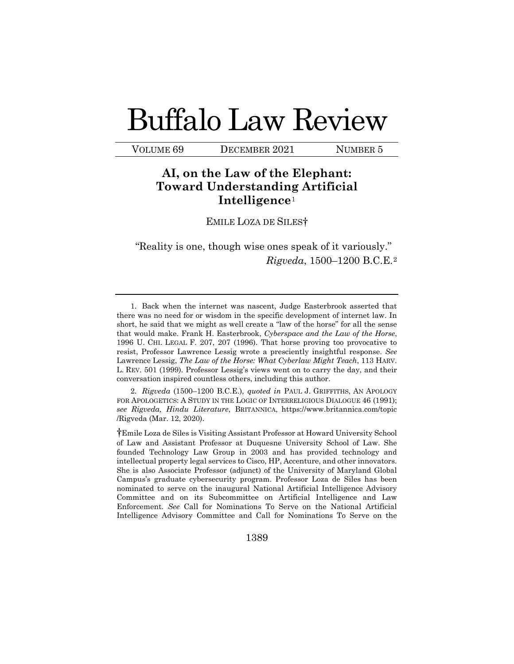# Buffalo Law Review

VOLUME 69 DECEMBER 2021 NUMBER 5

## **AI, on the Law of the Elephant: Toward Understanding Artificial Intelligence**[1](#page-1-0)

EMILE LOZA DE SILES†

"Reality is one, though wise ones speak of it variously." *Rigveda*, 1500–1200 B.C.E.[2](#page-1-1)

<span id="page-1-0"></span> 1. Back when the internet was nascent, Judge Easterbrook asserted that there was no need for or wisdom in the specific development of internet law. In short, he said that we might as well create a "law of the horse" for all the sense that would make. Frank H. Easterbrook, *Cyberspace and the Law of the Horse*, 1996 U. CHI. LEGAL F. 207, 207 (1996). That horse proving too provocative to resist, Professor Lawrence Lessig wrote a presciently insightful response. *See*  Lawrence Lessig, *The Law of the Horse: What Cyberlaw Might Teach*, 113 HARV. L. REV. 501 (1999). Professor Lessig's views went on to carry the day, and their conversation inspired countless others, including this author.

<span id="page-1-1"></span>2. *Rigveda* (1500–1200 B.C.E.), *quoted in* PAUL J. GRIFFITHS, AN APOLOGY FOR APOLOGETICS: A STUDY IN THE LOGIC OF INTERRELIGIOUS DIALOGUE 46 (1991); *see Rigveda, Hindu Literature*, BRITANNICA, https://www.britannica.com/topic /Rigveda (Mar. 12, 2020).

†Emile Loza de Siles is Visiting Assistant Professor at Howard University School of Law and Assistant Professor at Duquesne University School of Law. She founded Technology Law Group in 2003 and has provided technology and intellectual property legal services to Cisco, HP, Accenture, and other innovators. She is also Associate Professor (adjunct) of the University of Maryland Global Campus's graduate cybersecurity program. Professor Loza de Siles has been nominated to serve on the inaugural National Artificial Intelligence Advisory Committee and on its Subcommittee on Artificial Intelligence and Law Enforcement. *See* Call for Nominations To Serve on the National Artificial Intelligence Advisory Committee and Call for Nominations To Serve on the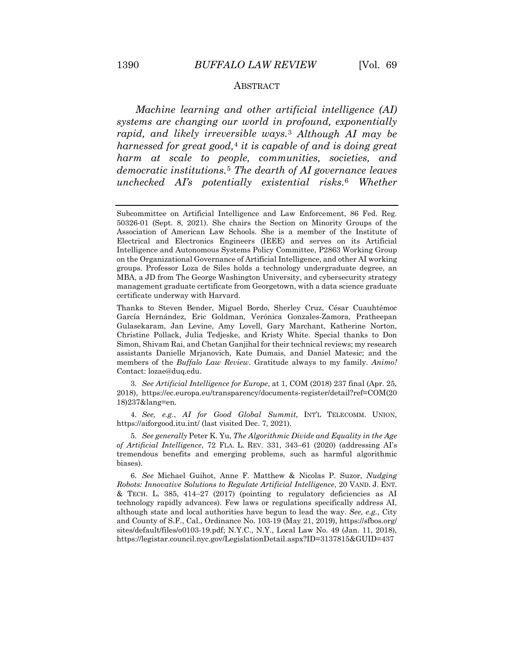#### ABSTRACT

*Machine learning and other artificial intelligence (AI) systems are changing our world in profound, exponentially rapid, and likely irreversible ways.*[3](#page-2-0) *Although AI may be harnessed for great good,*[4](#page-2-1) *it is capable of and is doing great harm at scale to people, communities, societies, and democratic institutions.*[5](#page-2-2) *The dearth of AI governance leaves unchecked AI's potentially existential risks.*[6](#page-2-3) *Whether* 

Thanks to Steven Bender, Miguel Bordo, Sherley Cruz, César Cuauhtémoc García Hernández, Eric Goldman, Verónica Gonzales-Zamora, Pratheepan Gulasekaram, Jan Levine, Amy Lovell, Gary Marchant, Katherine Norton, Christine Pollack, Julia Tedjeske, and Kristy White. Special thanks to Don Simon, Shivam Rai, and Chetan Ganjihal for their technical reviews; my research assistants Danielle Mrjanovich, Kate Dumais, and Daniel Matesic; and the members of the *Buffalo Law Review*. Gratitude always to my family. *Animo!* Contact: lozae@duq.edu.

<span id="page-2-0"></span>3. *See Artificial Intelligence for Europe*, at 1, COM (2018) 237 final (Apr. 25, 2018), https://ec.europa.eu/transparency/documents-register/detail?ref=COM(20 18)237&lang=en.

<span id="page-2-1"></span>4. *See, e.g.*, *AI for Good Global Summit*, INT'L TELECOMM. UNION, https://aiforgood.itu.int/ (last visited Dec. 7, 2021).

<span id="page-2-2"></span>5. *See generally* Peter K. Yu, *The Algorithmic Divide and Equality in the Age of Artificial Intelligence*, 72 FLA. L. REV. 331, 343–61 (2020) (addressing AI's tremendous benefits and emerging problems, such as harmful algorithmic biases).

<span id="page-2-3"></span>6. *See* Michael Guihot, Anne F. Matthew & Nicolas P. Suzor, *Nudging Robots: Innovative Solutions to Regulate Artificial Intelligence*, 20 VAND. J. ENT.  $&$  TECH. L. 385, 414–27 (2017) (pointing to regulatory deficiencies as AI technology rapidly advances). Few laws or regulations specifically address AI, although state and local authorities have begun to lead the way. *See, e.g.*, City and County of S.F., Cal., Ordinance No. 103-19 (May 21, 2019), https://sfbos.org/ sites/default/files/o0103-19.pdf; N.Y.C., N.Y., Local Law No. 49 (Jan. 11, 2018), https://legistar.council.nyc.gov/LegislationDetail.aspx?ID=3137815&GUID=437

Subcommittee on Artificial Intelligence and Law Enforcement, 86 Fed. Reg. 50326-01 (Sept. 8, 2021). She chairs the Section on Minority Groups of the Association of American Law Schools. She is a member of the Institute of Electrical and Electronics Engineers (IEEE) and serves on its Artificial Intelligence and Autonomous Systems Policy Committee, P2863 Working Group on the Organizational Governance of Artificial Intelligence, and other AI working groups. Professor Loza de Siles holds a technology undergraduate degree, an MBA, a JD from The George Washington University, and cybersecurity strategy management graduate certificate from Georgetown, with a data science graduate certificate underway with Harvard.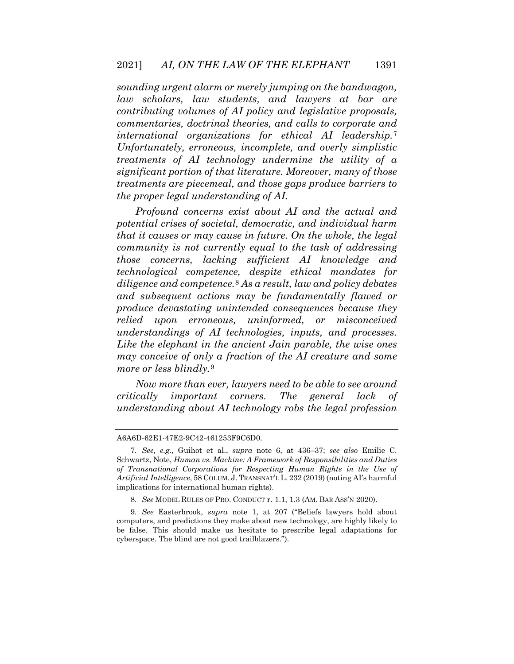*sounding urgent alarm or merely jumping on the bandwagon, law scholars, law students, and lawyers at bar are contributing volumes of AI policy and legislative proposals, commentaries, doctrinal theories, and calls to corporate and international organizations for ethical AI leadership.*[7](#page-3-0) *Unfortunately, erroneous, incomplete, and overly simplistic treatments of AI technology undermine the utility of a significant portion of that literature. Moreover, many of those treatments are piecemeal, and those gaps produce barriers to the proper legal understanding of AI.*

*Profound concerns exist about AI and the actual and potential crises of societal, democratic, and individual harm that it causes or may cause in future. On the whole, the legal community is not currently equal to the task of addressing those concerns, lacking sufficient AI knowledge and technological competence, despite ethical mandates for diligence and competence.*[8](#page-3-1) *As a result, law and policy debates and subsequent actions may be fundamentally flawed or produce devastating unintended consequences because they relied upon erroneous, uninformed, or misconceived understandings of AI technologies, inputs, and processes. Like the elephant in the ancient Jain parable, the wise ones may conceive of only a fraction of the AI creature and some more or less blindly.*[9](#page-3-2)

*Now more than ever, lawyers need to be able to see around critically important corners. The general lack of understanding about AI technology robs the legal profession* 

<span id="page-3-0"></span>A6A6D-62E1-47E2-9C42-461253F9C6D0.

<sup>7.</sup> *See, e.g.*, Guihot et al., *supra* note 6, at 436–37; *see also* Emilie C. Schwartz, Note, *Human vs. Machine: A Framework of Responsibilities and Duties of Transnational Corporations for Respecting Human Rights in the Use of Artificial Intelligence*, 58 COLUM. J. TRANSNAT'L L. 232 (2019) (noting AI's harmful implications for international human rights).

<sup>8.</sup> *See* MODEL RULES OF PRO. CONDUCT r. 1.1, 1.3 (AM. BAR ASS'N 2020).

<span id="page-3-2"></span><span id="page-3-1"></span><sup>9.</sup> *See* Easterbrook, *supra* note 1, at 207 ("Beliefs lawyers hold about computers, and predictions they make about new technology, are highly likely to be false. This should make us hesitate to prescribe legal adaptations for cyberspace. The blind are not good trailblazers.").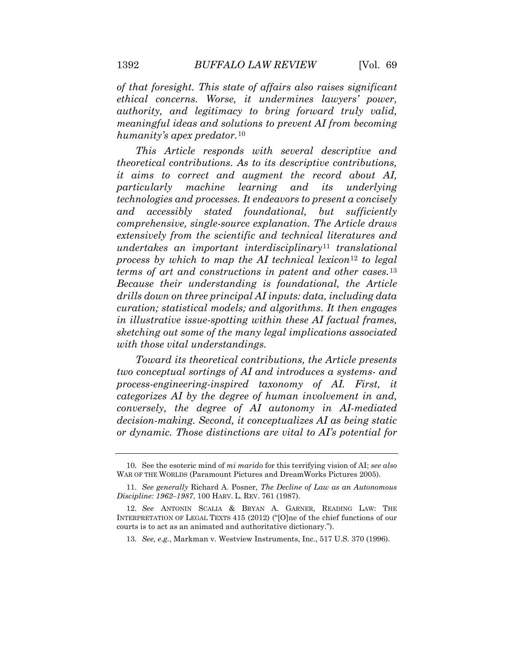*of that foresight. This state of affairs also raises significant ethical concerns. Worse, it undermines lawyers' power, authority, and legitimacy to bring forward truly valid, meaningful ideas and solutions to prevent AI from becoming humanity's apex predator.*[10](#page-4-0)

*This Article responds with several descriptive and theoretical contributions. As to its descriptive contributions, it aims to correct and augment the record about AI, particularly machine learning and its underlying technologies and processes. It endeavors to present a concisely and accessibly stated foundational, but sufficiently comprehensive, single-source explanation. The Article draws extensively from the scientific and technical literatures and undertakes an important interdisciplinary*[11](#page-4-1) *translational process by which to map the AI technical lexicon*[12](#page-4-2) *to legal terms of art and constructions in patent and other cases.*[13](#page-4-3) *Because their understanding is foundational, the Article drills down on three principal AI inputs: data, including data curation; statistical models; and algorithms. It then engages in illustrative issue-spotting within these AI factual frames, sketching out some of the many legal implications associated with those vital understandings.*

*Toward its theoretical contributions, the Article presents two conceptual sortings of AI and introduces a systems- and process-engineering-inspired taxonomy of AI. First, it categorizes AI by the degree of human involvement in and, conversely, the degree of AI autonomy in AI-mediated decision-making. Second, it conceptualizes AI as being static or dynamic. Those distinctions are vital to AI's potential for* 

<span id="page-4-1"></span><span id="page-4-0"></span><sup>10.</sup> See the esoteric mind of *mi marido* for this terrifying vision of AI; *see also*  WAR OF THE WORLDS (Paramount Pictures and DreamWorks Pictures 2005).

<span id="page-4-2"></span><sup>11.</sup> *See generally* Richard A. Posner, *The Decline of Law as an Autonomous Discipline: 1962–1987*, 100 HARV. L. REV. 761 (1987).

<span id="page-4-3"></span><sup>12.</sup> *See* ANTONIN SCALIA & BRYAN A. GARNER, READING LAW: THE INTERPRETATION OF LEGAL TEXTS 415 (2012) ("[O]ne of the chief functions of our courts is to act as an animated and authoritative dictionary.").

<sup>13.</sup> *See, e.g.*, Markman v. Westview Instruments, Inc., 517 U.S. 370 (1996).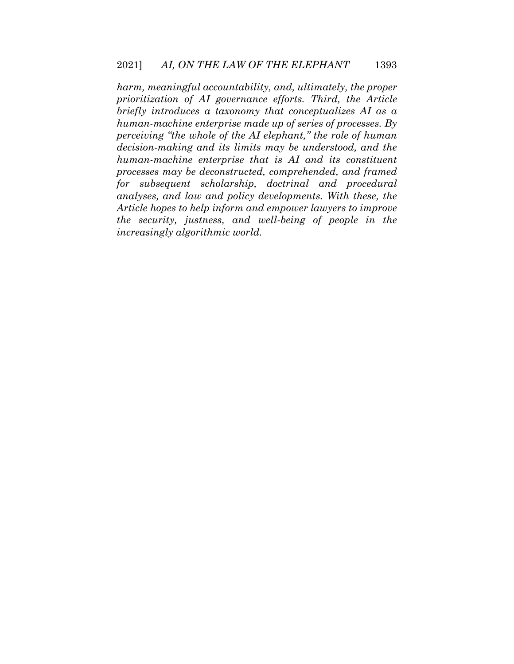*harm, meaningful accountability, and, ultimately, the proper prioritization of AI governance efforts. Third, the Article briefly introduces a taxonomy that conceptualizes AI as a human-machine enterprise made up of series of processes. By perceiving "the whole of the AI elephant," the role of human decision-making and its limits may be understood, and the human-machine enterprise that is AI and its constituent processes may be deconstructed, comprehended, and framed for subsequent scholarship, doctrinal and procedural analyses, and law and policy developments. With these, the Article hopes to help inform and empower lawyers to improve the security, justness, and well-being of people in the increasingly algorithmic world.*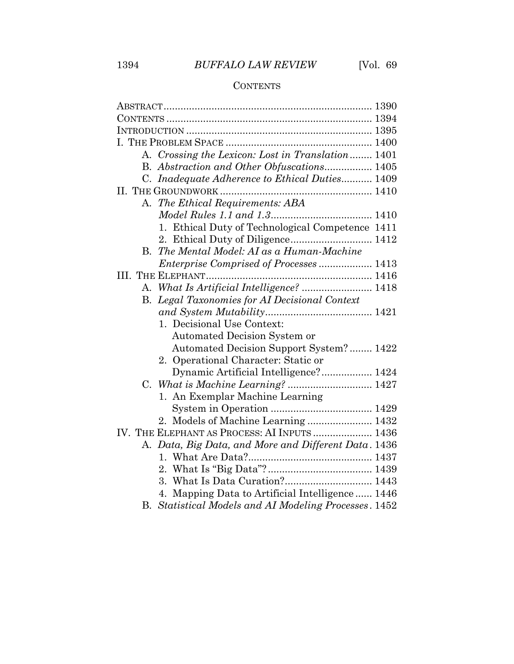# 1394 *BUFFALO LAW REVIEW* [Vol. 69

### **CONTENTS**

|    | A. Crossing the Lexicon: Lost in Translation 1401     |  |
|----|-------------------------------------------------------|--|
|    | B. Abstraction and Other Obfuscations 1405            |  |
|    | C. Inadequate Adherence to Ethical Duties 1409        |  |
|    |                                                       |  |
|    | A. The Ethical Requirements: ABA                      |  |
|    |                                                       |  |
|    | 1. Ethical Duty of Technological Competence 1411      |  |
|    |                                                       |  |
| В. | The Mental Model: AI as a Human-Machine               |  |
|    | <i>Enterprise Comprised of Processes</i> 1413         |  |
|    |                                                       |  |
|    | A. What Is Artificial Intelligence?  1418             |  |
|    | B. Legal Taxonomies for AI Decisional Context         |  |
|    |                                                       |  |
|    | 1. Decisional Use Context:                            |  |
|    | Automated Decision System or                          |  |
|    | Automated Decision Support System? 1422               |  |
|    | 2. Operational Character: Static or                   |  |
|    | Dynamic Artificial Intelligence? 1424                 |  |
|    |                                                       |  |
|    | 1. An Exemplar Machine Learning                       |  |
|    |                                                       |  |
|    | 2. Models of Machine Learning  1432                   |  |
|    | IV. THE ELEPHANT AS PROCESS: AI INPUTS  1436          |  |
|    | A. Data, Big Data, and More and Different Data. 1436  |  |
|    |                                                       |  |
|    |                                                       |  |
|    | 3. What Is Data Curation? 1443                        |  |
|    | 4. Mapping Data to Artificial Intelligence 1446       |  |
|    | B. Statistical Models and AI Modeling Processes. 1452 |  |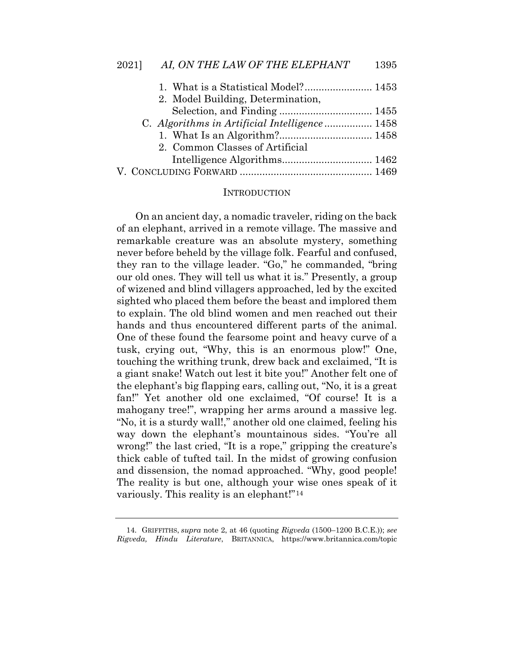| 1. What is a Statistical Model? 1453          |  |
|-----------------------------------------------|--|
| 2. Model Building, Determination,             |  |
|                                               |  |
| C. Algorithms in Artificial Intelligence 1458 |  |
|                                               |  |
| 2. Common Classes of Artificial               |  |
|                                               |  |
|                                               |  |

#### **INTRODUCTION**

On an ancient day, a nomadic traveler, riding on the back of an elephant, arrived in a remote village. The massive and remarkable creature was an absolute mystery, something never before beheld by the village folk. Fearful and confused, they ran to the village leader. "Go," he commanded, "bring our old ones. They will tell us what it is." Presently, a group of wizened and blind villagers approached, led by the excited sighted who placed them before the beast and implored them to explain. The old blind women and men reached out their hands and thus encountered different parts of the animal. One of these found the fearsome point and heavy curve of a tusk, crying out, "Why, this is an enormous plow!" One, touching the writhing trunk, drew back and exclaimed, "It is a giant snake! Watch out lest it bite you!" Another felt one of the elephant's big flapping ears, calling out, "No, it is a great fan!" Yet another old one exclaimed, "Of course! It is a mahogany tree!", wrapping her arms around a massive leg. "No, it is a sturdy wall!," another old one claimed, feeling his way down the elephant's mountainous sides. "You're all wrong!" the last cried, "It is a rope," gripping the creature's thick cable of tufted tail. In the midst of growing confusion and dissension, the nomad approached. "Why, good people! The reality is but one, although your wise ones speak of it variously. This reality is an elephant!"[14](#page-7-0)

<span id="page-7-0"></span><sup>14.</sup> GRIFFITHS, *supra* note 2, at 46 (quoting *Rigveda* (1500–1200 B.C.E.)); *see Rigveda, Hindu Literature*, BRITANNICA, https://www.britannica.com/topic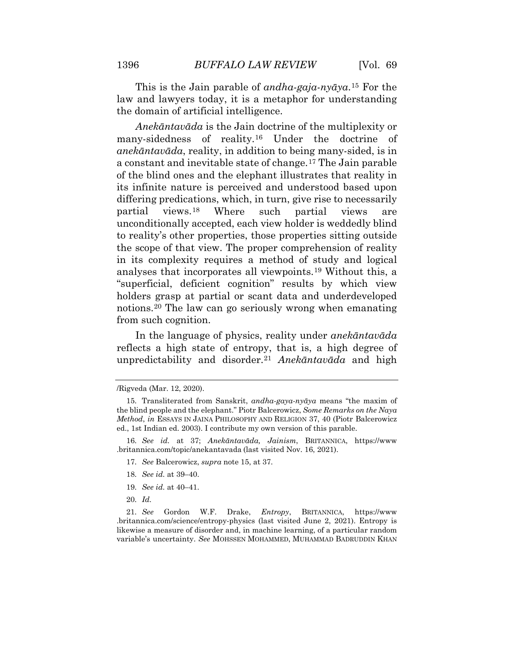This is the Jain parable of *andha-gaja-nyāya*.[15](#page-8-0) For the law and lawyers today, it is a metaphor for understanding the domain of artificial intelligence.

*Anekāntavāda* is the Jain doctrine of the multiplexity or many-sidedness of reality.[16](#page-8-1) Under the doctrine of *anekāntavāda*, reality, in addition to being many-sided, is in a constant and inevitable state of change.[17](#page-8-2) The Jain parable of the blind ones and the elephant illustrates that reality in its infinite nature is perceived and understood based upon differing predications, which, in turn, give rise to necessarily partial views.[18](#page-8-3) Where such partial views are unconditionally accepted, each view holder is weddedly blind to reality's other properties, those properties sitting outside the scope of that view. The proper comprehension of reality in its complexity requires a method of study and logical analyses that incorporates all viewpoints.[19](#page-8-4) Without this, a "superficial, deficient cognition" results by which view holders grasp at partial or scant data and underdeveloped notions.[20](#page-8-5) The law can go seriously wrong when emanating from such cognition.

In the language of physics, reality under *anekāntavāda*  reflects a high state of entropy, that is, a high degree of unpredictability and disorder.[21](#page-8-6) *Anekāntavāda* and high

- 17. *See* Balcerowicz, *supra* note 15, at 37.
- 18. *See id.* at 39–40.
- 19. *See id.* at 40–41.
- 20. *Id.*

<sup>/</sup>Rigveda (Mar. 12, 2020).

<span id="page-8-0"></span><sup>15.</sup> Transliterated from Sanskrit, *andha-gaya-nyāya* means "the maxim of the blind people and the elephant." Piotr Balcerowicz, *Some Remarks on the Naya Method*, *in* ESSAYS IN JAINA PHILOSOPHY AND RELIGION 37, 40 (Piotr Balcerowicz ed., 1st Indian ed. 2003). I contribute my own version of this parable.

<span id="page-8-2"></span><span id="page-8-1"></span><sup>16.</sup> *See id.* at 37; *Anekāntavāda, Jainism*, BRITANNICA, https://www .britannica.com/topic/anekantavada (last visited Nov. 16, 2021).

<span id="page-8-6"></span><span id="page-8-5"></span><span id="page-8-4"></span><span id="page-8-3"></span><sup>21.</sup> *See* Gordon W.F. Drake, *Entropy*, BRITANNICA, https://www .britannica.com/science/entropy-physics (last visited June 2, 2021). Entropy is likewise a measure of disorder and, in machine learning, of a particular random variable's uncertainty. *See* MOHSSEN MOHAMMED, MUHAMMAD BADRUDDIN KHAN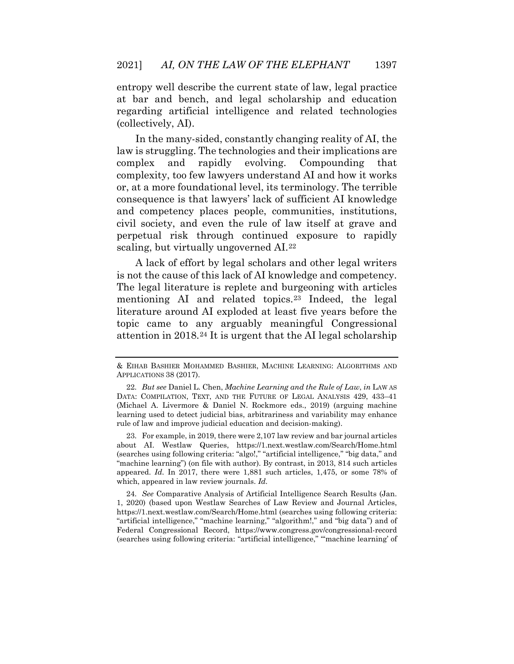entropy well describe the current state of law, legal practice at bar and bench, and legal scholarship and education regarding artificial intelligence and related technologies (collectively, AI).

In the many-sided, constantly changing reality of AI, the law is struggling. The technologies and their implications are complex and rapidly evolving. Compounding that complexity, too few lawyers understand AI and how it works or, at a more foundational level, its terminology. The terrible consequence is that lawyers' lack of sufficient AI knowledge and competency places people, communities, institutions, civil society, and even the rule of law itself at grave and perpetual risk through continued exposure to rapidly scaling, but virtually ungoverned AI.[22](#page-9-0)

A lack of effort by legal scholars and other legal writers is not the cause of this lack of AI knowledge and competency. The legal literature is replete and burgeoning with articles mentioning AI and related topics.[23](#page-9-1) Indeed, the legal literature around AI exploded at least five years before the topic came to any arguably meaningful Congressional attention in 2018.[24](#page-9-2) It is urgent that the AI legal scholarship

<span id="page-9-1"></span>23. For example, in 2019, there were 2,107 law review and bar journal articles about AI. Westlaw Queries, https://1.next.westlaw.com/Search/Home.html (searches using following criteria: "algo!," "artificial intelligence," "big data," and "machine learning") (on file with author). By contrast, in 2013, 814 such articles appeared. *Id.* In 2017, there were 1,881 such articles, 1,475, or some 78% of which, appeared in law review journals. *Id.*

<span id="page-9-2"></span>24. *See* Comparative Analysis of Artificial Intelligence Search Results (Jan. 1, 2020) (based upon Westlaw Searches of Law Review and Journal Articles, https://1.next.westlaw.com/Search/Home.html (searches using following criteria: "artificial intelligence," "machine learning," "algorithm!," and "big data") and of Federal Congressional Record, https://www.congress.gov/congressional-record (searches using following criteria: "artificial intelligence," "'machine learning' of

<sup>&</sup>amp; EIHAB BASHIER MOHAMMED BASHIER, MACHINE LEARNING: ALGORITHMS AND APPLICATIONS 38 (2017).

<span id="page-9-0"></span><sup>22.</sup> *But see* Daniel L. Chen, *Machine Learning and the Rule of Law*, *in* LAW AS DATA: COMPILATION, TEXT, AND THE FUTURE OF LEGAL ANALYSIS 429, 433–41 (Michael A. Livermore & Daniel N. Rockmore eds., 2019) (arguing machine learning used to detect judicial bias, arbitrariness and variability may enhance rule of law and improve judicial education and decision-making).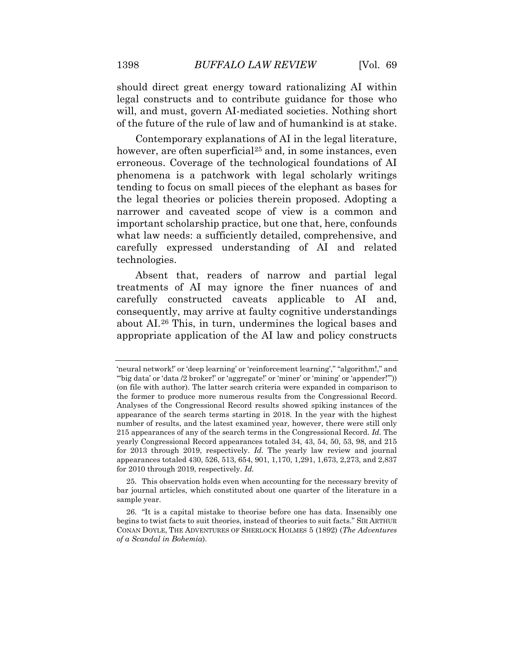should direct great energy toward rationalizing AI within legal constructs and to contribute guidance for those who will, and must, govern AI-mediated societies. Nothing short of the future of the rule of law and of humankind is at stake.

Contemporary explanations of AI in the legal literature, however, are often superficial<sup>[25](#page-10-0)</sup> and, in some instances, even erroneous. Coverage of the technological foundations of AI phenomena is a patchwork with legal scholarly writings tending to focus on small pieces of the elephant as bases for the legal theories or policies therein proposed. Adopting a narrower and caveated scope of view is a common and important scholarship practice, but one that, here, confounds what law needs: a sufficiently detailed, comprehensive, and carefully expressed understanding of AI and related technologies.

Absent that, readers of narrow and partial legal treatments of AI may ignore the finer nuances of and carefully constructed caveats applicable to AI and, consequently, may arrive at faulty cognitive understandings about AI.[26](#page-10-1) This, in turn, undermines the logical bases and appropriate application of the AI law and policy constructs

<span id="page-10-0"></span>25. This observation holds even when accounting for the necessary brevity of bar journal articles, which constituted about one quarter of the literature in a sample year.

<sup>&#</sup>x27;neural network!' or 'deep learning' or 'reinforcement learning'," "algorithm!," and "big data' or 'data /2 broker!' or 'aggregate!' or 'miner' or 'mining' or 'appender!"") (on file with author). The latter search criteria were expanded in comparison to the former to produce more numerous results from the Congressional Record. Analyses of the Congressional Record results showed spiking instances of the appearance of the search terms starting in 2018. In the year with the highest number of results, and the latest examined year, however, there were still only 215 appearances of any of the search terms in the Congressional Record. *Id.* The yearly Congressional Record appearances totaled 34, 43, 54, 50, 53, 98, and 215 for 2013 through 2019, respectively. *Id.* The yearly law review and journal appearances totaled 430, 526, 513, 654, 901, 1,170, 1,291, 1,673, 2,273, and 2,837 for 2010 through 2019, respectively. *Id.*

<span id="page-10-1"></span><sup>26. &</sup>quot;It is a capital mistake to theorise before one has data. Insensibly one begins to twist facts to suit theories, instead of theories to suit facts." SIR ARTHUR CONAN DOYLE, THE ADVENTURES OF SHERLOCK HOLMES 5 (1892) (*The Adventures of a Scandal in Bohemia*).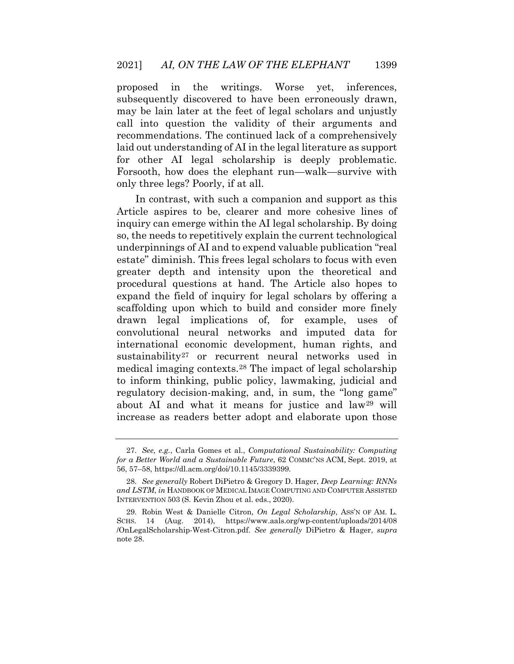proposed in the writings. Worse yet, inferences, subsequently discovered to have been erroneously drawn, may be lain later at the feet of legal scholars and unjustly call into question the validity of their arguments and recommendations. The continued lack of a comprehensively laid out understanding of AI in the legal literature as support for other AI legal scholarship is deeply problematic. Forsooth, how does the elephant run—walk—survive with only three legs? Poorly, if at all.

In contrast, with such a companion and support as this Article aspires to be, clearer and more cohesive lines of inquiry can emerge within the AI legal scholarship. By doing so, the needs to repetitively explain the current technological underpinnings of AI and to expend valuable publication "real estate" diminish. This frees legal scholars to focus with even greater depth and intensity upon the theoretical and procedural questions at hand. The Article also hopes to expand the field of inquiry for legal scholars by offering a scaffolding upon which to build and consider more finely drawn legal implications of, for example, uses of convolutional neural networks and imputed data for international economic development, human rights, and sustainability[27](#page-11-0) or recurrent neural networks used in medical imaging contexts.[28](#page-11-1) The impact of legal scholarship to inform thinking, public policy, lawmaking, judicial and regulatory decision-making, and, in sum, the "long game" about AI and what it means for justice and law[29](#page-11-2) will increase as readers better adopt and elaborate upon those

<sup>27.</sup> *See, e.g.*, Carla Gomes et al., *Computational Sustainability: Computing for a Better World and a Sustainable Future*, 62 COMMC'NS ACM, Sept. 2019, at 56, 57–58, https://dl.acm.org/doi/10.1145/3339399.

<span id="page-11-0"></span><sup>28.</sup> *See generally* Robert DiPietro & Gregory D. Hager, *Deep Learning: RNNs and LSTM*, *in* HANDBOOK OF MEDICAL IMAGE COMPUTING AND COMPUTER ASSISTED INTERVENTION 503 (S. Kevin Zhou et al. eds., 2020).

<span id="page-11-2"></span><span id="page-11-1"></span><sup>29.</sup> Robin West & Danielle Citron, *On Legal Scholarship*, ASS'N OF AM. L. SCHS. 14 (Aug. 2014), https://www.aals.org/wp-content/uploads/2014/08 /OnLegalScholarship-West-Citron.pdf. *See generally* DiPietro & Hager, *supra*  note 28.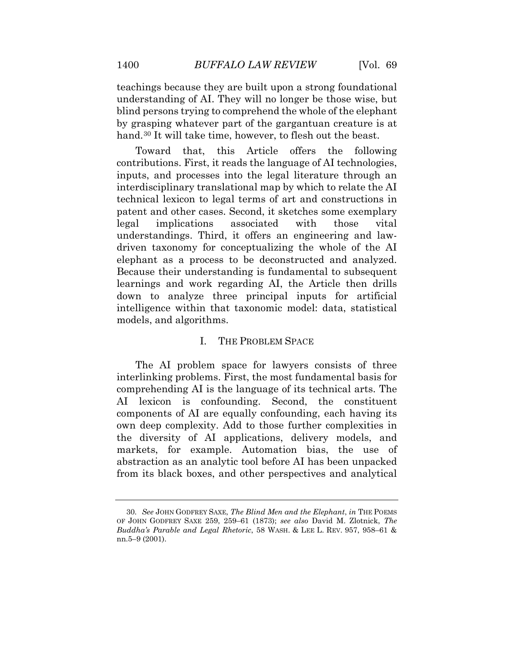teachings because they are built upon a strong foundational understanding of AI. They will no longer be those wise, but blind persons trying to comprehend the whole of the elephant by grasping whatever part of the gargantuan creature is at hand.<sup>[30](#page-12-0)</sup> It will take time, however, to flesh out the beast.

Toward that, this Article offers the following contributions. First, it reads the language of AI technologies, inputs, and processes into the legal literature through an interdisciplinary translational map by which to relate the AI technical lexicon to legal terms of art and constructions in patent and other cases. Second, it sketches some exemplary legal implications associated with those vital understandings. Third, it offers an engineering and lawdriven taxonomy for conceptualizing the whole of the AI elephant as a process to be deconstructed and analyzed. Because their understanding is fundamental to subsequent learnings and work regarding AI, the Article then drills down to analyze three principal inputs for artificial intelligence within that taxonomic model: data, statistical models, and algorithms.

#### I. THE PROBLEM SPACE

The AI problem space for lawyers consists of three interlinking problems. First, the most fundamental basis for comprehending AI is the language of its technical arts. The AI lexicon is confounding. Second, the constituent components of AI are equally confounding, each having its own deep complexity. Add to those further complexities in the diversity of AI applications, delivery models, and markets, for example. Automation bias, the use of abstraction as an analytic tool before AI has been unpacked from its black boxes, and other perspectives and analytical

<span id="page-12-0"></span><sup>30.</sup> *See* JOHN GODFREY SAXE, *The Blind Men and the Elephant*, *in* THE POEMS OF JOHN GODFREY SAXE 259, 259–61 (1873); *see also* David M. Zlotnick, *The Buddha's Parable and Legal Rhetoric*, 58 WASH. & LEE L. REV. 957, 958–61 & nn.5–9 (2001).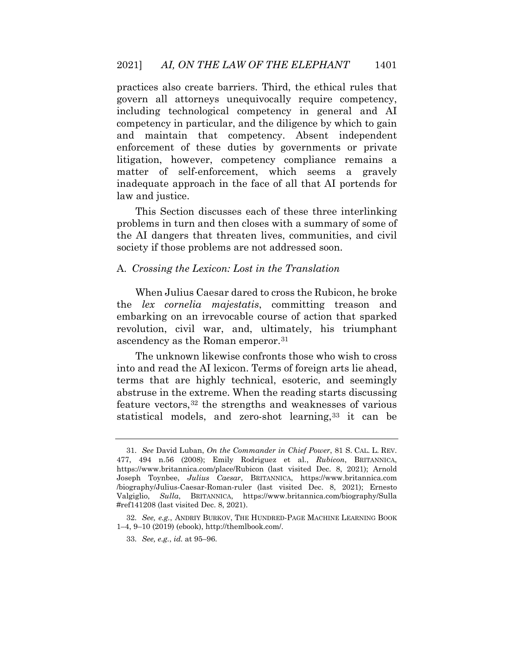practices also create barriers. Third, the ethical rules that govern all attorneys unequivocally require competency, including technological competency in general and AI competency in particular, and the diligence by which to gain and maintain that competency. Absent independent enforcement of these duties by governments or private litigation, however, competency compliance remains a matter of self-enforcement, which seems a gravely inadequate approach in the face of all that AI portends for law and justice.

This Section discusses each of these three interlinking problems in turn and then closes with a summary of some of the AI dangers that threaten lives, communities, and civil society if those problems are not addressed soon.

#### A. *Crossing the Lexicon: Lost in the Translation*

When Julius Caesar dared to cross the Rubicon, he broke the *lex cornelia majestatis*, committing treason and embarking on an irrevocable course of action that sparked revolution, civil war, and, ultimately, his triumphant ascendency as the Roman emperor.[31](#page-13-0)

The unknown likewise confronts those who wish to cross into and read the AI lexicon. Terms of foreign arts lie ahead, terms that are highly technical, esoteric, and seemingly abstruse in the extreme. When the reading starts discussing feature vectors,[32](#page-14-0) the strengths and weaknesses of various statistical models, and zero-shot learning,[33](#page-14-1) it can be

<span id="page-13-0"></span><sup>31.</sup> *See* David Luban, *On the Commander in Chief Power*, 81 S. CAL. L. REV. 477, 494 n.56 (2008); Emily Rodriguez et al., *Rubicon*, BRITANNICA, https://www.britannica.com/place/Rubicon (last visited Dec. 8, 2021); Arnold Joseph Toynbee, *Julius Caesar*, BRITANNICA, https://www.britannica.com /biography/Julius-Caesar-Roman-ruler (last visited Dec. 8, 2021); Ernesto Valgiglio, *Sulla*, BRITANNICA, https://www.britannica.com/biography/Sulla #ref141208 (last visited Dec. 8, 2021).

<sup>32.</sup> *See, e.g.*, ANDRIY BURKOV, THE HUNDRED-PAGE MACHINE LEARNING BOOK 1–4, 9–10 (2019) (ebook), http://themlbook.com/.

<sup>33.</sup> *See, e.g.*, *id.* at 95–96.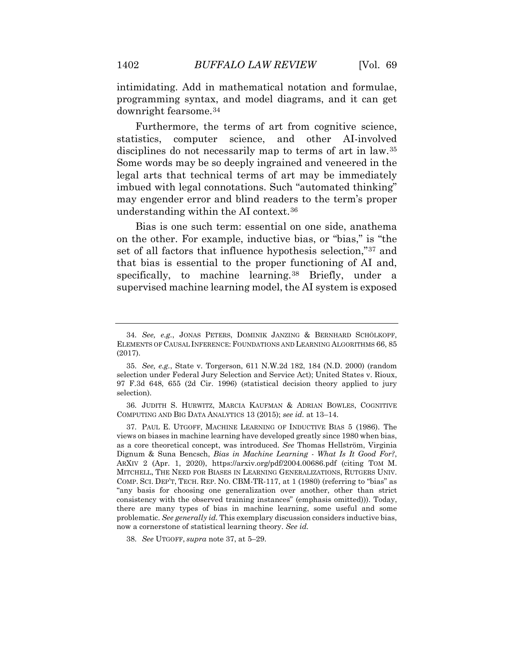intimidating. Add in mathematical notation and formulae, programming syntax, and model diagrams, and it can get downright fearsome.[34](#page-14-2)

Furthermore, the terms of art from cognitive science, statistics, computer science, and other AI-involved disciplines do not necessarily map to terms of art in law.[35](#page-14-3) Some words may be so deeply ingrained and veneered in the legal arts that technical terms of art may be immediately imbued with legal connotations. Such "automated thinking" may engender error and blind readers to the term's proper understanding within the AI context.[36](#page-14-4)

Bias is one such term: essential on one side, anathema on the other. For example, inductive bias, or "bias," is "the set of all factors that influence hypothesis selection,"[37](#page-14-5) and that bias is essential to the proper functioning of AI and, specifically, to machine learning.<sup>[38](#page-15-0)</sup> Briefly, under a supervised machine learning model, the AI system is exposed

<span id="page-14-4"></span>36. JUDITH S. HURWITZ, MARCIA KAUFMAN & ADRIAN BOWLES, COGNITIVE COMPUTING AND BIG DATA ANALYTICS 13 (2015); *see id.* at 13–14.

38. *See* UTGOFF, *supra* note 37, at 5–29.

<span id="page-14-2"></span><span id="page-14-1"></span><span id="page-14-0"></span><sup>34.</sup> *See, e.g.*, JONAS PETERS, DOMINIK JANZING & BERNHARD SCHÖLKOPF, ELEMENTS OF CAUSAL INFERENCE: FOUNDATIONS AND LEARNING ALGORITHMS 66, 85 (2017).

<span id="page-14-3"></span><sup>35.</sup> *See, e.g.*, State v. Torgerson, 611 N.W.2d 182, 184 (N.D. 2000) (random selection under Federal Jury Selection and Service Act); United States v. Rioux, 97 F.3d 648, 655 (2d Cir. 1996) (statistical decision theory applied to jury selection).

<span id="page-14-5"></span><sup>37.</sup> PAUL E. UTGOFF, MACHINE LEARNING OF INDUCTIVE BIAS 5 (1986). The views on biases in machine learning have developed greatly since 1980 when bias, as a core theoretical concept, was introduced. *See* Thomas Hellström, Virginia Dignum & Suna Bencsch, *Bias in Machine Learning - What Is It Good For?*, ARXIV 2 (Apr. 1, 2020), https://arxiv.org/pdf/2004.00686.pdf (citing TOM M. MITCHELL, THE NEED FOR BIASES IN LEARNING GENERALIZATIONS, RUTGERS UNIV. COMP. SCI. DEP'T, TECH. REP. NO. CBM-TR-117, at 1 (1980) (referring to "bias" as "any basis for choosing one generalization over another, other than strict consistency with the observed training instances" (emphasis omitted))). Today, there are many types of bias in machine learning, some useful and some problematic. *See generally id.* This exemplary discussion considers inductive bias, now a cornerstone of statistical learning theory. *See id.*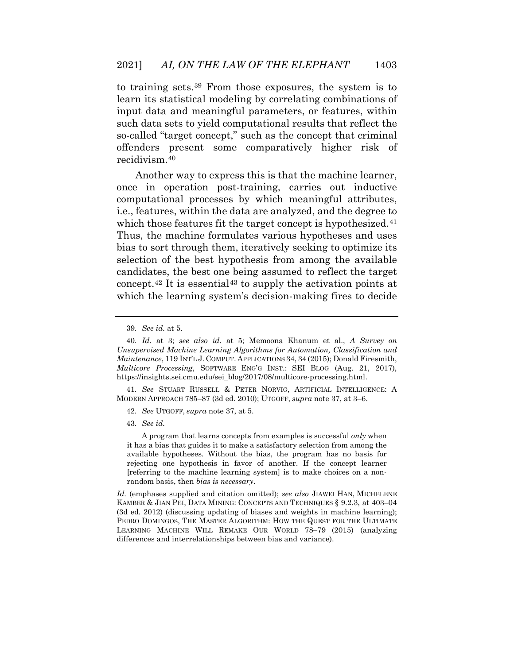to training sets.[39](#page-15-1) From those exposures, the system is to learn its statistical modeling by correlating combinations of input data and meaningful parameters, or features, within such data sets to yield computational results that reflect the so-called "target concept," such as the concept that criminal offenders present some comparatively higher risk of recidivism.[40](#page-15-2)

Another way to express this is that the machine learner, once in operation post-training, carries out inductive computational processes by which meaningful attributes, i.e., features, within the data are analyzed, and the degree to which those features fit the target concept is hypothesized.<sup>[41](#page-15-3)</sup> Thus, the machine formulates various hypotheses and uses bias to sort through them, iteratively seeking to optimize its selection of the best hypothesis from among the available candidates, the best one being assumed to reflect the target concept.<sup>[42](#page-15-4)</sup> It is essential<sup>[43](#page-15-5)</sup> to supply the activation points at which the learning system's decision-making fires to decide

<span id="page-15-1"></span><span id="page-15-0"></span>41. *See* STUART RUSSELL & PETER NORVIG, ARTIFICIAL INTELLIGENCE: A MODERN APPROACH 785–87 (3d ed. 2010); UTGOFF, *supra* note 37, at 3–6.

43. *See id.*

 A program that learns concepts from examples is successful *only* when it has a bias that guides it to make a satisfactory selection from among the available hypotheses. Without the bias, the program has no basis for rejecting one hypothesis in favor of another. If the concept learner [referring to the machine learning system] is to make choices on a nonrandom basis, then *bias is necessary*.

<span id="page-15-5"></span><span id="page-15-4"></span><span id="page-15-3"></span><span id="page-15-2"></span>*Id.* (emphases supplied and citation omitted); *see also* JIAWEI HAN, MICHELENE KAMBER & JIAN PEI, DATA MINING: CONCEPTS AND TECHNIQUES § 9.2.3, at 403–04 (3d ed. 2012) (discussing updating of biases and weights in machine learning); PEDRO DOMINGOS, THE MASTER ALGORITHM: HOW THE QUEST FOR THE ULTIMATE LEARNING MACHINE WILL REMAKE OUR WORLD 78–79 (2015) (analyzing differences and interrelationships between bias and variance).

<sup>39.</sup> *See id.* at 5.

<sup>40.</sup> *Id.* at 3; *see also id.* at 5; Memoona Khanum et al., *A Survey on Unsupervised Machine Learning Algorithms for Automation, Classification and Maintenance*, 119 INT'L J. COMPUT. APPLICATIONS 34, 34 (2015); Donald Firesmith, *Multicore Processing*, SOFTWARE ENG'G INST.: SEI BLOG (Aug. 21, 2017), https://insights.sei.cmu.edu/sei\_blog/2017/08/multicore-processing.html.

<sup>42.</sup> *See* UTGOFF, *supra* note 37, at 5.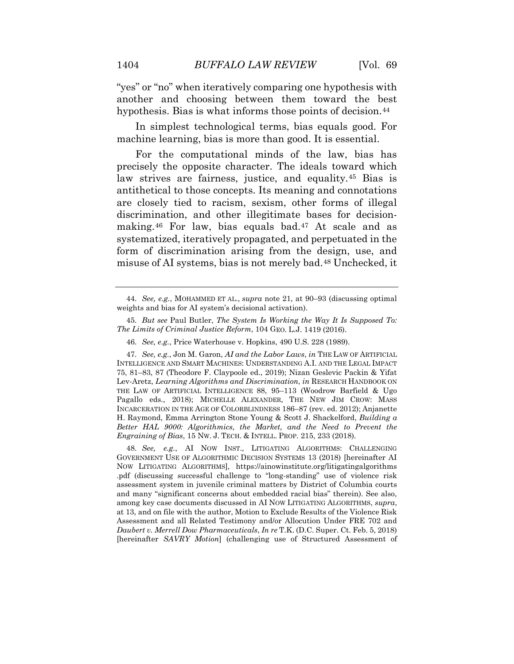"yes" or "no" when iteratively comparing one hypothesis with another and choosing between them toward the best hypothesis. Bias is what informs those points of decision.<sup>[44](#page-16-0)</sup>

In simplest technological terms, bias equals good. For machine learning, bias is more than good. It is essential.

For the computational minds of the law, bias has precisely the opposite character. The ideals toward which law strives are fairness, justice, and equality.[45](#page-16-1) Bias is antithetical to those concepts. Its meaning and connotations are closely tied to racism, sexism, other forms of illegal discrimination, and other illegitimate bases for decisionmaking.[46](#page-16-2) For law, bias equals bad.[47](#page-16-3) At scale and as systematized, iteratively propagated, and perpetuated in the form of discrimination arising from the design, use, and misuse of AI systems, bias is not merely bad.[48](#page-17-0) Unchecked, it

45. *But see* Paul Butler, *The System Is Working the Way It Is Supposed To: The Limits of Criminal Justice Reform*, 104 GEO. L.J. 1419 (2016).

46. *See, e.g.*, Price Waterhouse v. Hopkins, 490 U.S. 228 (1989).

<span id="page-16-0"></span>47. *See, e.g.*, Jon M. Garon, *AI and the Labor Laws*, *in* THE LAW OF ARTIFICIAL INTELLIGENCE AND SMART MACHINES: UNDERSTANDING A.I. AND THE LEGAL IMPACT 75, 81–83, 87 (Theodore F. Claypoole ed., 2019); Nizan Geslevic Packin & Yifat Lev-Aretz, *Learning Algorithms and Discrimination*, *in* RESEARCH HANDBOOK ON THE LAW OF ARTIFICIAL INTELLIGENCE 88, 95–113 (Woodrow Barfield & Ugo Pagallo eds., 2018); MICHELLE ALEXANDER, THE NEW JIM CROW: MASS INCARCERATION IN THE AGE OF COLORBLINDNESS 186–87 (rev. ed. 2012); Anjanette H. Raymond, Emma Arrington Stone Young & Scott J. Shackelford, *Building a Better HAL 9000: Algorithmics, the Market, and the Need to Prevent the Engraining of Bias*, 15 NW. J. TECH. & INTELL. PROP. 215, 233 (2018).

<span id="page-16-3"></span><span id="page-16-2"></span><span id="page-16-1"></span>48. *See, e.g.*, AI NOW INST., LITIGATING ALGORITHMS: CHALLENGING GOVERNMENT USE OF ALGORITHMIC DECISION SYSTEMS 13 (2018) [hereinafter AI NOW LITIGATING ALGORITHMS], https://ainowinstitute.org/litigatingalgorithms .pdf (discussing successful challenge to "long-standing" use of violence risk assessment system in juvenile criminal matters by District of Columbia courts and many "significant concerns about embedded racial bias" therein). See also, among key case documents discussed in AI NOW LITIGATING ALGORITHMS, *supra*, at 13, and on file with the author, Motion to Exclude Results of the Violence Risk Assessment and all Related Testimony and/or Allocution Under FRE 702 and *Daubert v. Merrell Dow Pharmaceuticals*, *In re* T.K. (D.C. Super. Ct. Feb. 5, 2018) [hereinafter *SAVRY Motion*] (challenging use of Structured Assessment of

<sup>44.</sup> *See, e.g.*, MOHAMMED ET AL., *supra* note 21, at 90–93 (discussing optimal weights and bias for AI system's decisional activation).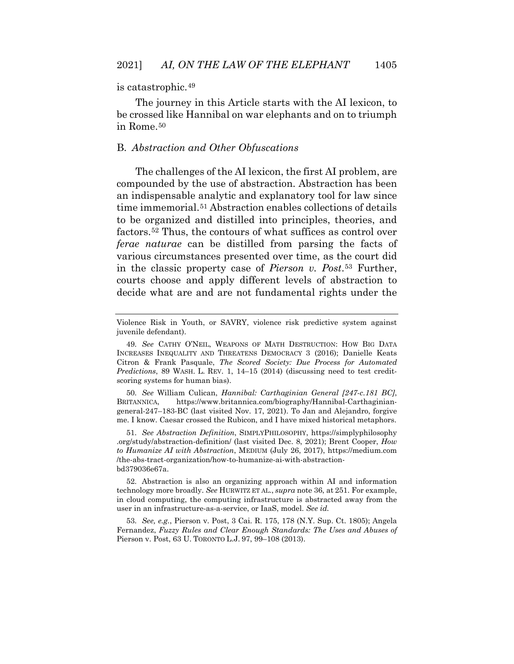#### is catastrophic.[49](#page-17-1)

The journey in this Article starts with the AI lexicon, to be crossed like Hannibal on war elephants and on to triumph in Rome.[50](#page-17-2)

#### B. *Abstraction and Other Obfuscations*

The challenges of the AI lexicon, the first AI problem, are compounded by the use of abstraction. Abstraction has been an indispensable analytic and explanatory tool for law since time immemorial.<sup>[51](#page-17-3)</sup> Abstraction enables collections of details to be organized and distilled into principles, theories, and factors.[52](#page-18-0) Thus, the contours of what suffices as control over *ferae naturae* can be distilled from parsing the facts of various circumstances presented over time, as the court did in the classic property case of *Pierson v. Post*.[53](#page-18-1) Further, courts choose and apply different levels of abstraction to decide what are and are not fundamental rights under the

<span id="page-17-1"></span>50. *See* William Culican, *Hannibal: Carthaginian General [247-c.181 BC]*, BRITANNICA, https://www.britannica.com/biography/Hannibal-Carthaginiangeneral-247–183-BC (last visited Nov. 17, 2021). To Jan and Alejandro, forgive me. I know. Caesar crossed the Rubicon, and I have mixed historical metaphors.

<span id="page-17-2"></span>51. *See Abstraction Definition*, SIMPLYPHILOSOPHY, https://simplyphilosophy .org/study/abstraction-definition/ (last visited Dec. 8, 2021); Brent Cooper, *How to Humanize AI with Abstraction*, MEDIUM (July 26, 2017), https://medium.com /the-abs-tract-organization/how-to-humanize-ai-with-abstractionbd379036e67a.

<span id="page-17-3"></span>52. Abstraction is also an organizing approach within AI and information technology more broadly. *See* HURWITZ ET AL., *supra* note 36, at 251. For example, in cloud computing, the computing infrastructure is abstracted away from the user in an infrastructure-as-a-service, or IaaS, model. *See id.*

53. *See, e.g.*, Pierson v. Post, 3 Cai. R. 175, 178 (N.Y. Sup. Ct. 1805); Angela Fernandez, *Fuzzy Rules and Clear Enough Standards: The Uses and Abuses of*  Pierson v. Post, 63 U. TORONTO L.J. 97, 99–108 (2013).

<span id="page-17-0"></span>Violence Risk in Youth, or SAVRY, violence risk predictive system against juvenile defendant).

<sup>49.</sup> *See* CATHY O'NEIL, WEAPONS OF MATH DESTRUCTION: HOW BIG DATA INCREASES INEQUALITY AND THREATENS DEMOCRACY 3 (2016); Danielle Keats Citron & Frank Pasquale, *The Scored Society: Due Process for Automated Predictions*, 89 WASH. L. REV. 1, 14–15 (2014) (discussing need to test creditscoring systems for human bias).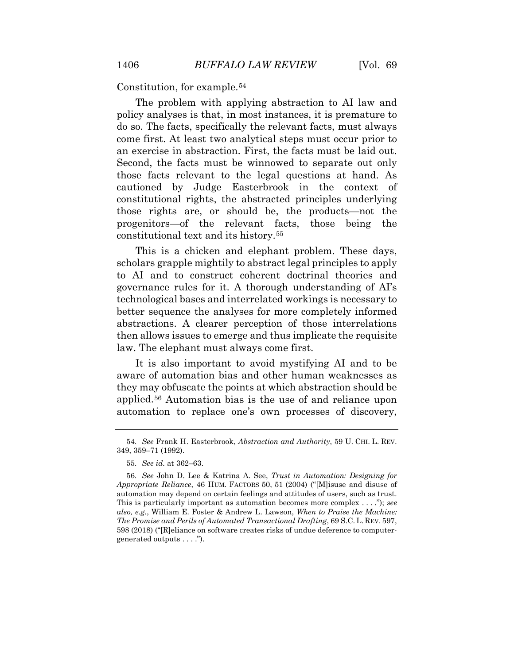Constitution, for example.[54](#page-18-2)

The problem with applying abstraction to AI law and policy analyses is that, in most instances, it is premature to do so. The facts, specifically the relevant facts, must always come first. At least two analytical steps must occur prior to an exercise in abstraction. First, the facts must be laid out. Second, the facts must be winnowed to separate out only those facts relevant to the legal questions at hand. As cautioned by Judge Easterbrook in the context of constitutional rights, the abstracted principles underlying those rights are, or should be, the products—not the progenitors—of the relevant facts, those being the constitutional text and its history.[55](#page-18-3)

This is a chicken and elephant problem. These days, scholars grapple mightily to abstract legal principles to apply to AI and to construct coherent doctrinal theories and governance rules for it. A thorough understanding of AI's technological bases and interrelated workings is necessary to better sequence the analyses for more completely informed abstractions. A clearer perception of those interrelations then allows issues to emerge and thus implicate the requisite law. The elephant must always come first.

It is also important to avoid mystifying AI and to be aware of automation bias and other human weaknesses as they may obfuscate the points at which abstraction should be applied.[56](#page-19-0) Automation bias is the use of and reliance upon automation to replace one's own processes of discovery,

<span id="page-18-0"></span><sup>54.</sup> *See* Frank H. Easterbrook, *Abstraction and Authority*, 59 U. CHI. L. REV. 349, 359–71 (1992).

<sup>55.</sup> *See id.* at 362–63.

<span id="page-18-3"></span><span id="page-18-2"></span><span id="page-18-1"></span><sup>56.</sup> *See* John D. Lee & Katrina A. See, *Trust in Automation: Designing for Appropriate Reliance*, 46 HUM. FACTORS 50, 51 (2004) ("[M]isuse and disuse of automation may depend on certain feelings and attitudes of users, such as trust. This is particularly important as automation becomes more complex . . . ."); *see also, e.g.*, William E. Foster & Andrew L. Lawson, *When to Praise the Machine: The Promise and Perils of Automated Transactional Drafting*, 69 S.C. L. REV. 597, 598 (2018) ("[R]eliance on software creates risks of undue deference to computergenerated outputs . . . .").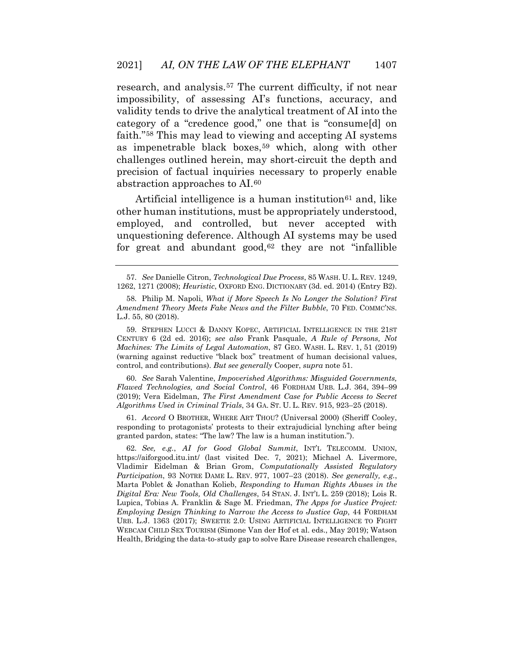research, and analysis.<sup>[57](#page-19-1)</sup> The current difficulty, if not near impossibility, of assessing AI's functions, accuracy, and validity tends to drive the analytical treatment of AI into the category of a "credence good," one that is "consume[d] on faith."[58](#page-19-2) This may lead to viewing and accepting AI systems as impenetrable black boxes,[59](#page-19-3) which, along with other challenges outlined herein, may short-circuit the depth and precision of factual inquiries necessary to properly enable abstraction approaches to AI.[60](#page-19-4)

Artificial intelligence is a human institution<sup>[61](#page-20-0)</sup> and, like other human institutions, must be appropriately understood, employed, and controlled, but never accepted with unquestioning deference. Although AI systems may be used for great and abundant good, $62$  they are not "infallible

<span id="page-19-0"></span>59. STEPHEN LUCCI & DANNY KOPEC, ARTIFICIAL INTELLIGENCE IN THE 21ST CENTURY 6 (2d ed. 2016); *see also* Frank Pasquale, *A Rule of Persons, Not Machines: The Limits of Legal Automation*, 87 GEO. WASH. L. REV. 1, 51 (2019) (warning against reductive "black box" treatment of human decisional values, control, and contributions). *But see generally* Cooper, *supra* note 51.

60. *See* Sarah Valentine, *Impoverished Algorithms: Misguided Governments, Flawed Technologies, and Social Control*, 46 FORDHAM URB. L.J. 364, 394–99 (2019); Vera Eidelman, *The First Amendment Case for Public Access to Secret Algorithms Used in Criminal Trials*, 34 GA. ST. U. L. REV. 915, 923–25 (2018).

<span id="page-19-2"></span><span id="page-19-1"></span>61. *Accord* O BROTHER, WHERE ART THOU? (Universal 2000) (Sheriff Cooley, responding to protagonists' protests to their extrajudicial lynching after being granted pardon, states: "The law? The law is a human institution.").

<span id="page-19-4"></span><span id="page-19-3"></span>62. *See, e.g.*, *AI for Good Global Summit*, INT'L TELECOMM. UNION, https://aiforgood.itu.int/ (last visited Dec. 7, 2021); Michael A. Livermore, Vladimir Eidelman & Brian Grom, *Computationally Assisted Regulatory Participation*, 93 NOTRE DAME L. REV. 977, 1007–23 (2018). *See generally, e.g.*, Marta Poblet & Jonathan Kolieb, *Responding to Human Rights Abuses in the Digital Era: New Tools, Old Challenges*, 54 STAN. J. INT'L L. 259 (2018); Lois R. Lupica, Tobias A. Franklin & Sage M. Friedman, *The Apps for Justice Project: Employing Design Thinking to Narrow the Access to Justice Gap*, 44 FORDHAM URB. L.J. 1363 (2017); SWEETIE 2.0: USING ARTIFICIAL INTELLIGENCE TO FIGHT WEBCAM CHILD SEX TOURISM (Simone Van der Hof et al. eds., May 2019); Watson Health, Bridging the data-to-study gap to solve Rare Disease research challenges,

<sup>57.</sup> *See* Danielle Citron, *Technological Due Process*, 85 WASH. U. L. REV. 1249, 1262, 1271 (2008); *Heuristic*, OXFORD ENG. DICTIONARY (3d. ed. 2014) (Entry B2).

<sup>58.</sup> Philip M. Napoli, *What if More Speech Is No Longer the Solution? First Amendment Theory Meets Fake News and the Filter Bubble*, 70 FED. COMMC'NS. L.J. 55, 80 (2018).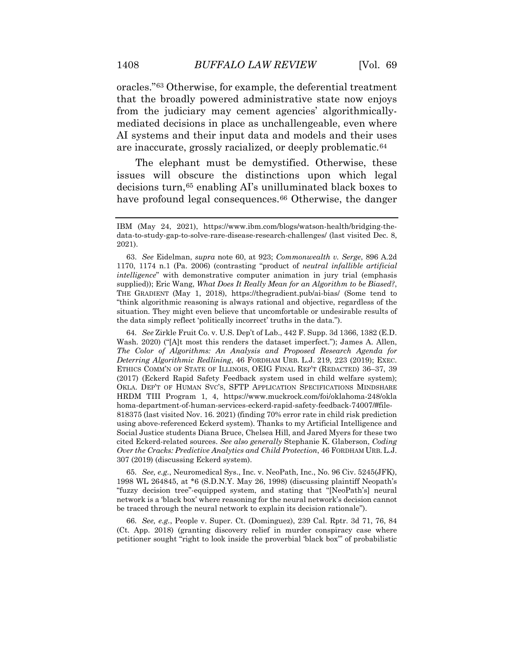oracles."[63](#page-20-2) Otherwise, for example, the deferential treatment that the broadly powered administrative state now enjoys from the judiciary may cement agencies' algorithmicallymediated decisions in place as unchallengeable, even where AI systems and their input data and models and their uses are inaccurate, grossly racialized, or deeply problematic.[64](#page-20-3)

The elephant must be demystified. Otherwise, these issues will obscure the distinctions upon which legal decisions turn,[65](#page-21-0) enabling AI's unilluminated black boxes to have profound legal consequences.<sup>66</sup> Otherwise, the danger

<span id="page-20-2"></span>64. *See* Zirkle Fruit Co. v. U.S. Dep't of Lab., 442 F. Supp. 3d 1366, 1382 (E.D. Wash. 2020) ("[A]t most this renders the dataset imperfect."); James A. Allen, *The Color of Algorithms: An Analysis and Proposed Research Agenda for Deterring Algorithmic Redlining*, 46 FORDHAM URB. L.J. 219, 223 (2019); EXEC. ETHICS COMM'N OF STATE OF ILLINOIS, OEIG FINAL REP'T (REDACTED) 36–37, 39 (2017) (Eckerd Rapid Safety Feedback system used in child welfare system); OKLA. DEP'T OF HUMAN SVC'S, SFTP APPLICATION SPECIFICATIONS MINDSHARE HRDM TIII Program 1, 4, https://www.muckrock.com/foi/oklahoma-248/okla homa-department-of-human-services-eckerd-rapid-safety-feedback-74007/#file-818375 (last visited Nov. 16. 2021) (finding 70% error rate in child risk prediction using above-referenced Eckerd system). Thanks to my Artificial Intelligence and Social Justice students Diana Bruce, Chelsea Hill, and Jared Myers for these two cited Eckerd-related sources. *See also generally* Stephanie K. Glaberson, *Coding Over the Cracks: Predictive Analytics and Child Protection*, 46 FORDHAM URB. L.J. 307 (2019) (discussing Eckerd system).

<span id="page-20-3"></span>65. *See, e.g.*, Neuromedical Sys., Inc. v. NeoPath, Inc., No. 96 Civ. 5245(JFK), 1998 WL 264845, at \*6 (S.D.N.Y. May 26, 1998) (discussing plaintiff Neopath's "fuzzy decision tree"-equipped system, and stating that "[NeoPath's] neural network is a 'black box' where reasoning for the neural network's decision cannot be traced through the neural network to explain its decision rationale").

66. *See, e.g.*, People v. Super. Ct. (Dominguez), 239 Cal. Rptr. 3d 71, 76, 84 (Ct. App. 2018) (granting discovery relief in murder conspiracy case where petitioner sought "right to look inside the proverbial 'black box'" of probabilistic

<span id="page-20-0"></span>IBM (May 24, 2021), https://www.ibm.com/blogs/watson-health/bridging-thedata-to-study-gap-to-solve-rare-disease-research-challenges/ (last visited Dec. 8, 2021).

<span id="page-20-1"></span><sup>63.</sup> *See* Eidelman, *supra* note 60, at 923; *Commonwealth v. Serge*, 896 A.2d 1170, 1174 n.1 (Pa. 2006) (contrasting "product of *neutral infallible artificial intelligence*" with demonstrative computer animation in jury trial (emphasis supplied)); Eric Wang, *What Does It Really Mean for an Algorithm to be Biased?*, THE GRADIENT (May 1, 2018), https://thegradient.pub/ai-bias/ (Some tend to "think algorithmic reasoning is always rational and objective, regardless of the situation. They might even believe that uncomfortable or undesirable results of the data simply reflect 'politically incorrect' truths in the data.").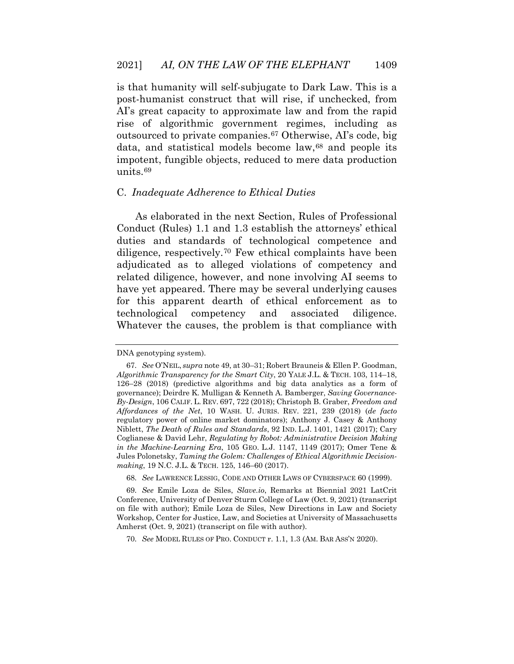is that humanity will self-subjugate to Dark Law. This is a post-humanist construct that will rise, if unchecked, from AI's great capacity to approximate law and from the rapid rise of algorithmic government regimes, including as outsourced to private companies.[67](#page-21-2) Otherwise, AI's code, big data, and statistical models become law,<sup>[68](#page-21-3)</sup> and people its impotent, fungible objects, reduced to mere data production units.[69](#page-22-0)

#### C. *Inadequate Adherence to Ethical Duties*

As elaborated in the next Section, Rules of Professional Conduct (Rules) 1.1 and 1.3 establish the attorneys' ethical duties and standards of technological competence and diligence, respectively.[70](#page-22-1) Few ethical complaints have been adjudicated as to alleged violations of competency and related diligence, however, and none involving AI seems to have yet appeared. There may be several underlying causes for this apparent dearth of ethical enforcement as to technological competency and associated diligence. Whatever the causes, the problem is that compliance with

<span id="page-21-0"></span>DNA genotyping system).

<span id="page-21-2"></span><span id="page-21-1"></span><sup>67.</sup> *See* O'NEIL, *supra* note 49, at 30–31; Robert Brauneis & Ellen P. Goodman, *Algorithmic Transparency for the Smart City*, 20 YALE J.L. & TECH. 103, 114–18, 126–28 (2018) (predictive algorithms and big data analytics as a form of governance); Deirdre K. Mulligan & Kenneth A. Bamberger, *Saving Governance-By-Design*, 106 CALIF. L. REV. 697, 722 (2018); Christoph B. Graber, *Freedom and Affordances of the Net*, 10 WASH. U. JURIS. REV. 221, 239 (2018) (*de facto*  regulatory power of online market dominators); Anthony J. Casey & Anthony Niblett, *The Death of Rules and Standards*, 92 IND. L.J. 1401, 1421 (2017); Cary Coglianese & David Lehr, *Regulating by Robot: Administrative Decision Making in the Machine-Learning Era*, 105 GEO. L.J. 1147, 1149 (2017); Omer Tene & Jules Polonetsky, *Taming the Golem: Challenges of Ethical Algorithmic Decisionmaking*, 19 N.C. J.L. & TECH. 125, 146–60 (2017).

<sup>68.</sup> *See* LAWRENCE LESSIG, CODE AND OTHER LAWS OF CYBERSPACE 60 (1999).

<span id="page-21-3"></span><sup>69.</sup> *See* Emile Loza de Siles, *Slave.io*, Remarks at Biennial 2021 LatCrit Conference, University of Denver Sturm College of Law (Oct. 9, 2021) (transcript on file with author); Emile Loza de Siles, New Directions in Law and Society Workshop, Center for Justice, Law, and Societies at University of Massachusetts Amherst (Oct. 9, 2021) (transcript on file with author).

<sup>70.</sup> *See* MODEL RULES OF PRO. CONDUCT r. 1.1, 1.3 (AM. BAR ASS'N 2020).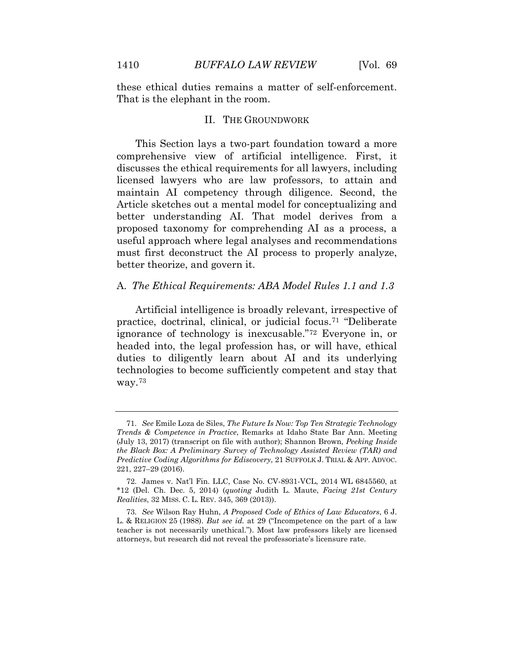these ethical duties remains a matter of self-enforcement. That is the elephant in the room.

#### II. THE GROUNDWORK

This Section lays a two-part foundation toward a more comprehensive view of artificial intelligence. First, it discusses the ethical requirements for all lawyers, including licensed lawyers who are law professors, to attain and maintain AI competency through diligence. Second, the Article sketches out a mental model for conceptualizing and better understanding AI. That model derives from a proposed taxonomy for comprehending AI as a process, a useful approach where legal analyses and recommendations must first deconstruct the AI process to properly analyze, better theorize, and govern it.

#### A. *The Ethical Requirements: ABA Model Rules 1.1 and 1.3*

Artificial intelligence is broadly relevant, irrespective of practice, doctrinal, clinical, or judicial focus.[71](#page-23-0) "Deliberate ignorance of technology is inexcusable."[72](#page-23-1) Everyone in, or headed into, the legal profession has, or will have, ethical duties to diligently learn about AI and its underlying technologies to become sufficiently competent and stay that way.[73](#page-23-2)

<sup>71.</sup> *See* Emile Loza de Siles, *The Future Is Now: Top Ten Strategic Technology Trends & Competence in Practice*, Remarks at Idaho State Bar Ann. Meeting (July 13, 2017) (transcript on file with author); Shannon Brown, *Peeking Inside the Black Box: A Preliminary Survey of Technology Assisted Review (TAR) and Predictive Coding Algorithms for Ediscovery*, 21 SUFFOLK J. TRIAL & APP. ADVOC. 221, 227–29 (2016).

<span id="page-22-0"></span><sup>72.</sup> James v. Nat'l Fin. LLC, Case No. CV-8931-VCL, 2014 WL 6845560, at \*12 (Del. Ch. Dec. 5, 2014) (*quoting* Judith L. Maute, *Facing 21st Century Realities*, 32 MISS. C. L. REV. 345, 369 (2013)).

<span id="page-22-1"></span><sup>73.</sup> *See* Wilson Ray Huhn, *A Proposed Code of Ethics of Law Educators*, 6 J. L. & RELIGION 25 (1988). *But see id.* at 29 ("Incompetence on the part of a law teacher is not necessarily unethical."). Most law professors likely are licensed attorneys, but research did not reveal the professoriate's licensure rate.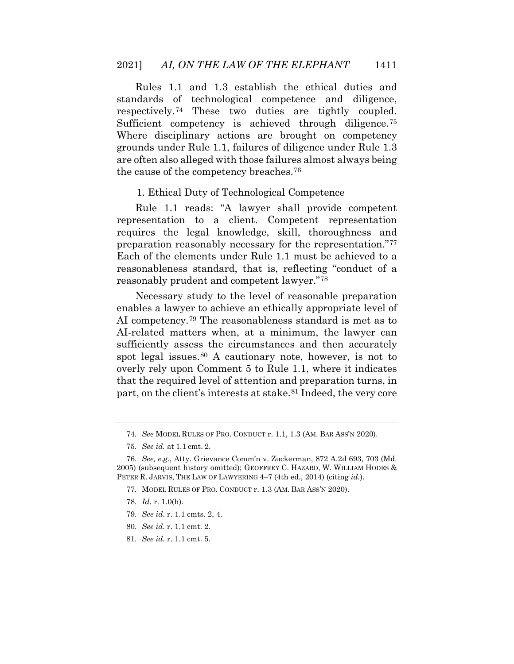Rules 1.1 and 1.3 establish the ethical duties and standards of technological competence and diligence, respectively.[74](#page-23-3) These two duties are tightly coupled. Sufficient competency is achieved through diligence.<sup>[75](#page-23-4)</sup> Where disciplinary actions are brought on competency grounds under Rule 1.1, failures of diligence under Rule 1.3 are often also alleged with those failures almost always being the cause of the competency breaches.[76](#page-23-5)

#### 1. Ethical Duty of Technological Competence

Rule 1.1 reads: "A lawyer shall provide competent representation to a client. Competent representation requires the legal knowledge, skill, thoroughness and preparation reasonably necessary for the representation."[77](#page-24-0) Each of the elements under Rule 1.1 must be achieved to a reasonableness standard, that is, reflecting "conduct of a reasonably prudent and competent lawyer."[78](#page-24-1)

<span id="page-23-0"></span>Necessary study to the level of reasonable preparation enables a lawyer to achieve an ethically appropriate level of AI competency.[79](#page-24-2) The reasonableness standard is met as to AI-related matters when, at a minimum, the lawyer can sufficiently assess the circumstances and then accurately spot legal issues.<sup>[80](#page-24-3)</sup> A cautionary note, however, is not to overly rely upon Comment 5 to Rule 1.1, where it indicates that the required level of attention and preparation turns, in part, on the client's interests at stake.<sup>[81](#page-24-4)</sup> Indeed, the very core

- 80. *See id.* r. 1.1 cmt. 2.
- 81. *See id.* r. 1.1 cmt. 5.

<sup>74.</sup> *See* MODEL RULES OF PRO. CONDUCT r. 1.1, 1.3 (AM. BAR ASS'N 2020).

<sup>75.</sup> *See id.* at 1.1 cmt. 2.

<span id="page-23-4"></span><span id="page-23-3"></span><span id="page-23-2"></span><span id="page-23-1"></span><sup>76.</sup> *See, e.g.*, Atty. Grievance Comm'n v. Zuckerman, 872 A.2d 693, 703 (Md. 2005) (subsequent history omitted); GEOFFREY C. HAZARD, W. WILLIAM HODES & PETER R. JARVIS, THE LAW OF LAWYERING 4–7 (4th ed., 2014) (citing *id.*).

<sup>77.</sup> MODEL RULES OF PRO. CONDUCT r. 1.3 (AM. BAR ASS'N 2020).

<sup>78.</sup> *Id.* r. 1.0(h).

<span id="page-23-5"></span><sup>79.</sup> *See id.* r. 1.1 cmts. 2, 4.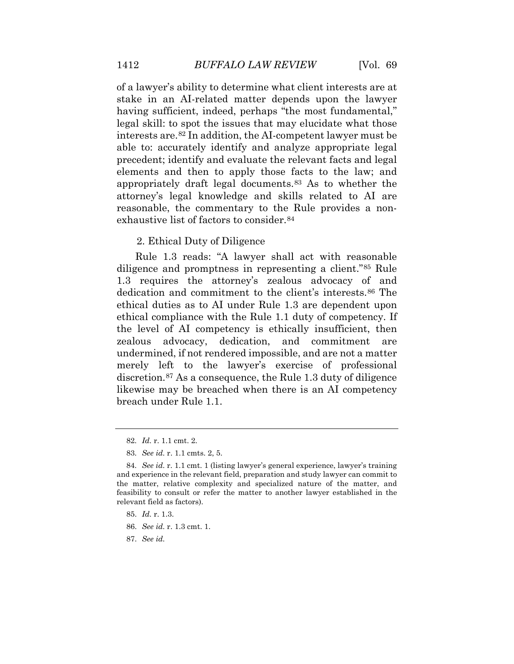of a lawyer's ability to determine what client interests are at stake in an AI-related matter depends upon the lawyer having sufficient, indeed, perhaps "the most fundamental," legal skill: to spot the issues that may elucidate what those interests are.[82](#page-24-5) In addition, the AI-competent lawyer must be able to: accurately identify and analyze appropriate legal precedent; identify and evaluate the relevant facts and legal elements and then to apply those facts to the law; and appropriately draft legal documents.[83](#page-24-6) As to whether the attorney's legal knowledge and skills related to AI are reasonable, the commentary to the Rule provides a non-exhaustive list of factors to consider.<sup>[84](#page-24-7)</sup>

#### 2. Ethical Duty of Diligence

Rule 1.3 reads: "A lawyer shall act with reasonable diligence and promptness in representing a client."[85](#page-25-0) Rule 1.3 requires the attorney's zealous advocacy of and dedication and commitment to the client's interests.[86](#page-25-1) The ethical duties as to AI under Rule 1.3 are dependent upon ethical compliance with the Rule 1.1 duty of competency. If the level of AI competency is ethically insufficient, then zealous advocacy, dedication, and commitment are undermined, if not rendered impossible, and are not a matter merely left to the lawyer's exercise of professional discretion.[87](#page-25-2) As a consequence, the Rule 1.3 duty of diligence likewise may be breached when there is an AI competency breach under Rule 1.1.

- <span id="page-24-6"></span>85. *Id.* r. 1.3.
- 86. *See id.* r. 1.3 cmt. 1.
- <span id="page-24-7"></span>87. *See id.*

<sup>82.</sup> *Id.* r. 1.1 cmt. 2.

<sup>83.</sup> *See id.* r. 1.1 cmts. 2, 5.

<span id="page-24-5"></span><span id="page-24-4"></span><span id="page-24-3"></span><span id="page-24-2"></span><span id="page-24-1"></span><span id="page-24-0"></span><sup>84.</sup> *See id.* r. 1.1 cmt. 1 (listing lawyer's general experience, lawyer's training and experience in the relevant field, preparation and study lawyer can commit to the matter, relative complexity and specialized nature of the matter, and feasibility to consult or refer the matter to another lawyer established in the relevant field as factors).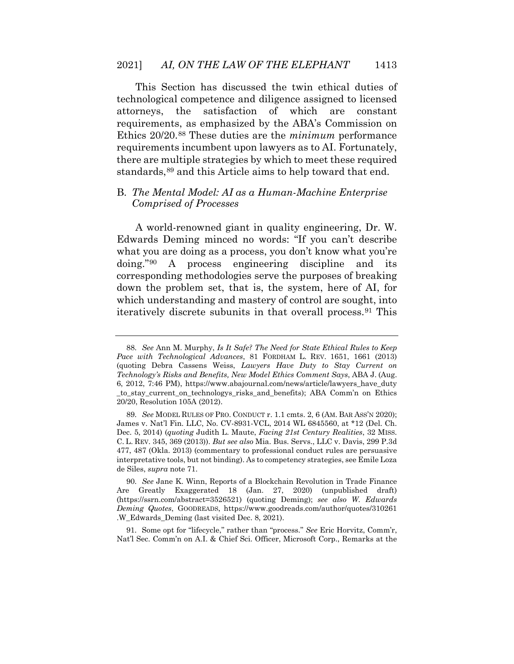This Section has discussed the twin ethical duties of technological competence and diligence assigned to licensed attorneys, the satisfaction of which are constant requirements, as emphasized by the ABA's Commission on Ethics 20/20.[88](#page-25-3) These duties are the *minimum* performance requirements incumbent upon lawyers as to AI. Fortunately, there are multiple strategies by which to meet these required standards,<sup>[89](#page-25-4)</sup> and this Article aims to help toward that end.

#### B. *The Mental Model: AI as a Human-Machine Enterprise Comprised of Processes*

A world-renowned giant in quality engineering, Dr. W. Edwards Deming minced no words: "If you can't describe what you are doing as a process, you don't know what you're doing."[90](#page-26-0) A process engineering discipline and its corresponding methodologies serve the purposes of breaking down the problem set, that is, the system, here of AI, for which understanding and mastery of control are sought, into iteratively discrete subunits in that overall process.[91](#page-26-1) This

<span id="page-25-4"></span>91. Some opt for "lifecycle," rather than "process." *See* Eric Horvitz, Comm'r, Nat'l Sec. Comm'n on A.I. & Chief Sci. Officer, Microsoft Corp., Remarks at the

<sup>88.</sup> *See* Ann M. Murphy, *Is It Safe? The Need for State Ethical Rules to Keep Pace with Technological Advances*, 81 FORDHAM L. REV. 1651, 1661 (2013) (quoting Debra Cassens Weiss, *Lawyers Have Duty to Stay Current on Technology's Risks and Benefits, New Model Ethics Comment Says*, ABA J. (Aug. 6, 2012, 7:46 PM), https://www.abajournal.com/news/article/lawyers\_have\_duty \_to\_stay\_current\_on\_technologys\_risks\_and\_benefits); ABA Comm'n on Ethics 20/20, Resolution 105A (2012).

<span id="page-25-2"></span><span id="page-25-1"></span><span id="page-25-0"></span><sup>89.</sup> *See* MODEL RULES OF PRO. CONDUCT r. 1.1 cmts. 2, 6 (AM. BAR ASS'N 2020); James v. Nat'l Fin. LLC, No. CV-8931-VCL, 2014 WL 6845560, at \*12 (Del. Ch. Dec. 5, 2014) (*quoting* Judith L. Maute, *Facing 21st Century Realities*, 32 MISS. C. L. REV. 345, 369 (2013)). *But see also* Mia. Bus. Servs., LLC v. Davis, 299 P.3d 477, 487 (Okla. 2013) (commentary to professional conduct rules are persuasive interpretative tools, but not binding). As to competency strategies, see Emile Loza de Siles, *supra* note 71.

<span id="page-25-3"></span><sup>90.</sup> *See* Jane K. Winn, Reports of a Blockchain Revolution in Trade Finance Are Greatly Exaggerated 18 (Jan. 27, 2020) (unpublished draft) (https://ssrn.com/abstract=3526521) (quoting Deming); *see also W. Edwards Deming Quotes*, GOODREADS, https://www.goodreads.com/author/quotes/310261 .W\_Edwards\_Deming (last visited Dec. 8, 2021).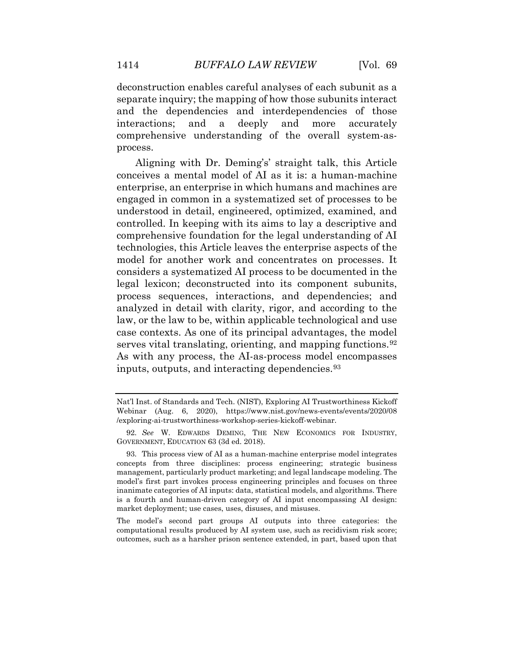deconstruction enables careful analyses of each subunit as a separate inquiry; the mapping of how those subunits interact and the dependencies and interdependencies of those interactions; and a deeply and more accurately comprehensive understanding of the overall system-asprocess.

Aligning with Dr. Deming's' straight talk, this Article conceives a mental model of AI as it is: a human-machine enterprise, an enterprise in which humans and machines are engaged in common in a systematized set of processes to be understood in detail, engineered, optimized, examined, and controlled. In keeping with its aims to lay a descriptive and comprehensive foundation for the legal understanding of AI technologies, this Article leaves the enterprise aspects of the model for another work and concentrates on processes. It considers a systematized AI process to be documented in the legal lexicon; deconstructed into its component subunits, process sequences, interactions, and dependencies; and analyzed in detail with clarity, rigor, and according to the law, or the law to be, within applicable technological and use case contexts. As one of its principal advantages, the model serves vital translating, orienting, and mapping functions.[92](#page-27-0) As with any process, the AI-as-process model encompasses inputs, outputs, and interacting dependencies.[93](#page-27-1)

<span id="page-26-1"></span>The model's second part groups AI outputs into three categories: the computational results produced by AI system use, such as recidivism risk score; outcomes, such as a harsher prison sentence extended, in part, based upon that

Nat'l Inst. of Standards and Tech. (NIST), Exploring AI Trustworthiness Kickoff Webinar (Aug. 6, 2020), https://www.nist.gov/news-events/events/2020/08 /exploring-ai-trustworthiness-workshop-series-kickoff-webinar*.*

<span id="page-26-0"></span><sup>92.</sup> *See* W. EDWARDS DEMING, THE NEW ECONOMICS FOR INDUSTRY, GOVERNMENT, EDUCATION 63 (3d ed. 2018).

<sup>93.</sup> This process view of AI as a human-machine enterprise model integrates concepts from three disciplines: process engineering; strategic business management, particularly product marketing; and legal landscape modeling. The model's first part invokes process engineering principles and focuses on three inanimate categories of AI inputs: data, statistical models, and algorithms. There is a fourth and human-driven category of AI input encompassing AI design: market deployment; use cases, uses, disuses, and misuses.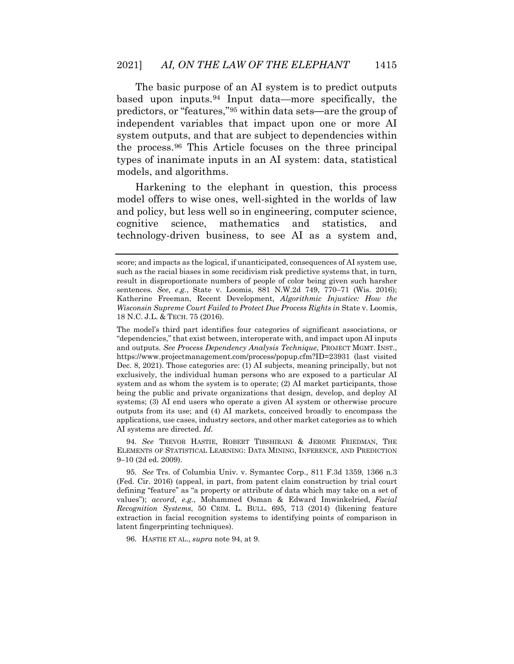The basic purpose of an AI system is to predict outputs based upon inputs.[94](#page-28-0) Input data—more specifically, the predictors, or "features,"[95](#page-28-1) within data sets**—**are the group of independent variables that impact upon one or more AI system outputs, and that are subject to dependencies within the process.[96](#page-28-2) This Article focuses on the three principal types of inanimate inputs in an AI system: data, statistical models, and algorithms.

Harkening to the elephant in question, this process model offers to wise ones, well-sighted in the worlds of law and policy, but less well so in engineering, computer science, cognitive science, mathematics and statistics, and technology-driven business, to see AI as a system and,

94. *See* TREVOR HASTIE, ROBERT TIBSHIRANI & JEROME FRIEDMAN, THE ELEMENTS OF STATISTICAL LEARNING: DATA MINING, INFERENCE, AND PREDICTION 9–10 (2d ed. 2009).

95. *See* Trs. of Columbia Univ. v. Symantec Corp., 811 F.3d 1359, 1366 n.3 (Fed. Cir. 2016) (appeal, in part, from patent claim construction by trial court defining "feature" as "a property or attribute of data which may take on a set of values"); *accord, e.g.*, Mohammed Osman & Edward Imwinkelried, *Facial Recognition Systems*, 50 CRIM. L. BULL. 695, 713 (2014) (likening feature extraction in facial recognition systems to identifying points of comparison in latent fingerprinting techniques).

96. HASTIE ET AL., *supra* note 94, at 9.

<span id="page-27-1"></span><span id="page-27-0"></span>score; and impacts as the logical, if unanticipated, consequences of AI system use, such as the racial biases in some recidivism risk predictive systems that, in turn, result in disproportionate numbers of people of color being given such harsher sentences. *See, e.g.*, State v. Loomis, 881 N.W.2d 749, 770–71 (Wis. 2016); Katherine Freeman, Recent Development, *Algorithmic Injustice: How the Wisconsin Supreme Court Failed to Protect Due Process Rights in State v. Loomis,* 18 N.C. J.L. & TECH. 75 (2016).

The model's third part identifies four categories of significant associations, or "dependencies," that exist between, interoperate with, and impact upon AI inputs and outputs. *See Process Dependency Analysis Technique*, PROJECT MGMT. INST., https://www.projectmanagement.com/process/popup.cfm?ID=23931 (last visited Dec. 8, 2021). Those categories are: (1) AI subjects, meaning principally, but not exclusively, the individual human persons who are exposed to a particular AI system and as whom the system is to operate; (2) AI market participants, those being the public and private organizations that design, develop, and deploy AI systems; (3) AI end users who operate a given AI system or otherwise procure outputs from its use; and (4) AI markets, conceived broadly to encompass the applications, use cases, industry sectors, and other market categories as to which AI systems are directed. *Id.*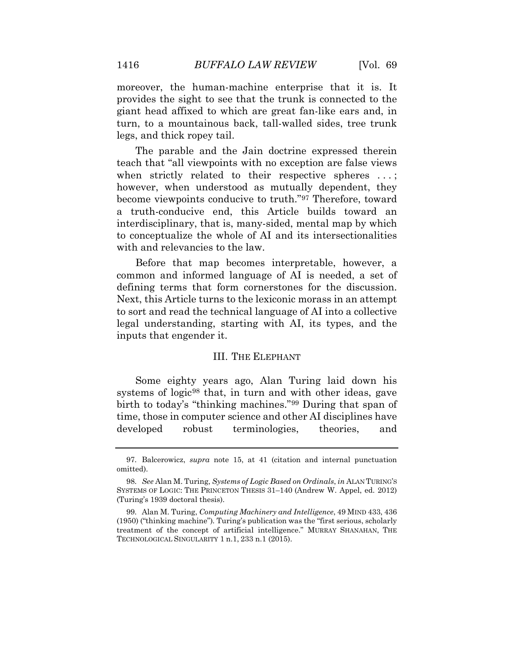moreover, the human-machine enterprise that it is. It provides the sight to see that the trunk is connected to the giant head affixed to which are great fan-like ears and, in turn, to a mountainous back, tall-walled sides, tree trunk legs, and thick ropey tail.

The parable and the Jain doctrine expressed therein teach that "all viewpoints with no exception are false views when strictly related to their respective spheres ...; however, when understood as mutually dependent, they become viewpoints conducive to truth."[97](#page-28-3) Therefore, toward a truth-conducive end, this Article builds toward an interdisciplinary, that is, many-sided, mental map by which to conceptualize the whole of AI and its intersectionalities with and relevancies to the law.

Before that map becomes interpretable, however, a common and informed language of AI is needed, a set of defining terms that form cornerstones for the discussion. Next, this Article turns to the lexiconic morass in an attempt to sort and read the technical language of AI into a collective legal understanding, starting with AI, its types, and the inputs that engender it.

#### III. THE ELEPHANT

<span id="page-28-0"></span>Some eighty years ago, Alan Turing laid down his systems of logic<sup>[98](#page-29-0)</sup> that, in turn and with other ideas, gave birth to today's "thinking machines."[99](#page-29-1) During that span of time, those in computer science and other AI disciplines have developed robust terminologies, theories, and

<span id="page-28-1"></span><sup>97.</sup> Balcerowicz, *supra* note 15, at 41 (citation and internal punctuation omitted).

<sup>98.</sup> *See* Alan M. Turing, *Systems of Logic Based on Ordinals*, *in* ALAN TURING'S SYSTEMS OF LOGIC: THE PRINCETON THESIS 31–140 (Andrew W. Appel, ed. 2012) (Turing's 1939 doctoral thesis).

<span id="page-28-3"></span><span id="page-28-2"></span><sup>99.</sup> Alan M. Turing, *Computing Machinery and Intelligence*, 49 MIND 433, 436 (1950) ("thinking machine")*.* Turing's publication was the "first serious, scholarly treatment of the concept of artificial intelligence." MURRAY SHANAHAN, THE TECHNOLOGICAL SINGULARITY 1 n.1, 233 n.1 (2015).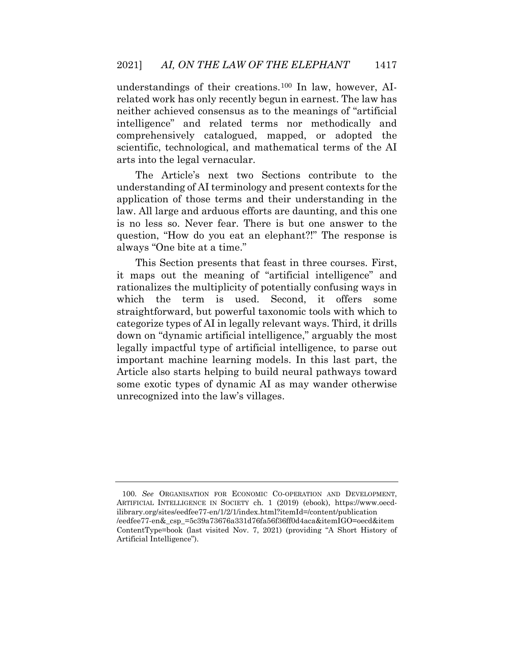understandings of their creations.[100](#page-29-2) In law, however, AIrelated work has only recently begun in earnest. The law has neither achieved consensus as to the meanings of "artificial intelligence" and related terms nor methodically and comprehensively catalogued, mapped, or adopted the scientific, technological, and mathematical terms of the AI arts into the legal vernacular.

The Article's next two Sections contribute to the understanding of AI terminology and present contexts for the application of those terms and their understanding in the law. All large and arduous efforts are daunting, and this one is no less so. Never fear. There is but one answer to the question, "How do you eat an elephant?!" The response is always "One bite at a time."

This Section presents that feast in three courses. First, it maps out the meaning of "artificial intelligence" and rationalizes the multiplicity of potentially confusing ways in which the term is used. Second, it offers some straightforward, but powerful taxonomic tools with which to categorize types of AI in legally relevant ways. Third, it drills down on "dynamic artificial intelligence," arguably the most legally impactful type of artificial intelligence, to parse out important machine learning models. In this last part, the Article also starts helping to build neural pathways toward some exotic types of dynamic AI as may wander otherwise unrecognized into the law's villages.

<span id="page-29-2"></span><span id="page-29-1"></span><span id="page-29-0"></span><sup>100.</sup> *See* ORGANISATION FOR ECONOMIC CO-OPERATION AND DEVELOPMENT, ARTIFICIAL INTELLIGENCE IN SOCIETY ch. 1 (2019) (ebook), https://www.oecdilibrary.org/sites/eedfee77-en/1/2/1/index.html?itemId=/content/publication /eedfee77-en&\_csp\_=5c39a73676a331d76fa56f36ff0d4aca&itemIGO=oecd&item ContentType=book (last visited Nov. 7, 2021) (providing "A Short History of Artificial Intelligence").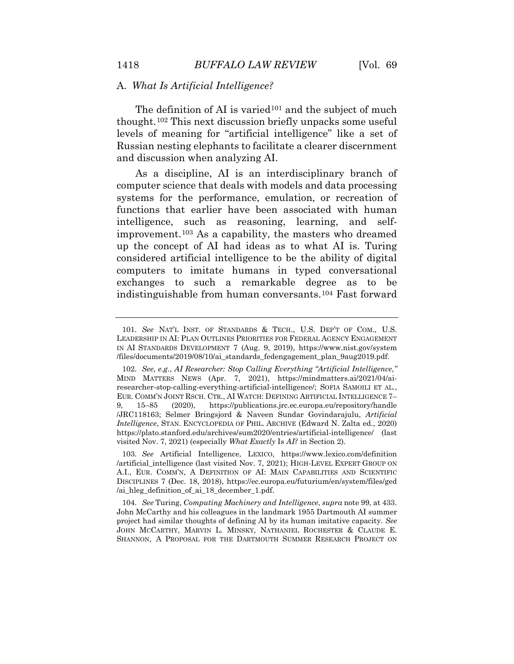#### A. *What Is Artificial Intelligence?*

The definition of AI is varied<sup>[101](#page-30-0)</sup> and the subject of much thought.[102](#page-30-1) This next discussion briefly unpacks some useful levels of meaning for "artificial intelligence" like a set of Russian nesting elephants to facilitate a clearer discernment and discussion when analyzing AI.

As a discipline, AI is an interdisciplinary branch of computer science that deals with models and data processing systems for the performance, emulation, or recreation of functions that earlier have been associated with human intelligence, such as reasoning, learning, and selfimprovement.[103](#page-31-0) As a capability, the masters who dreamed up the concept of AI had ideas as to what AI is. Turing considered artificial intelligence to be the ability of digital computers to imitate humans in typed conversational exchanges to such a remarkable degree as to be indistinguishable from human conversants.[104](#page-31-1) Fast forward

<sup>101.</sup> *See* NAT'L INST. OF STANDARDS & TECH., U.S. DEP'T OF COM., U.S. LEADERSHIP IN AI: PLAN OUTLINES PRIORITIES FOR FEDERAL AGENCY ENGAGEMENT IN AI STANDARDS DEVELOPMENT 7 (Aug. 9, 2019), https://www.nist.gov/system /files/documents/2019/08/10/ai\_standards\_fedengagement\_plan\_9aug2019.pdf.

<sup>102.</sup> *See, e.g.*, *AI Researcher: Stop Calling Everything "Artificial Intelligence*,*"* MIND MATTERS NEWS (Apr. 7, 2021), https://mindmatters.ai/2021/04/airesearcher-stop-calling-everything-artificial-intelligence/; SOFIA SAMOILI ET AL*.*, EUR. COMM'N JOINT RSCH. CTR., AI WATCH: DEFINING ARTIFICIAL INTELLIGENCE 7– 9, 15–85 (2020), https://publications.jrc.ec.europa.eu/repository/handle /JRC118163; Selmer Bringsjord & Naveen Sundar Govindarajulu, *Artificial Intelligence*, STAN. ENCYCLOPEDIA OF PHIL. ARCHIVE (Edward N. Zalta ed., 2020) https://plato.stanford.edu/archives/sum2020/entries/artificial-intelligence/ (last visited Nov. 7, 2021) (especially *What Exactly* Is *AI?* in Section 2).

<span id="page-30-0"></span><sup>103.</sup> *See* Artificial Intelligence, LEXICO, https://www.lexico.com/definition /artificial\_intelligence (last visited Nov. 7, 2021); HIGH-LEVEL EXPERT GROUP ON A.I., EUR. COMM'N, A DEFINITION OF AI: MAIN CAPABILITIES AND SCIENTIFIC DISCIPLINES 7 (Dec. 18, 2018), https://ec.europa.eu/futurium/en/system/files/ged /ai\_hleg\_definition\_of\_ai\_18\_december\_1.pdf.

<span id="page-30-1"></span><sup>104.</sup> *See* Turing, *Computing Machinery and Intelligence*, *supra* note 99, at 433. John McCarthy and his colleagues in the landmark 1955 Dartmouth AI summer project had similar thoughts of defining AI by its human imitative capacity. *See*  JOHN MCCARTHY, MARVIN L. MINSKY, NATHANIEL ROCHESTER & CLAUDE E. SHANNON, A PROPOSAL FOR THE DARTMOUTH SUMMER RESEARCH PROJECT ON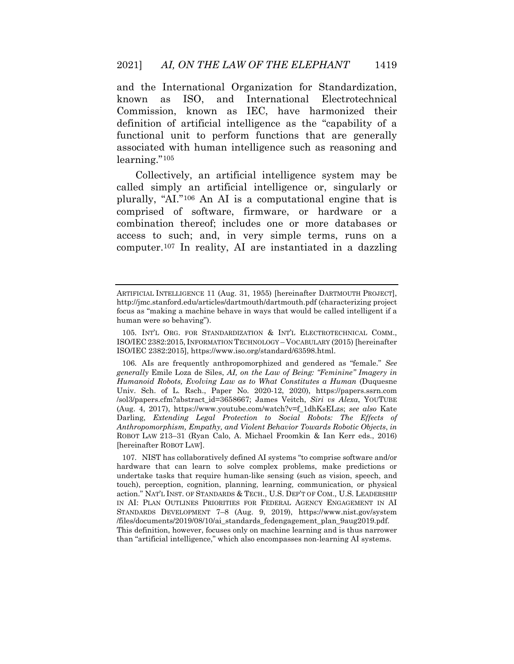and the International Organization for Standardization, known as ISO, and International Electrotechnical Commission, known as IEC, have harmonized their definition of artificial intelligence as the "capability of a functional unit to perform functions that are generally associated with human intelligence such as reasoning and learning."<sup>[105](#page-31-2)</sup>

Collectively, an artificial intelligence system may be called simply an artificial intelligence or, singularly or plurally, "AI."[106](#page-32-0) An AI is a computational engine that is comprised of software, firmware, or hardware or a combination thereof; includes one or more databases or access to such; and, in very simple terms, runs on a computer.[107](#page-32-1) In reality, AI are instantiated in a dazzling

<span id="page-31-2"></span><span id="page-31-1"></span>107. NIST has collaboratively defined AI systems "to comprise software and/or hardware that can learn to solve complex problems, make predictions or undertake tasks that require human-like sensing (such as vision, speech, and touch), perception, cognition, planning, learning, communication, or physical action." NAT'L INST. OF STANDARDS & TECH., U.S. DEP'T OF COM., U.S. LEADERSHIP IN AI: PLAN OUTLINES PRIORITIES FOR FEDERAL AGENCY ENGAGEMENT IN AI STANDARDS DEVELOPMENT 7–8 (Aug. 9, 2019), https://www.nist.gov/system /files/documents/2019/08/10/ai\_standards\_fedengagement\_plan\_9aug2019.pdf. This definition, however, focuses only on machine learning and is thus narrower than "artificial intelligence," which also encompasses non-learning AI systems.

ARTIFICIAL INTELLIGENCE 11 (Aug. 31, 1955) [hereinafter DARTMOUTH PROJECT], http://jmc.stanford.edu/articles/dartmouth/dartmouth.pdf (characterizing project focus as "making a machine behave in ways that would be called intelligent if a human were so behaving").

<sup>105.</sup> INT'L ORG. FOR STANDARDIZATION & INT'L ELECTROTECHNICAL COMM., ISO/IEC 2382:2015, INFORMATION TECHNOLOGY – VOCABULARY (2015) [hereinafter ISO/IEC 2382:2015], https://www.iso.org/standard/63598.html.

<span id="page-31-0"></span><sup>106.</sup> AIs are frequently anthropomorphized and gendered as "female." *See generally* Emile Loza de Siles, *AI, on the Law of Being: "Feminine" Imagery in Humanoid Robots, Evolving Law as to What Constitutes a Human* (Duquesne Univ. Sch. of L. Rsch., Paper No. 2020-12, 2020), https://papers.ssrn.com /sol3/papers.cfm?abstract\_id=3658667; James Veitch, *Siri vs Alexa*, YOUTUBE (Aug. 4, 2017), https://www.youtube.com/watch?v=f\_1dhKsELzs; *see also* Kate Darling, *Extending Legal Protection to Social Robots: The Effects of Anthropomorphism, Empathy, and Violent Behavior Towards Robotic Objects*, *in*  ROBOT LAW 213–31 (Ryan Calo, A. Michael Froomkin & Ian Kerr eds., 2016) [hereinafter ROBOT LAW].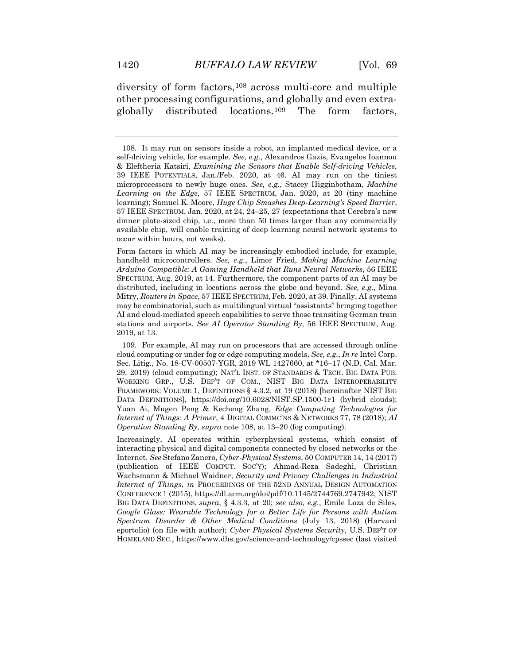diversity of form factors,<sup>[108](#page-32-2)</sup> across multi-core and multiple other processing configurations, and globally and even extraglobally distributed locations.[109](#page-33-0) The form factors,

<span id="page-32-1"></span>Form factors in which AI may be increasingly embodied include, for example, handheld microcontrollers. *See, e.g.*, Limor Fried, *Making Machine Learning Arduino Compatible: A Gaming Handheld that Runs Neural Networks*, 56 IEEE SPECTRUM, Aug. 2019, at 14. Furthermore, the component parts of an AI may be distributed, including in locations across the globe and beyond. *See, e.g.*, Mina Mitry, *Routers in Space*, 57 IEEE SPECTRUM, Feb. 2020, at 39. Finally, AI systems may be combinatorial, such as multilingual virtual "assistants" bringing together AI and cloud-mediated speech capabilities to serve those transiting German train stations and airports. *See AI Operator Standing By*, 56 IEEE SPECTRUM, Aug. 2019, at 13.

<span id="page-32-2"></span>109. For example, AI may run on processors that are accessed through online cloud computing or under fog or edge computing models. *See, e.g.*, *In re* Intel Corp. Sec. Litig., No. 18-CV-00507-YGR, 2019 WL 1427660, at \*16–17 (N.D. Cal. Mar. 29, 2019) (cloud computing); NAT'L INST. OF STANDARDS & TECH. BIG DATA PUB. WORKING GRP., U.S. DEP'T OF COM., NIST BIG DATA INTEROPERABILITY FRAMEWORK: VOLUME 1, DEFINITIONS § 4.3.2, at 19 (2018) [hereinafter NIST BIG DATA DEFINITIONS], https://doi.org/10.6028/NIST.SP.1500-1r1 (hybrid clouds); Yuan Ai, Mugen Peng & Kecheng Zhang, *Edge Computing Technologies for Internet of Things: A Primer*, 4 DIGITAL COMMC'NS & NETWORKS 77, 78 (2018); *AI Operation Standing By*, *supra* note 108, at 13–20 (fog computing).

Increasingly, AI operates within cyberphysical systems, which consist of interacting physical and digital components connected by closed networks or the Internet. *See* Stefano Zanero, *Cyber-Physical Systems*, 50 COMPUTER 14, 14 (2017) (publication of IEEE COMPUT. SOC'Y); Ahmad-Reza Sadeghi, Christian Wachsmann & Michael Waidner, *Security and Privacy Challenges in Industrial Internet of Things*, *in* PROCEEDINGS OF THE 52ND ANNUAL DESIGN AUTOMATION CONFERENCE 1 (2015), https://dl.acm.org/doi/pdf/10.1145/2744769.2747942; NIST BIG DATA DEFINITIONS, *supra*, § 4.3.3, at 20; *see also, e.g.*, Emile Loza de Siles, *Google Glass: Wearable Technology for a Better Life for Persons with Autism Spectrum Disorder & Other Medical Conditions* (July 13, 2018) (Harvard eportolio) (on file with author); *Cyber Physical Systems Security*, U.S. DEP'T OF HOMELAND SEC., https://www.dhs.gov/science-and-technology/cpssec (last visited

<span id="page-32-0"></span><sup>108.</sup> It may run on sensors inside a robot, an implanted medical device, or a self-driving vehicle, for example. *See, e.g.*, Alexandros Gazis, Evangelos Ioannou & Eleftheria Katsiri, *Examining the Sensors that Enable Self-driving Vehicles*, 39 IEEE POTENTIALS, Jan./Feb. 2020, at 46. AI may run on the tiniest microprocessors to newly huge ones. *See, e.g.*, Stacey Higginbotham, *Machine Learning on the Edge*, 57 IEEE SPECTRUM, Jan. 2020, at 20 (tiny machine learning); Samuel K. Moore, *Huge Chip Smashes Deep-Learning's Speed Barrier*, 57 IEEE SPECTRUM, Jan. 2020, at 24, 24–25, 27 (expectations that Cerebra's new dinner plate-sized chip, i.e., more than 50 times larger than any commercially available chip, will enable training of deep learning neural network systems to occur within hours, not weeks).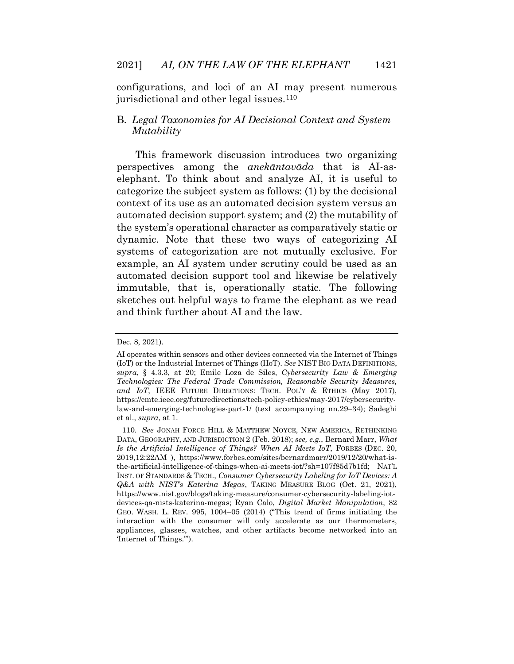configurations, and loci of an AI may present numerous jurisdictional and other legal issues.<sup>[110](#page-33-1)</sup>

#### B. *Legal Taxonomies for AI Decisional Context and System Mutability*

<span id="page-33-0"></span>This framework discussion introduces two organizing perspectives among the *anekāntavāda* that is AI-aselephant. To think about and analyze AI, it is useful to categorize the subject system as follows: (1) by the decisional context of its use as an automated decision system versus an automated decision support system; and (2) the mutability of the system's operational character as comparatively static or dynamic. Note that these two ways of categorizing AI systems of categorization are not mutually exclusive. For example, an AI system under scrutiny could be used as an automated decision support tool and likewise be relatively immutable, that is, operationally static. The following sketches out helpful ways to frame the elephant as we read and think further about AI and the law.

Dec. 8, 2021).

AI operates within sensors and other devices connected via the Internet of Things (IoT) or the Industrial Internet of Things (IIoT). *See* NIST BIG DATA DEFINITIONS, *supra*, § 4.3.3, at 20; Emile Loza de Siles, *Cybersecurity Law & Emerging Technologies: The Federal Trade Commission, Reasonable Security Measures, and IoT*, IEEE FUTURE DIRECTIONS: TECH. POL'Y & ETHICS (May 2017), https://cmte.ieee.org/futuredirections/tech-policy-ethics/may-2017/cybersecuritylaw-and-emerging-technologies-part-1/ (text accompanying nn.29–34); Sadeghi et al., *supra*, at 1.

<span id="page-33-1"></span><sup>110.</sup> *See* JONAH FORCE HILL & MATTHEW NOYCE, NEW AMERICA, RETHINKING DATA, GEOGRAPHY, AND JURISDICTION 2 (Feb. 2018); *see, e.g.*, Bernard Marr, *What Is the Artificial Intelligence of Things? When AI Meets IoT*, FORBES (DEC. 20, 2019,12:22AM ), https://www.forbes.com/sites/bernardmarr/2019/12/20/what-isthe-artificial-intelligence-of-things-when-ai-meets-iot/?sh=107f85d7b1fd; NAT'L INST. OF STANDARDS & TECH., *Consumer Cybersecurity Labeling for IoT Devices: A Q&A with NIST's Katerina Megas*, TAKING MEASURE BLOG (Oct. 21, 2021), https://www.nist.gov/blogs/taking-measure/consumer-cybersecurity-labeling-iotdevices-qa-nists-katerina-megas; Ryan Calo, *Digital Market Manipulation*, 82 GEO. WASH. L. REV. 995, 1004–05 (2014) ("This trend of firms initiating the interaction with the consumer will only accelerate as our thermometers, appliances, glasses, watches, and other artifacts become networked into an 'Internet of Things.'").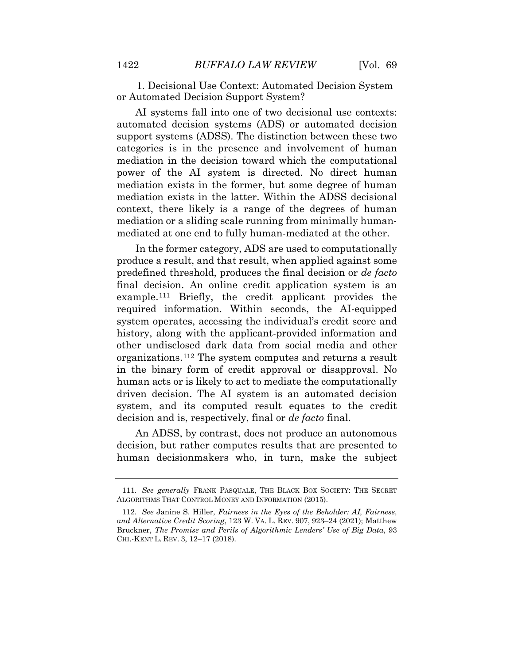1. Decisional Use Context: Automated Decision System or Automated Decision Support System?

AI systems fall into one of two decisional use contexts: automated decision systems (ADS) or automated decision support systems (ADSS). The distinction between these two categories is in the presence and involvement of human mediation in the decision toward which the computational power of the AI system is directed. No direct human mediation exists in the former, but some degree of human mediation exists in the latter. Within the ADSS decisional context, there likely is a range of the degrees of human mediation or a sliding scale running from minimally humanmediated at one end to fully human-mediated at the other.

In the former category, ADS are used to computationally produce a result, and that result, when applied against some predefined threshold, produces the final decision or *de facto*  final decision. An online credit application system is an example.[111](#page-35-0) Briefly, the credit applicant provides the required information. Within seconds, the AI-equipped system operates, accessing the individual's credit score and history, along with the applicant-provided information and other undisclosed dark data from social media and other organizations.[112](#page-35-1) The system computes and returns a result in the binary form of credit approval or disapproval. No human acts or is likely to act to mediate the computationally driven decision. The AI system is an automated decision system, and its computed result equates to the credit decision and is, respectively, final or *de facto* final.

An ADSS, by contrast, does not produce an autonomous decision, but rather computes results that are presented to human decisionmakers who, in turn, make the subject

<sup>111.</sup> *See generally* FRANK PASQUALE, THE BLACK BOX SOCIETY: THE SECRET ALGORITHMS THAT CONTROL MONEY AND INFORMATION (2015).

<sup>112.</sup> *See* Janine S. Hiller, *Fairness in the Eyes of the Beholder: AI, Fairness, and Alternative Credit Scoring*, 123 W. VA. L. REV. 907, 923–24 (2021); Matthew Bruckner, *The Promise and Perils of Algorithmic Lenders' Use of Big Data*, 93 CHI.-KENT L. REV. 3, 12–17 (2018).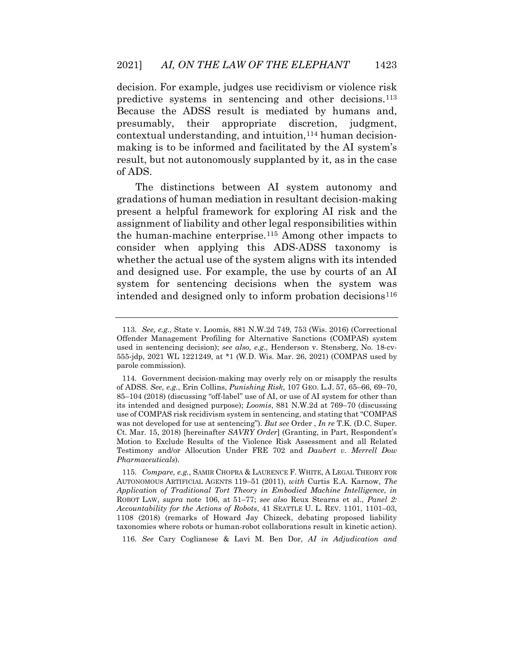decision. For example, judges use recidivism or violence risk predictive systems in sentencing and other decisions.[113](#page-35-2) Because the ADSS result is mediated by humans and, presumably, their appropriate discretion, judgment, contextual understanding, and intuition,[114](#page-35-3) human decisionmaking is to be informed and facilitated by the AI system's result, but not autonomously supplanted by it, as in the case of ADS.

The distinctions between AI system autonomy and gradations of human mediation in resultant decision-making present a helpful framework for exploring AI risk and the assignment of liability and other legal responsibilities within the human-machine enterprise.[115](#page-36-0) Among other impacts to consider when applying this ADS-ADSS taxonomy is whether the actual use of the system aligns with its intended and designed use. For example, the use by courts of an AI system for sentencing decisions when the system was intended and designed only to inform probation decisions<sup>[116](#page-36-1)</sup>

116. *See* Cary Coglianese & Lavi M. Ben Dor, *AI in Adjudication and* 

<sup>113.</sup> *See, e.g.*, State v. Loomis, 881 N.W.2d 749, 753 (Wis. 2016) (Correctional Offender Management Profiling for Alternative Sanctions (COMPAS) system used in sentencing decision); *see also, e.g.*, Henderson v. Stensberg, No. 18-cv-555-jdp, 2021 WL 1221249, at \*1 (W.D. Wis. Mar. 26, 2021) (COMPAS used by parole commission).

<span id="page-35-1"></span><span id="page-35-0"></span><sup>114.</sup> Government decision-making may overly rely on or misapply the results of ADSS. *See, e.g.*, Erin Collins, *Punishing Risk*, 107 GEO. L.J. 57, 65–66, 69–70, 85–104 (2018) (discussing "off-label" use of AI, or use of AI system for other than its intended and designed purpose); *Loomis*, 881 N.W.2d at 769–70 (discussing use of COMPAS risk recidivism system in sentencing, and stating that "COMPAS was not developed for use at sentencing"). *But see* Order , *In re* T.K. (D.C. Super. Ct. Mar. 15, 2018) [hereinafter *SAVRY Order*] (Granting, in Part, Respondent's Motion to Exclude Results of the Violence Risk Assessment and all Related Testimony and/or Allocution Under FRE 702 and *Daubert v. Merrell Dow Pharmaceuticals*).

<span id="page-35-3"></span><span id="page-35-2"></span><sup>115.</sup> *Compare, e.g.*, SAMIR CHOPRA & LAURENCE F. WHITE, A LEGAL THEORY FOR AUTONOMOUS ARTIFICIAL AGENTS 119–51 (2011), *with* Curtis E.A. Karnow, *The Application of Traditional Tort Theory in Embodied Machine Intelligence*, *in*  ROBOT LAW, *supra* note 106, at 51–77; *see also* Reux Stearns et al., *Panel 2: Accountability for the Actions of Robots*, 41 SEATTLE U. L. REV. 1101, 1101–03, 1108 (2018) (remarks of Howard Jay Chizeck, debating proposed liability taxonomies where robots or human-robot collaborations result in kinetic action).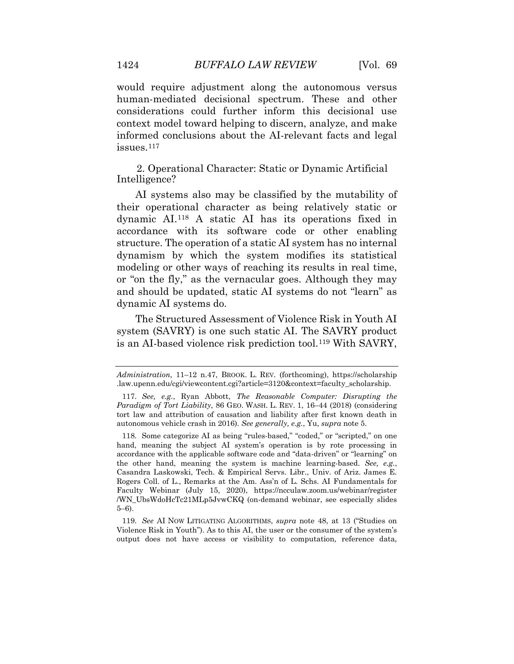would require adjustment along the autonomous versus human-mediated decisional spectrum. These and other considerations could further inform this decisional use context model toward helping to discern, analyze, and make informed conclusions about the AI-relevant facts and legal issues.[117](#page-36-0)

2. Operational Character: Static or Dynamic Artificial Intelligence?

AI systems also may be classified by the mutability of their operational character as being relatively static or dynamic AI.[118](#page-37-0) A static AI has its operations fixed in accordance with its software code or other enabling structure. The operation of a static AI system has no internal dynamism by which the system modifies its statistical modeling or other ways of reaching its results in real time, or "on the fly," as the vernacular goes. Although they may and should be updated, static AI systems do not "learn" as dynamic AI systems do.

The Structured Assessment of Violence Risk in Youth AI system (SAVRY) is one such static AI. The SAVRY product is an AI-based violence risk prediction tool.[119](#page-37-1) With SAVRY,

<span id="page-36-0"></span>119. *See* AI NOW LITIGATING ALGORITHMS, *supra* note 48, at 13 ("Studies on Violence Risk in Youth"). As to this AI, the user or the consumer of the system's output does not have access or visibility to computation, reference data,

*Administration*, 11–12 n.47, BROOK. L. REV. (forthcoming), https://scholarship .law.upenn.edu/cgi/viewcontent.cgi?article=3120&context=faculty\_scholarship.

<sup>117.</sup> *See, e.g.*, Ryan Abbott, *The Reasonable Computer: Disrupting the Paradigm of Tort Liability*, 86 GEO. WASH. L. REV. 1, 16–44 (2018) (considering tort law and attribution of causation and liability after first known death in autonomous vehicle crash in 2016). *See generally, e.g.*, Yu, *supra* note 5.

<sup>118.</sup> Some categorize AI as being "rules-based," "coded," or "scripted," on one hand, meaning the subject AI system's operation is by rote processing in accordance with the applicable software code and "data-driven" or "learning" on the other hand, meaning the system is machine learning-based. *See, e.g.*, Casandra Laskowski, Tech. & Empirical Servs. Libr., Univ. of Ariz. James E. Rogers Coll. of L., Remarks at the Am. Ass'n of L. Schs. AI Fundamentals for Faculty Webinar (July 15, 2020), https://ncculaw.zoom.us/webinar/register /WN\_UbsWdoHcTc21MLp5JvwCKQ (on-demand webinar, see especially slides 5–6).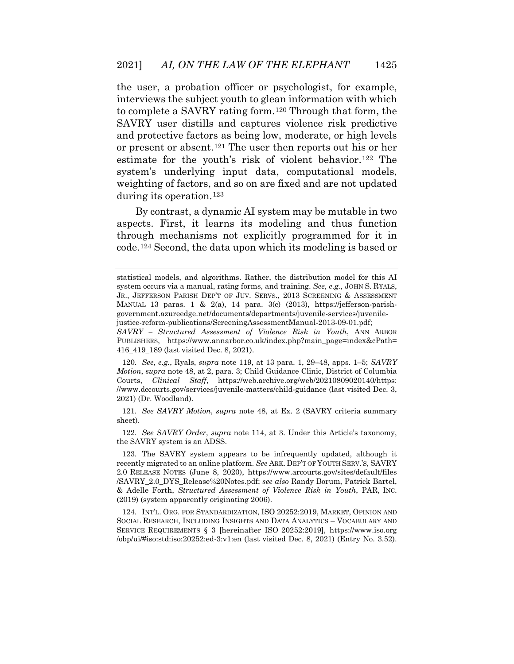the user, a probation officer or psychologist, for example, interviews the subject youth to glean information with which to complete a SAVRY rating form.[120](#page-37-2) Through that form, the SAVRY user distills and captures violence risk predictive and protective factors as being low, moderate, or high levels or present or absent.[121](#page-38-0) The user then reports out his or her estimate for the youth's risk of violent behavior.[122](#page-38-1) The system's underlying input data, computational models, weighting of factors, and so on are fixed and are not updated during its operation.<sup>[123](#page-38-2)</sup>

By contrast, a dynamic AI system may be mutable in two aspects. First, it learns its modeling and thus function through mechanisms not explicitly programmed for it in code.[124](#page-38-3) Second, the data upon which its modeling is based or

<span id="page-37-1"></span>121. *See SAVRY Motion*, *supra* note 48, at Ex. 2 (SAVRY criteria summary sheet).

122. *See SAVRY Order*, *supra* note 114, at 3. Under this Article's taxonomy, the SAVRY system is an ADSS.

statistical models, and algorithms. Rather, the distribution model for this AI system occurs via a manual, rating forms, and training. *See, e.g.*, JOHN S. RYALS, JR., JEFFERSON PARISH DEP'T OF JUV. SERVS., 2013 SCREENING & ASSESSMENT MANUAL 13 paras. 1 & 2(a), 14 para. 3(c) (2013), https://jefferson-parishgovernment.azureedge.net/documents/departments/juvenile-services/juvenilejustice-reform-publications/ScreeningAssessmentManual-2013-09-01.pdf;

<span id="page-37-0"></span>*SAVRY – Structured Assessment of Violence Risk in Youth*, ANN ARBOR PUBLISHERS, https://www.annarbor.co.uk/index.php?main\_page=index&cPath= 416\_419\_189 (last visited Dec. 8, 2021).

<sup>120.</sup> *See, e.g.*, Ryals, *supra* note 119, at 13 para. 1, 29–48, apps. 1–5; *SAVRY Motion*, *supra* note 48, at 2, para. 3; Child Guidance Clinic, District of Columbia Courts, *Clinical Staff*, https://web.archive.org/web/20210809020140/https: //www.dccourts.gov/services/juvenile-matters/child-guidance (last visited Dec. 3, 2021) (Dr. Woodland).

<sup>123.</sup> The SAVRY system appears to be infrequently updated, although it recently migrated to an online platform. *See* ARK. DEP'T OF YOUTH SERV.'S, SAVRY 2.0 RELEASE NOTES (June 8, 2020), https://www.arcourts.gov/sites/default/files /SAVRY\_2.0\_DYS\_Release%20Notes.pdf; *see also* Randy Borum, Patrick Bartel, & Adelle Forth, *Structured Assessment of Violence Risk in Youth*, PAR, INC. (2019) (system apparently originating 2006).

<span id="page-37-2"></span><sup>124.</sup> INT'L. ORG. FOR STANDARDIZATION, ISO 20252:2019, MARKET, OPINION AND SOCIAL RESEARCH, INCLUDING INSIGHTS AND DATA ANALYTICS – VOCABULARY AND SERVICE REQUIREMENTS § 3 [hereinafter ISO 20252:2019], https://www.iso.org /obp/ui/#iso:std:iso:20252:ed-3:v1:en (last visited Dec. 8, 2021) (Entry No. 3.52).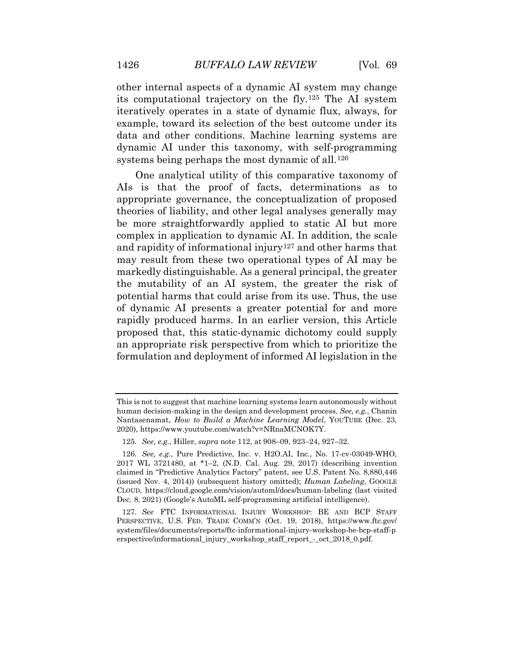other internal aspects of a dynamic AI system may change its computational trajectory on the fly.[125](#page-38-4) The AI system iteratively operates in a state of dynamic flux, always, for example, toward its selection of the best outcome under its data and other conditions. Machine learning systems are dynamic AI under this taxonomy, with self-programming systems being perhaps the most dynamic of all.[126](#page-39-0)

One analytical utility of this comparative taxonomy of AIs is that the proof of facts, determinations as to appropriate governance, the conceptualization of proposed theories of liability, and other legal analyses generally may be more straightforwardly applied to static AI but more complex in application to dynamic AI. In addition, the scale and rapidity of informational injury[127](#page-39-1) and other harms that may result from these two operational types of AI may be markedly distinguishable. As a general principal, the greater the mutability of an AI system, the greater the risk of potential harms that could arise from its use. Thus, the use of dynamic AI presents a greater potential for and more rapidly produced harms. In an earlier version, this Article proposed that, this static-dynamic dichotomy could supply an appropriate risk perspective from which to prioritize the formulation and deployment of informed AI legislation in the

<span id="page-38-2"></span><span id="page-38-1"></span><span id="page-38-0"></span>This is not to suggest that machine learning systems learn autonomously without human decision-making in the design and development process. *See, e.g.*, Chanin Nantasenamat, *How to Build a Machine Learning Model*, YOUTUBE (Dec. 23, 2020), https://www.youtube.com/watch?v=NRnaMCNOK7Y.

<sup>125.</sup> *See, e.g.*, Hiller, *supra* note 112, at 908–09, 923–24, 927–32.

<span id="page-38-3"></span><sup>126.</sup> *See, e.g.*, Pure Predictive, Inc. v. H2O.AI, Inc*.*, No. 17-cv-03049-WHO, 2017 WL 3721480, at \*1–2, (N.D. Cal. Aug. 29, 2017) (describing invention claimed in "Predictive Analytics Factory" patent, see U.S. Patent No. 8,880,446 (issued Nov. 4, 2014)) (subsequent history omitted); *Human Labeling*, GOOGLE CLOUD, https://cloud.google.com/vision/automl/docs/human-labeling (last visited Dec. 8, 2021) (Google's AutoML self-programming artificial intelligence).

<span id="page-38-4"></span><sup>127.</sup> *See* FTC INFORMATIONAL INJURY WORKSHOP: BE AND BCP STAFF PERSPECTIVE, U.S. FED. TRADE COMM'N (Oct. 19, 2018), https://www.ftc.gov/ system/files/documents/reports/ftc-informational-injury-workshop-be-bcp-staff-p erspective/informational\_injury\_workshop\_staff\_report\_-\_oct\_2018\_0.pdf.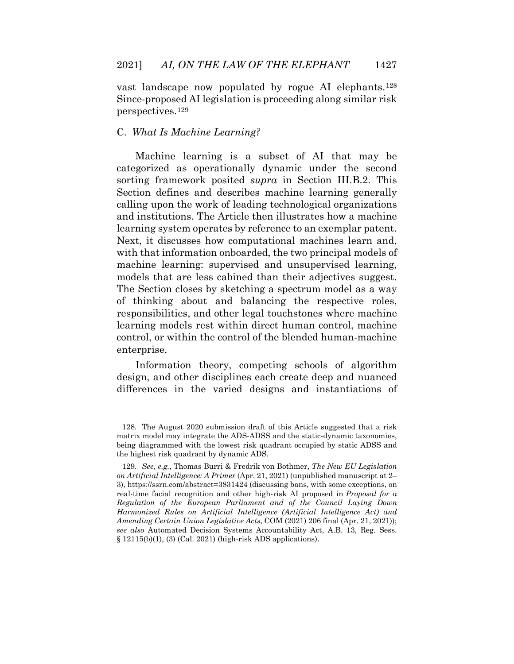vast landscape now populated by rogue AI elephants.[128](#page-39-2) Since-proposed AI legislation is proceeding along similar risk perspectives.[129](#page-39-3)

# C. *What Is Machine Learning?*

Machine learning is a subset of AI that may be categorized as operationally dynamic under the second sorting framework posited *supra* in Section III.B.2. This Section defines and describes machine learning generally calling upon the work of leading technological organizations and institutions. The Article then illustrates how a machine learning system operates by reference to an exemplar patent. Next, it discusses how computational machines learn and, with that information onboarded, the two principal models of machine learning: supervised and unsupervised learning, models that are less cabined than their adjectives suggest. The Section closes by sketching a spectrum model as a way of thinking about and balancing the respective roles, responsibilities, and other legal touchstones where machine learning models rest within direct human control, machine control, or within the control of the blended human-machine enterprise.

<span id="page-39-0"></span>Information theory, competing schools of algorithm design, and other disciplines each create deep and nuanced differences in the varied designs and instantiations of

<span id="page-39-1"></span><sup>128.</sup> The August 2020 submission draft of this Article suggested that a risk matrix model may integrate the ADS-ADSS and the static-dynamic taxonomies, being diagrammed with the lowest risk quadrant occupied by static ADSS and the highest risk quadrant by dynamic ADS.

<span id="page-39-3"></span><span id="page-39-2"></span><sup>129.</sup> *See, e.g.*, Thomas Burri & Fredrik von Bothmer, *The New EU Legislation on Artificial Intelligence: A Primer* (Apr. 21, 2021) (unpublished manuscript at 2– 3), https://ssrn.com/abstract=3831424 (discussing bans, with some exceptions, on real-time facial recognition and other high-risk AI proposed in *Proposal for a Regulation of the European Parliament and of the Council Laying Down Harmonized Rules on Artificial Intelligence (Artificial Intelligence Act) and Amending Certain Union Legislative Acts*, COM (2021) 206 final (Apr. 21, 2021)); *see also* Automated Decision Systems Accountability Act, A.B. 13, Reg. Sess. § 12115(b)(1), (3) (Cal. 2021) (high-risk ADS applications).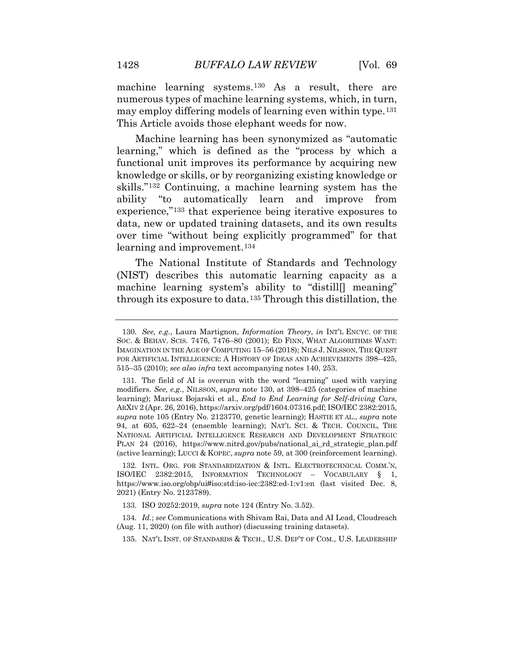machine learning systems.<sup>[130](#page-40-0)</sup> As a result, there are numerous types of machine learning systems, which, in turn, may employ differing models of learning even within type.[131](#page-40-1) This Article avoids those elephant weeds for now.

Machine learning has been synonymized as "automatic learning," which is defined as the "process by which a functional unit improves its performance by acquiring new knowledge or skills, or by reorganizing existing knowledge or skills."[132](#page-41-0) Continuing, a machine learning system has the ability "to automatically learn and improve from experience,"[133](#page-41-1) that experience being iterative exposures to data, new or updated training datasets, and its own results over time "without being explicitly programmed" for that learning and improvement.<sup>[134](#page-41-2)</sup>

The National Institute of Standards and Technology (NIST) describes this automatic learning capacity as a machine learning system's ability to "distill<sup>[]</sup> meaning" through its exposure to data[.135](#page-41-3) Through this distillation, the

<span id="page-40-0"></span>132. INTL. ORG. FOR STANDARDIZATION & INTL. ELECTROTECHNICAL COMM.'N, ISO/IEC 2382:2015, INFORMATION TECHNOLOGY – VOCABULARY § 1, https://www.iso.org/obp/ui#iso:std:iso-iec:2382:ed-1:v1:en (last visited Dec. 8, 2021) (Entry No. 2123789).

133. ISO 20252:2019, *supra* note 124 (Entry No. 3.52).

<span id="page-40-1"></span>134. *Id.*; *see* Communications with Shivam Rai, Data and AI Lead, Cloudreach (Aug. 11, 2020) (on file with author) (discussing training datasets).

135. NAT'L INST. OF STANDARDS & TECH., U.S. DEP'T OF COM., U.S. LEADERSHIP

<sup>130.</sup> *See, e.g.*, Laura Martignon, *Information Theory*, *in* INT'L ENCYC. OF THE SOC. & BEHAV. SCIS. 7476, 7476–80 (2001); ED FINN, WHAT ALGORITHMS WANT: IMAGINATION IN THE AGE OF COMPUTING 15–56 (2018); NILS J. NILSSON, THE QUEST FOR ARTIFICIAL INTELLIGENCE: A HISTORY OF IDEAS AND ACHIEVEMENTS 398–425, 515–35 (2010); *see also infra* text accompanying notes 140, 253.

<sup>131.</sup> The field of AI is overrun with the word "learning" used with varying modifiers. *See, e.g.*, NILSSON, *supra* note 130, at 398–425 (categories of machine learning); Mariusz Bojarski et al., *End to End Learning for Self-driving Cars*, ARXIV 2 (Apr. 26, 2016), https://arxiv.org/pdf/1604.07316.pdf; ISO/IEC 2382:2015, *supra* note 105 (Entry No. 2123770, genetic learning); HASTIE ET AL., *supra* note 94, at 605, 622–24 (ensemble learning); NAT'L SCI. & TECH. COUNCIL, THE NATIONAL ARTIFICIAL INTELLIGENCE RESEARCH AND DEVELOPMENT STRATEGIC PLAN 24 (2016), https://www.nitrd.gov/pubs/national\_ai\_rd\_strategic\_plan.pdf (active learning); LUCCI & KOPEC, *supra* note 59, at 300 (reinforcement learning).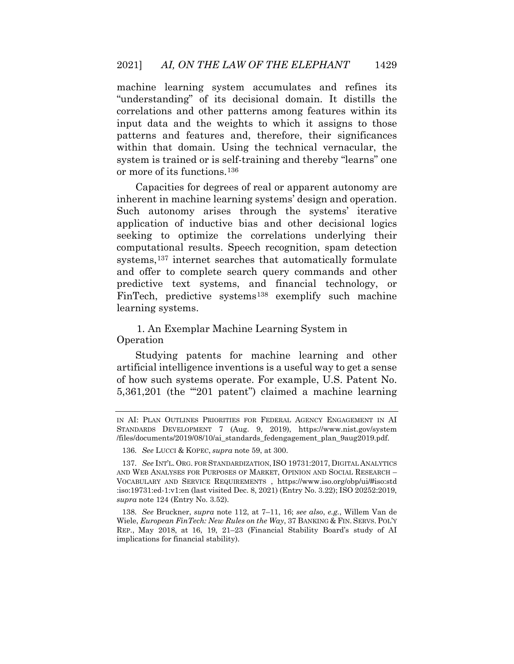machine learning system accumulates and refines its "understanding" of its decisional domain. It distills the correlations and other patterns among features within its input data and the weights to which it assigns to those patterns and features and, therefore, their significances within that domain. Using the technical vernacular, the system is trained or is self-training and thereby "learns" one or more of its functions.[136](#page-42-0)

Capacities for degrees of real or apparent autonomy are inherent in machine learning systems' design and operation. Such autonomy arises through the systems' iterative application of inductive bias and other decisional logics seeking to optimize the correlations underlying their computational results. Speech recognition, spam detection systems,<sup>137</sup> internet searches that automatically formulate and offer to complete search query commands and other predictive text systems, and financial technology, or FinTech, predictive systems<sup>[138](#page-42-2)</sup> exemplify such machine learning systems.

1. An Exemplar Machine Learning System in Operation

Studying patents for machine learning and other artificial intelligence inventions is a useful way to get a sense of how such systems operate. For example, U.S. Patent No. 5,361,201 (the "'201 patent") claimed a machine learning

<span id="page-41-0"></span>IN AI: PLAN OUTLINES PRIORITIES FOR FEDERAL AGENCY ENGAGEMENT IN AI STANDARDS DEVELOPMENT 7 (Aug. 9, 2019), https://www.nist.gov/system /files/documents/2019/08/10/ai\_standards\_fedengagement\_plan\_9aug2019.pdf.

<sup>136.</sup> *See* LUCCI & KOPEC, *supra* note 59, at 300.

<span id="page-41-2"></span><span id="page-41-1"></span><sup>137.</sup> *See* INT'L. ORG. FOR STANDARDIZATION, ISO 19731:2017, DIGITAL ANALYTICS AND WEB ANALYSES FOR PURPOSES OF MARKET, OPINION AND SOCIAL RESEARCH – VOCABULARY AND SERVICE REQUIREMENTS , https://www.iso.org/obp/ui/#iso:std :iso:19731:ed-1:v1:en (last visited Dec. 8, 2021) (Entry No. 3.22); ISO 20252:2019, *supra* note 124 (Entry No. 3.52).

<span id="page-41-3"></span><sup>138.</sup> *See* Bruckner, *supra* note 112, at 7–11, 16; *see also*, *e.g.*, Willem Van de Wiele, *European FinTech: New Rules on the Way*, 37 BANKING & FIN. SERVS. POL'Y REP., May 2018, at 16, 19, 21–23 (Financial Stability Board's study of AI implications for financial stability).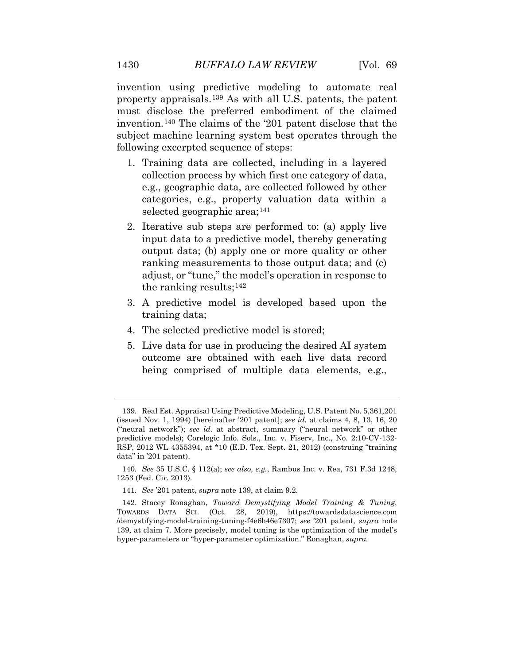invention using predictive modeling to automate real property appraisals.[139](#page-42-3) As with all U.S. patents, the patent must disclose the preferred embodiment of the claimed invention.[140](#page-43-0) The claims of the '201 patent disclose that the subject machine learning system best operates through the following excerpted sequence of steps:

- 1. Training data are collected, including in a layered collection process by which first one category of data, e.g., geographic data, are collected followed by other categories, e.g., property valuation data within a selected geographic area;<sup>[141](#page-43-1)</sup>
- 2. Iterative sub steps are performed to: (a) apply live input data to a predictive model, thereby generating output data; (b) apply one or more quality or other ranking measurements to those output data; and (c) adjust, or "tune," the model's operation in response to the ranking results;[142](#page-43-2)
- 3. A predictive model is developed based upon the training data;
- 4. The selected predictive model is stored;
- 5. Live data for use in producing the desired AI system outcome are obtained with each live data record being comprised of multiple data elements, e.g.,

<span id="page-42-1"></span><span id="page-42-0"></span><sup>139.</sup> Real Est. Appraisal Using Predictive Modeling, U.S. Patent No. 5,361,201 (issued Nov. 1, 1994) [hereinafter '201 patent]; *see id.* at claims 4, 8, 13, 16, 20 ("neural network"); *see id.* at abstract, summary ("neural network" or other predictive models); Corelogic Info. Sols., Inc. v. Fiserv, Inc., No. 2:10-CV-132- RSP, 2012 WL 4355394, at \*10 (E.D. Tex. Sept. 21, 2012) (construing "training data" in '201 patent).

<span id="page-42-3"></span><span id="page-42-2"></span><sup>140.</sup> *See* 35 U.S.C. § 112(a); *see also, e.g.*, Rambus Inc. v. Rea, 731 F.3d 1248, 1253 (Fed. Cir. 2013).

<sup>141.</sup> *See* '201 patent, *supra* note 139, at claim 9.2.

<sup>142.</sup> Stacey Ronaghan, *Toward Demystifying Model Training & Tuning*, TOWARDS DATA SCI. (Oct. 28, 2019), https://towardsdatascience.com /demystifying-model-training-tuning-f4e6b46e7307; *see* '201 patent, *supra* note 139, at claim 7. More precisely, model tuning is the optimization of the model's hyper-parameters or "hyper-parameter optimization." Ronaghan, *supra.*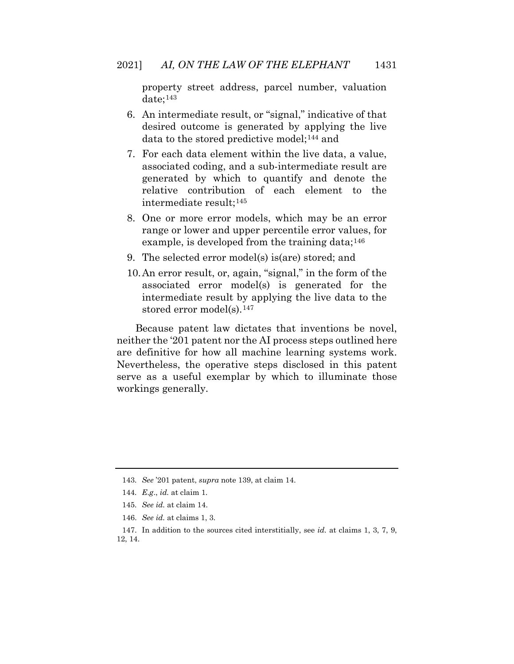property street address, parcel number, valuation date;[143](#page-43-3)

- 6. An intermediate result, or "signal," indicative of that desired outcome is generated by applying the live data to the stored predictive model;[144](#page-43-4) and
- 7. For each data element within the live data, a value, associated coding, and a sub-intermediate result are generated by which to quantify and denote the relative contribution of each element to the intermediate result;[145](#page-44-0)
- 8. One or more error models, which may be an error range or lower and upper percentile error values, for example, is developed from the training data;  $146$
- 9. The selected error model(s) is(are) stored; and
- 10.An error result, or, again, "signal," in the form of the associated error model(s) is generated for the intermediate result by applying the live data to the stored error model(s).<sup>[147](#page-44-2)</sup>

Because patent law dictates that inventions be novel, neither the '201 patent nor the AI process steps outlined here are definitive for how all machine learning systems work. Nevertheless, the operative steps disclosed in this patent serve as a useful exemplar by which to illuminate those workings generally.

146. *See id.* at claims 1, 3.

<span id="page-43-2"></span><span id="page-43-1"></span><span id="page-43-0"></span><sup>143.</sup> *See* '201 patent, *supra* note 139, at claim 14.

<sup>144.</sup> *E*.*g*., *id.* at claim 1.

<sup>145.</sup> *See id.* at claim 14.

<span id="page-43-4"></span><span id="page-43-3"></span><sup>147.</sup> In addition to the sources cited interstitially, see *id.* at claims 1, 3, 7, 9, 12, 14.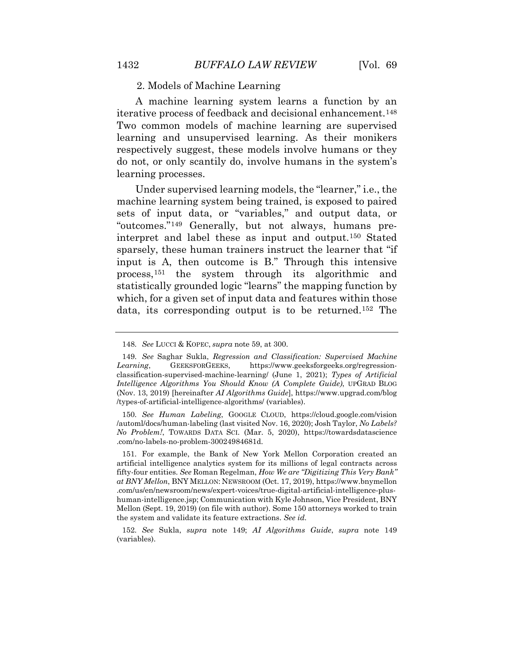2. Models of Machine Learning

A machine learning system learns a function by an iterative process of feedback and decisional enhancement.[148](#page-44-3) Two common models of machine learning are supervised learning and unsupervised learning. As their monikers respectively suggest, these models involve humans or they do not, or only scantily do, involve humans in the system's learning processes.

Under supervised learning models, the "learner," i.e., the machine learning system being trained, is exposed to paired sets of input data, or "variables," and output data, or "outcomes."[149](#page-45-0) Generally, but not always, humans preinterpret and label these as input and output.[150](#page-45-1) Stated sparsely, these human trainers instruct the learner that "if input is A, then outcome is B." Through this intensive process,[151](#page-45-2) the system through its algorithmic and statistically grounded logic "learns" the mapping function by which, for a given set of input data and features within those data, its corresponding output is to be returned.[152](#page-45-3) The

150. *See Human Labeling*, GOOGLE CLOUD, https://cloud.google.com/vision /automl/docs/human-labeling (last visited Nov. 16, 2020); Josh Taylor, *No Labels? No Problem!*, TOWARDS DATA SCI. (Mar. 5, 2020), https://towardsdatascience .com/no-labels-no-problem-30024984681d.

<sup>148.</sup> *See* LUCCI & KOPEC, *supra* note 59, at 300.

<sup>149.</sup> *See* Saghar Sukla, *Regression and Classification: Supervised Machine Learning*, GEEKSFORGEEKS, https://www.geeksforgeeks.org/regressionclassification-supervised-machine-learning/ (June 1, 2021); *Types of Artificial Intelligence Algorithms You Should Know (A Complete Guide)*, UPGRAD BLOG (Nov. 13, 2019) [hereinafter *AI Algorithms Guide*], https://www.upgrad.com/blog /types-of-artificial-intelligence-algorithms/ (variables).

<span id="page-44-0"></span><sup>151.</sup> For example, the Bank of New York Mellon Corporation created an artificial intelligence analytics system for its millions of legal contracts across fifty-four entities. *See* Roman Regelman, *How We are "Digitizing This Very Bank" at BNY Mellon*, BNY MELLON: NEWSROOM (Oct. 17, 2019), https://www.bnymellon .com/us/en/newsroom/news/expert-voices/true-digital-artificial-intelligence-plushuman-intelligence.jsp; Communication with Kyle Johnson, Vice President, BNY Mellon (Sept. 19, 2019) (on file with author). Some 150 attorneys worked to train the system and validate its feature extractions. *See id.*

<span id="page-44-3"></span><span id="page-44-2"></span><span id="page-44-1"></span><sup>152.</sup> *See* Sukla, *supra* note 149; *AI Algorithms Guide*, *supra* note 149 (variables).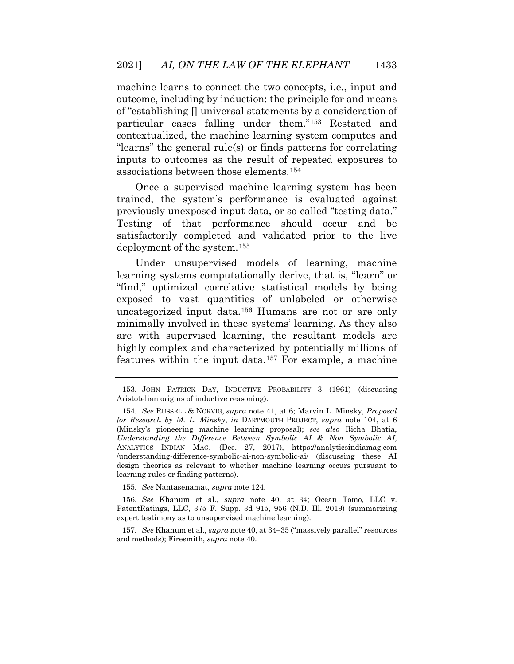machine learns to connect the two concepts, i.e*.*, input and outcome, including by induction: the principle for and means of "establishing [] universal statements by a consideration of particular cases falling under them."[153](#page-45-4) Restated and contextualized, the machine learning system computes and "learns" the general rule(s) or finds patterns for correlating inputs to outcomes as the result of repeated exposures to associations between those elements.[154](#page-46-0)

Once a supervised machine learning system has been trained, the system's performance is evaluated against previously unexposed input data, or so-called "testing data." Testing of that performance should occur and be satisfactorily completed and validated prior to the live deployment of the system.[155](#page-46-1)

<span id="page-45-0"></span>Under unsupervised models of learning, machine learning systems computationally derive, that is, "learn" or "find," optimized correlative statistical models by being exposed to vast quantities of unlabeled or otherwise uncategorized input data.[156](#page-46-2) Humans are not or are only minimally involved in these systems' learning. As they also are with supervised learning, the resultant models are highly complex and characterized by potentially millions of features within the input data.[157](#page-46-3) For example, a machine

155. *See* Nantasenamat, *supra* note 124.

<span id="page-45-3"></span>156. *See* Khanum et al., *supra* note 40, at 34; Ocean Tomo, LLC v. PatentRatings, LLC, 375 F. Supp. 3d 915, 956 (N.D. Ill. 2019) (summarizing expert testimony as to unsupervised machine learning).

<span id="page-45-4"></span>157. *See* Khanum et al., *supra* note 40, at 34–35 ("massively parallel" resources and methods); Firesmith, *supra* note 40.

<span id="page-45-1"></span><sup>153.</sup> JOHN PATRICK DAY, INDUCTIVE PROBABILITY 3 (1961) (discussing Aristotelian origins of inductive reasoning).

<span id="page-45-2"></span><sup>154.</sup> *See* RUSSELL & NORVIG, *supra* note 41, at 6; Marvin L. Minsky, *Proposal for Research by M. L. Minsky*, *in* DARTMOUTH PROJECT, *supra* note 104, at 6 (Minsky's pioneering machine learning proposal); *see also* Richa Bhatia, *Understanding the Difference Between Symbolic AI & Non Symbolic AI*, ANALYTICS INDIAN MAG. (Dec. 27, 2017), https://analyticsindiamag.com /understanding-difference-symbolic-ai-non-symbolic-ai/ (discussing these AI design theories as relevant to whether machine learning occurs pursuant to learning rules or finding patterns).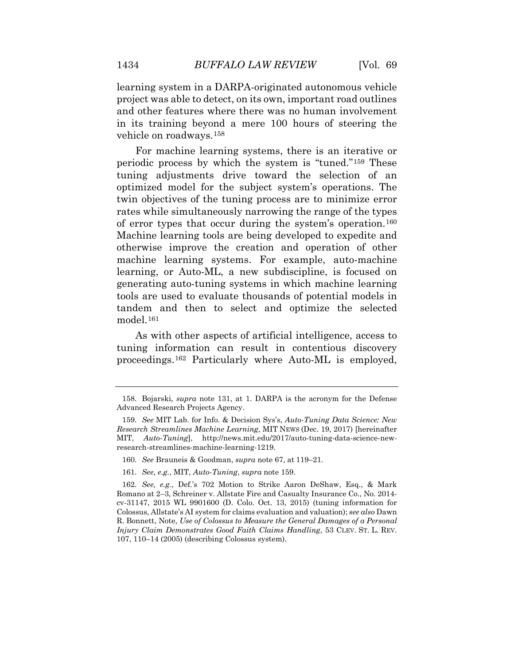learning system in a DARPA-originated autonomous vehicle project was able to detect, on its own, important road outlines and other features where there was no human involvement in its training beyond a mere 100 hours of steering the vehicle on roadways.[158](#page-46-4)

For machine learning systems, there is an iterative or periodic process by which the system is "tuned."[159](#page-47-0) These tuning adjustments drive toward the selection of an optimized model for the subject system's operations. The twin objectives of the tuning process are to minimize error rates while simultaneously narrowing the range of the types of error types that occur during the system's operation.[160](#page-47-1) Machine learning tools are being developed to expedite and otherwise improve the creation and operation of other machine learning systems. For example, auto-machine learning, or Auto-ML, a new subdiscipline, is focused on generating auto-tuning systems in which machine learning tools are used to evaluate thousands of potential models in tandem and then to select and optimize the selected model.[161](#page-47-2)

As with other aspects of artificial intelligence, access to tuning information can result in contentious discovery proceedings.[162](#page-47-3) Particularly where Auto-ML is employed,

<span id="page-46-0"></span><sup>158.</sup> Bojarski, *supra* note 131, at 1. DARPA is the acronym for the Defense Advanced Research Projects Agency.

<sup>159.</sup> *See* MIT Lab. for Info. & Decision Sys's, *Auto-Tuning Data Science: New Research Streamlines Machine Learning*, MIT NEWS (Dec. 19, 2017) [hereinafter MIT, *Auto-Tuning*], http://news.mit.edu/2017/auto-tuning-data-science-newresearch-streamlines-machine-learning-1219.

<sup>160.</sup> *See* Brauneis & Goodman, *supra* note 67, at 119–21.

<sup>161.</sup> *See, e.g.*, MIT, *Auto-Tuning*, *supra* note 159.

<span id="page-46-4"></span><span id="page-46-3"></span><span id="page-46-2"></span><span id="page-46-1"></span><sup>162.</sup> *See, e.g.*, Def.'s 702 Motion to Strike Aaron DeShaw, Esq., & Mark Romano at 2–3, Schreiner v. Allstate Fire and Casualty Insurance Co., No. 2014 cv-31147, 2015 WL 9901600 (D. Colo. Oct. 13, 2015) (tuning information for Colossus, Allstate's AI system for claims evaluation and valuation); *see also* Dawn R. Bonnett, Note, *Use of Colossus to Measure the General Damages of a Personal Injury Claim Demonstrates Good Faith Claims Handling*, 53 CLEV. ST. L. REV. 107, 110–14 (2005) (describing Colossus system).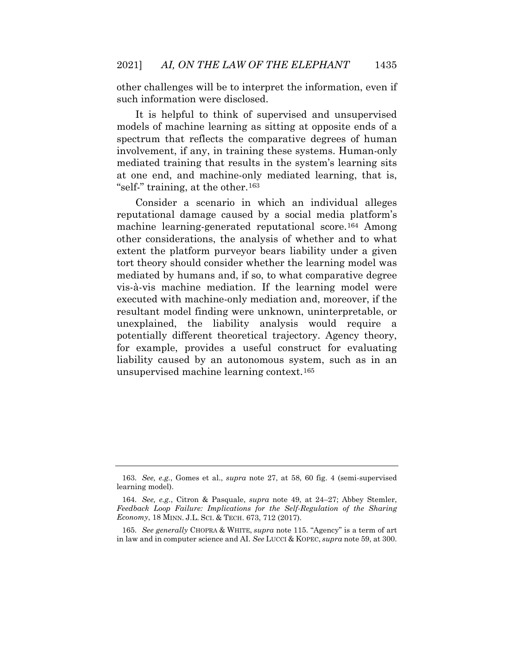other challenges will be to interpret the information, even if such information were disclosed.

It is helpful to think of supervised and unsupervised models of machine learning as sitting at opposite ends of a spectrum that reflects the comparative degrees of human involvement, if any, in training these systems. Human-only mediated training that results in the system's learning sits at one end, and machine-only mediated learning, that is, "self-" training, at the other.<sup>[163](#page-48-0)</sup>

Consider a scenario in which an individual alleges reputational damage caused by a social media platform's machine learning-generated reputational score.[164](#page-48-1) Among other considerations, the analysis of whether and to what extent the platform purveyor bears liability under a given tort theory should consider whether the learning model was mediated by humans and, if so, to what comparative degree vis-à-vis machine mediation. If the learning model were executed with machine-only mediation and, moreover, if the resultant model finding were unknown, uninterpretable, or unexplained, the liability analysis would require a potentially different theoretical trajectory. Agency theory, for example, provides a useful construct for evaluating liability caused by an autonomous system, such as in an unsupervised machine learning context.[165](#page-48-2)

<span id="page-47-3"></span><span id="page-47-2"></span><span id="page-47-1"></span><span id="page-47-0"></span><sup>163.</sup> *See, e.g.*, Gomes et al., *supra* note 27, at 58, 60 fig. 4 (semi-supervised learning model).

<sup>164.</sup> *See, e.g.*, Citron & Pasquale, *supra* note 49, at 24–27; [Abbey Stemler,](http://www.westlaw.com/Link/Document/FullText?findType=h&pubNum=176284&cite=0461541801&originatingDoc=I4fc7e5b55acf11e79bef99c0ee06c731&refType=RQ&originationContext=document&vr=3.0&rs=cblt1.0&transitionType=DocumentItem&contextData=(sc.Search)) *Feedback Loop Failure: Implications for the Self-Regulation of the Sharing Economy*, 18 MINN. J.L. SCI. & TECH. 673, 712 (2017).

<sup>165.</sup> *See generally* CHOPRA & WHITE, *supra* note 115. "Agency" is a term of art in law and in computer science and AI. *See* LUCCI & KOPEC, *supra* note 59, at 300.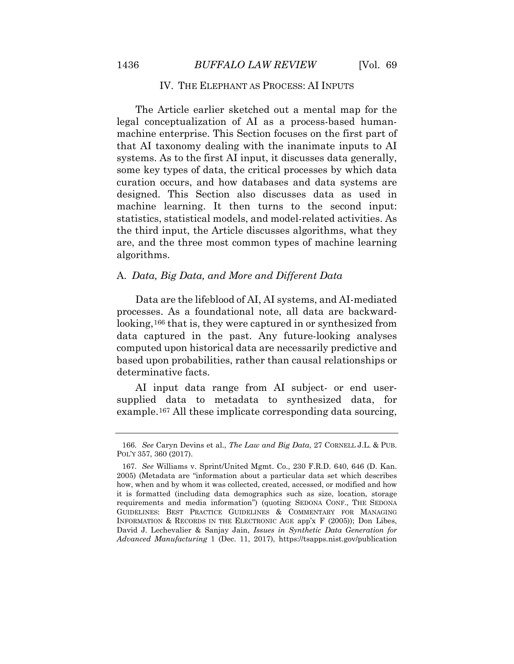## IV. THE ELEPHANT AS PROCESS: AI INPUTS

The Article earlier sketched out a mental map for the legal conceptualization of AI as a process-based humanmachine enterprise. This Section focuses on the first part of that AI taxonomy dealing with the inanimate inputs to AI systems. As to the first AI input, it discusses data generally, some key types of data, the critical processes by which data curation occurs, and how databases and data systems are designed. This Section also discusses data as used in machine learning. It then turns to the second input: statistics, statistical models, and model-related activities. As the third input, the Article discusses algorithms, what they are, and the three most common types of machine learning algorithms.

## A. *Data, Big Data, and More and Different Data*

Data are the lifeblood of AI, AI systems, and AI-mediated processes. As a foundational note, all data are backward-looking,<sup>[166](#page-49-0)</sup> that is, they were captured in or synthesized from data captured in the past. Any future-looking analyses computed upon historical data are necessarily predictive and based upon probabilities, rather than causal relationships or determinative facts.

AI input data range from AI subject- or end usersupplied data to metadata to synthesized data, for example.[167](#page-49-1) All these implicate corresponding data sourcing,

<sup>166.</sup> *See* Caryn Devins et al., *The Law and Big Data*, 27 CORNELL J.L. & PUB. POL'Y 357, 360 (2017).

<span id="page-48-2"></span><span id="page-48-1"></span><span id="page-48-0"></span><sup>167.</sup> *See* Williams v. Sprint/United Mgmt. Co., 230 F.R.D. 640, 646 (D. Kan. 2005) (Metadata are "information about a particular data set which describes how, when and by whom it was collected, created, accessed, or modified and how it is formatted (including data demographics such as size, location, storage requirements and media information") (quoting SEDONA CONF., THE SEDONA GUIDELINES: BEST PRACTICE GUIDELINES & COMMENTARY FOR MANAGING INFORMATION & RECORDS IN THE ELECTRONIC AGE app'x F (2005)); Don Libes, David J. Lechevalier & Sanjay Jain, *Issues in Synthetic Data Generation for Advanced Manufacturing* 1 (Dec. 11, 2017), https://tsapps.nist.gov/publication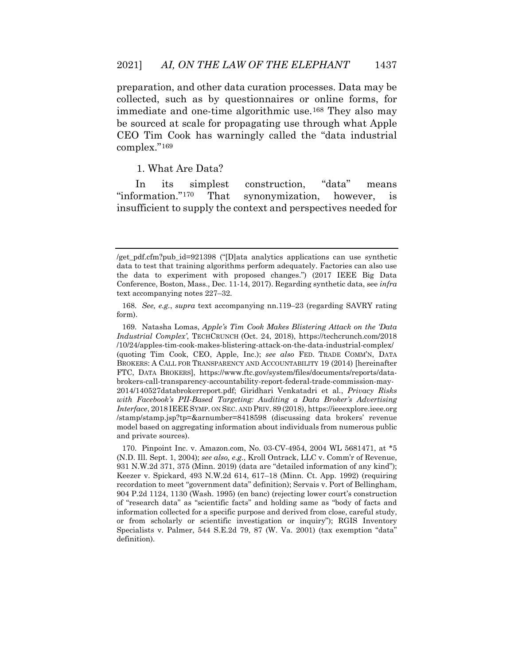preparation, and other data curation processes. Data may be collected, such as by questionnaires or online forms, for immediate and one-time algorithmic use.[168](#page-50-0) They also may be sourced at scale for propagating use through what Apple CEO Tim Cook has warningly called the "data industrial complex."[169](#page-50-1)

1. What Are Data?

In its simplest construction, "data" means "information."[170](#page-50-2) That synonymization, however, is insufficient to supply the context and perspectives needed for

169. Natasha Lomas, *Apple's Tim Cook Makes Blistering Attack on the 'Data Industrial Complex'*, TECHCRUNCH (Oct. 24, 2018), https://techcrunch.com/2018 /10/24/apples-tim-cook-makes-blistering-attack-on-the-data-industrial-complex/ (quoting Tim Cook, CEO, Apple, Inc.); *see also* FED. TRADE COMM'N, DATA BROKERS: A CALL FOR TRANSPARENCY AND ACCOUNTABILITY 19 (2014) [hereinafter FTC, DATA BROKERS], https://www.ftc.gov/system/files/documents/reports/databrokers-call-transparency-accountability-report-federal-trade-commission-may-2014/140527databrokerreport.pdf; Giridhari Venkatadri et al*.*, *Privacy Risks with Facebook's PII-Based Targeting: Auditing a Data Broker's Advertising Interface*, 2018 IEEE SYMP. ON SEC. AND PRIV. 89 (2018), https://ieeexplore.ieee.org /stamp/stamp.jsp?tp=&arnumber=8418598 (discussing data brokers' revenue model based on aggregating information about individuals from numerous public and private sources).

<sup>/</sup>get\_pdf.cfm?pub\_id=921398 ("[D]ata analytics applications can use synthetic data to test that training algorithms perform adequately. Factories can also use the data to experiment with proposed changes.") (2017 IEEE Big Data Conference, Boston, Mass., Dec. 11-14, 2017). Regarding synthetic data, see *infra*  text accompanying notes 227–32.

<sup>168.</sup> *See, e.g.*, *supra* text accompanying nn.119–23 (regarding SAVRY rating form).

<span id="page-49-1"></span><span id="page-49-0"></span><sup>170.</sup> Pinpoint Inc. v. Amazon.com, No. 03-CV-4954, 2004 WL 5681471, at \*5 (N.D. Ill. Sept. 1, 2004); *see also, e.g.*, Kroll Ontrack, LLC v. Comm'r of Revenue, 931 N.W.2d 371, 375 (Minn. 2019) (data are "detailed information of any kind"); Keezer v. Spickard, 493 N.W.2d 614, 617–18 (Minn. Ct. App. 1992) (requiring recordation to meet "government data" definition); Servais v. Port of Bellingham, 904 P.2d 1124, 1130 (Wash. 1995) (en banc) (rejecting lower court's construction of "research data" as "scientific facts" and holding same as "body of facts and information collected for a specific purpose and derived from close, careful study, or from scholarly or scientific investigation or inquiry"); RGIS Inventory Specialists v. Palmer, 544 S.E.2d 79, 87 (W. Va. 2001) (tax exemption "data" definition).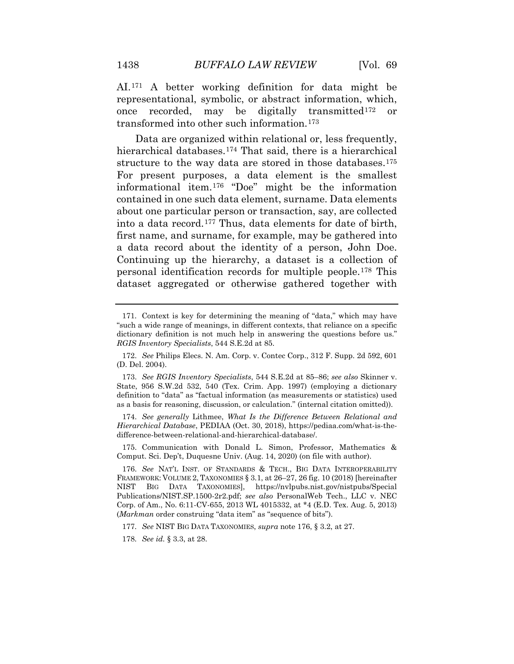AI.[171](#page-51-0) A better working definition for data might be representational, symbolic, or abstract information, which, once recorded, may be digitally transmitted[172](#page-51-1) or transformed into other such information.[173](#page-51-2)

Data are organized within relational or, less frequently, hierarchical databases.[174](#page-51-3) That said, there is a hierarchical structure to the way data are stored in those databases.<sup>[175](#page-51-4)</sup> For present purposes, a data element is the smallest informational item.[176](#page-51-5) "Doe" might be the information contained in one such data element, surname. Data elements about one particular person or transaction, say, are collected into a data record.[177](#page-51-6) Thus, data elements for date of birth, first name, and surname, for example, may be gathered into a data record about the identity of a person, John Doe. Continuing up the hierarchy, a dataset is a collection of personal identification records for multiple people.[178](#page-51-7) This dataset aggregated or otherwise gathered together with

174. *See generally* Lithmee, *What Is the Difference Between Relational and Hierarchical Database*, PEDIAA (Oct. 30, 2018), https://pediaa.com/what-is-thedifference-between-relational-and-hierarchical-database/.

<span id="page-50-2"></span>175. Communication with Donald L. Simon, Professor, Mathematics & Comput. Sci. Dep't, Duquesne Univ. (Aug. 14, 2020) (on file with author).

<span id="page-50-1"></span><span id="page-50-0"></span><sup>171.</sup> Context is key for determining the meaning of "data," which may have "such a wide range of meanings, in different contexts, that reliance on a specific dictionary definition is not much help in answering the questions before us." *RGIS Inventory Specialists*, 544 S.E.2d at 85.

<sup>172.</sup> *See* Philips Elecs. N. Am. Corp. v. Contec Corp., 312 F. Supp. 2d 592, 601 (D. Del. 2004).

<sup>173.</sup> *See RGIS Inventory Specialists*, 544 S.E.2d at 85–86; *see also* Skinner v. State, 956 S.W.2d 532, 540 (Tex. Crim. App. 1997) (employing a dictionary definition to "data" as "factual information (as measurements or statistics) used as a basis for reasoning, discussion, or calculation." (internal citation omitted)).

<sup>176.</sup> *See* NAT'L INST. OF STANDARDS & TECH., BIG DATA INTEROPERABILITY FRAMEWORK: VOLUME 2, TAXONOMIES  $\S 3.1$ , at  $26-27$ ,  $26$  fig. 10 (2018) [hereinafter NIST BIG DATA TAXONOMIES], https://nvlpubs.nist.gov/nistpubs/Special Publications/NIST.SP.1500-2r2.pdf; *see also* PersonalWeb Tech., LLC v. NEC Corp. of Am., No. 6:11-CV-655, 2013 WL 4015332, at \*4 (E.D. Tex. Aug. 5, 2013) (*Markman* order construing "data item" as "sequence of bits").

<sup>177.</sup> *See* NIST BIG DATA TAXONOMIES, *supra* note 176, § 3.2, at 27.

<sup>178.</sup> *See id.* § 3.3, at 28.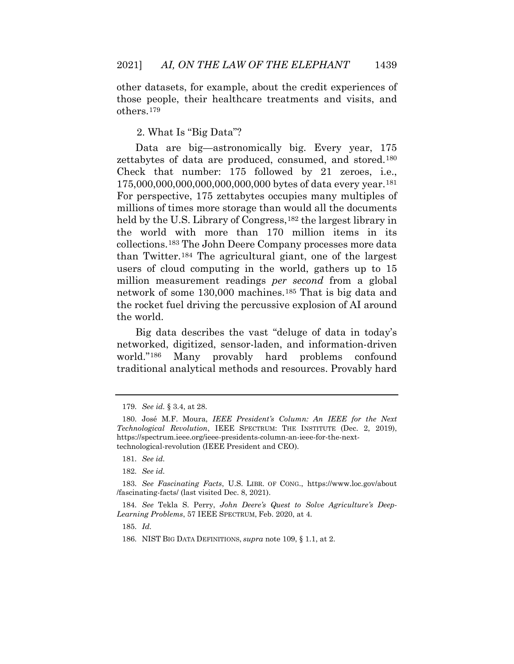other datasets, for example, about the credit experiences of those people, their healthcare treatments and visits, and others.[179](#page-52-0)

2. What Is "Big Data"?

Data are big—astronomically big. Every year, 175 zettabytes of data are produced, consumed, and stored.[180](#page-52-1) Check that number: 175 followed by 21 zeroes, i.e., 175,000,000,000,000,000,000,000 bytes of data every year.[181](#page-52-2) For perspective, 175 zettabytes occupies many multiples of millions of times more storage than would all the documents held by the U.S. Library of Congress,<sup>[182](#page-52-3)</sup> the largest library in the world with more than 170 million items in its collections.[183](#page-52-4) The John Deere Company processes more data than Twitter.[184](#page-52-5) The agricultural giant, one of the largest users of cloud computing in the world, gathers up to 15 million measurement readings *per second* from a global network of some 130,000 machines.[185](#page-52-6) That is big data and the rocket fuel driving the percussive explosion of AI around the world.

<span id="page-51-2"></span><span id="page-51-1"></span><span id="page-51-0"></span>Big data describes the vast "deluge of data in today's networked, digitized, sensor-laden, and information-driven world."[186](#page-53-0) Many provably hard problems confound traditional analytical methods and resources. Provably hard

185. *Id.*

<sup>179.</sup> *See id.* § 3.4, at 28.

<span id="page-51-4"></span><span id="page-51-3"></span><sup>180.</sup> José M.F. Moura, *IEEE President's Column: An IEEE for the Next Technological Revolution*, IEEE SPECTRUM: THE INSTITUTE (Dec. 2, 2019), https://spectrum.ieee.org/ieee-presidents-column-an-ieee-for-the-nexttechnological-revolution (IEEE President and CEO).

<sup>181.</sup> *See id.*

<sup>182.</sup> *See id.*

<span id="page-51-5"></span><sup>183.</sup> *See Fascinating Facts*, U.S. LIBR. OF CONG., https://www.loc.gov/about /fascinating-facts/ (last visited Dec. 8, 2021).

<span id="page-51-7"></span><span id="page-51-6"></span><sup>184.</sup> *See* Tekla S. Perry, *John Deere's Quest to Solve Agriculture's Deep-Learning Problems*, 57 IEEE SPECTRUM, Feb. 2020, at 4.

<sup>186.</sup> NIST BIG DATA DEFINITIONS, *supra* note 109, § 1.1, at 2.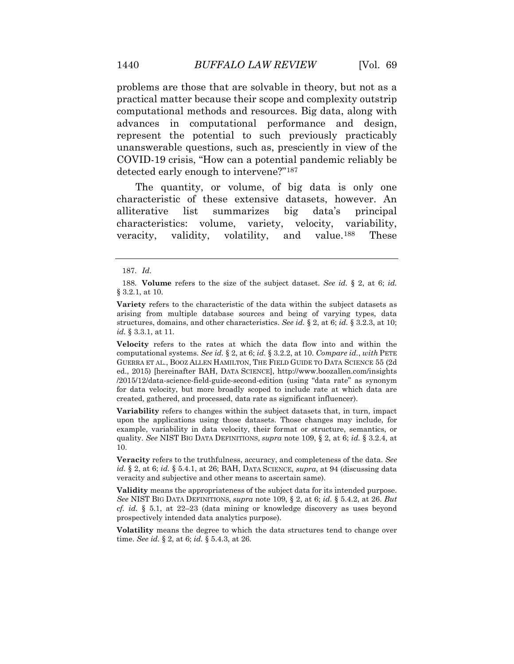problems are those that are solvable in theory, but not as a practical matter because their scope and complexity outstrip computational methods and resources. Big data, along with advances in computational performance and design, represent the potential to such previously practicably unanswerable questions, such as, presciently in view of the COVID-19 crisis, "How can a potential pandemic reliably be detected early enough to intervene?"[187](#page-53-1)

The quantity, or volume, of big data is only one characteristic of these extensive datasets, however. An alliterative list summarizes big data's principal characteristics: volume, variety, velocity, variability, veracity, validity, volatility, and value.[188](#page-53-2) These

<span id="page-52-1"></span><span id="page-52-0"></span>**Variability** refers to changes within the subject datasets that, in turn, impact upon the applications using those datasets. Those changes may include, for example, variability in data velocity, their format or structure, semantics, or quality. *See* NIST BIG DATA DEFINITIONS, *supra* note 109, § 2, at 6; *id.* § 3.2.4, at 10.

<span id="page-52-3"></span><span id="page-52-2"></span>**Veracity** refers to the truthfulness, accuracy, and completeness of the data. *See id.* § 2, at 6; *id.* § 5.4.1, at 26; BAH, DATA SCIENCE, *supra*, at 94 (discussing data veracity and subjective and other means to ascertain same).

<span id="page-52-5"></span><span id="page-52-4"></span>**Validity** means the appropriateness of the subject data for its intended purpose. *See* NIST BIG DATA DEFINITIONS, *supra* note 109, § 2, at 6; *id.* § 5.4.2, at 26. *But cf. id.* § 5.1, at 22–23 (data mining or knowledge discovery as uses beyond prospectively intended data analytics purpose).

<span id="page-52-6"></span>**Volatility** means the degree to which the data structures tend to change over time. *See id.* § 2, at 6; *id.* § 5.4.3, at 26*.*

<sup>187.</sup> *Id.*

<sup>188.</sup> **Volume** refers to the size of the subject dataset. *See id.* § 2, at 6; *id.*  § 3.2.1, at 10.

**Variety** refers to the characteristic of the data within the subject datasets as arising from multiple database sources and being of varying types, data structures, domains, and other characteristics. *See id.* § 2, at 6; *id.* § 3.2.3, at 10; *id.* § 3.3.1, at 11.

**Velocity** refers to the rates at which the data flow into and within the computational systems. *See id.* § 2, at 6; *id.* § 3.2.2, at 10. *Compare id.*, *with* PETE GUERRA ET AL., BOOZ ALLEN HAMILTON, THE FIELD GUIDE TO DATA SCIENCE 55 (2d ed., 2015) [hereinafter BAH, DATA SCIENCE], http://www.boozallen.com/insights /2015/12/data-science-field-guide-second-edition (using "data rate" as synonym for data velocity, but more broadly scoped to include rate at which data are created, gathered, and processed, data rate as significant influencer).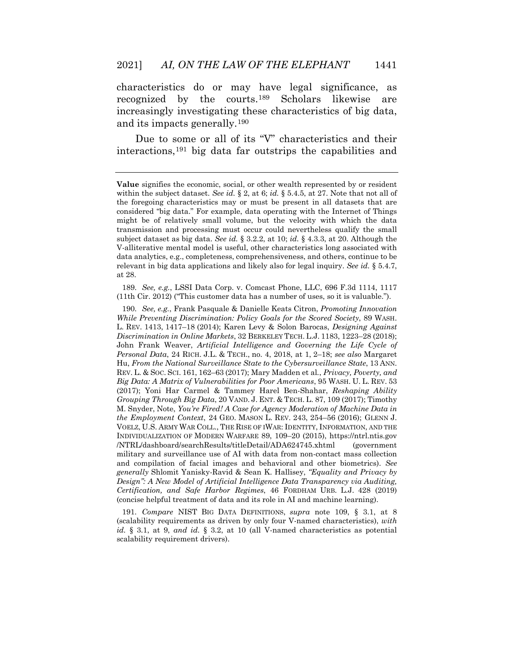characteristics do or may have legal significance, as recognized by the courts.[189](#page-54-0) Scholars likewise are increasingly investigating these characteristics of big data, and its impacts generally.[190](#page-54-1)

Due to some or all of its "V" characteristics and their interactions,[191](#page-55-0) big data far outstrips the capabilities and

<span id="page-53-0"></span>189. *See, e.g.*, LSSI Data Corp. v. Comcast Phone, LLC, 696 F.3d 1114, 1117 (11th Cir. 2012) ("This customer data has a number of uses, so it is valuable.").

<span id="page-53-2"></span><span id="page-53-1"></span>190. *See, e.g.*, Frank Pasquale & Danielle Keats Citron, *Promoting Innovation While Preventing Discrimination: Policy Goals for the Scored Society*, 89 WASH. L. REV. 1413, 1417–18 (2014); Karen Levy & Solon Barocas, *Designing Against Discrimination in Online Markets*, 32 BERKELEY TECH. L.J. 1183, 1223–28 (2018); John Frank Weaver, *Artificial Intelligence and Governing the Life Cycle of Personal Data*, 24 RICH. J.L. & TECH., no. 4, 2018, at 1, 2–18; *see also* Margaret Hu, *From the National Surveillance State to the Cybersurveillance State*, 13 ANN. REV. L. & SOC. SCI. 161, 162–63 (2017); Mary Madden et al*.*, *Privacy, Poverty, and Big Data: A Matrix of Vulnerabilities for Poor Americans*, 95 WASH. U. L. REV. 53 (2017); Yoni Har Carmel & Tammey Harel Ben-Shahar, *Reshaping Ability Grouping Through Big Data*, 20 VAND. J. ENT. & TECH. L. 87, 109 (2017); Timothy M. Snyder, Note, *You're Fired! A Case for Agency Moderation of Machine Data in the Employment Context*, 24 GEO. MASON L. REV. 243, 254–56 (2016); GLENN J. VOELZ, U.S. ARMY WAR COLL., THE RISE OF IWAR: IDENTITY, INFORMATION, AND THE INDIVIDUALIZATION OF MODERN WARFARE 89, 109–20 (2015), https://ntrl.ntis.gov /NTRL/dashboard/searchResults/titleDetail/ADA624745.xhtml (government military and surveillance use of AI with data from non-contact mass collection and compilation of facial images and behavioral and other biometrics). *See generally* Shlomit Yanisky-Ravid & Sean K. Hallisey, *"Equality and Privacy by Design": A New Model of Artificial Intelligence Data Transparency via Auditing, Certification, and Safe Harbor Regimes*, 46 FORDHAM URB. L.J. 428 (2019) (concise helpful treatment of data and its role in AI and machine learning).

191. *Compare* NIST BIG DATA DEFINITIONS, *supra* note 109, § 3.1, at 8 (scalability requirements as driven by only four V-named characteristics), *with id.* § 3.1, at 9, *and id.* § 3.2, at 10 (all V-named characteristics as potential scalability requirement drivers).

**Value** signifies the economic, social, or other wealth represented by or resident within the subject dataset. *See id.* § 2, at 6; *id.* § 5.4.5, at 27. Note that not all of the foregoing characteristics may or must be present in all datasets that are considered "big data." For example, data operating with the Internet of Things might be of relatively small volume, but the velocity with which the data transmission and processing must occur could nevertheless qualify the small subject dataset as big data. *See id.* § 3.2.2, at 10; *id.* § 4.3.3, at 20. Although the V-alliterative mental model is useful, other characteristics long associated with data analytics, e.g., completeness, comprehensiveness, and others, continue to be relevant in big data applications and likely also for legal inquiry. *See id.* § 5.4.7, at 28.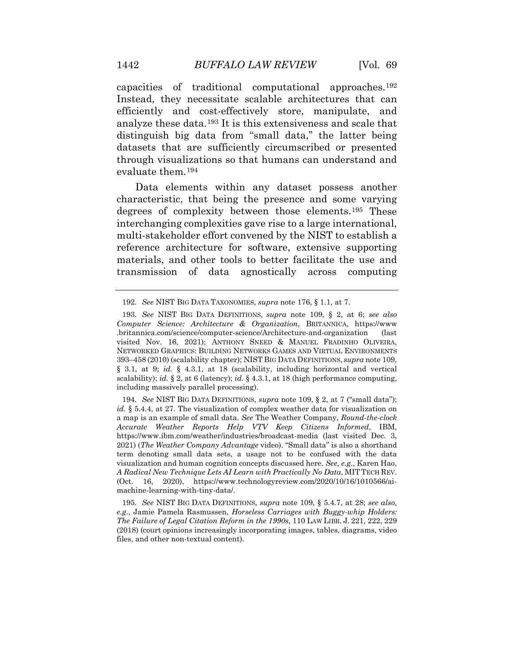capacities of traditional computational approaches.[192](#page-55-1) Instead, they necessitate scalable architectures that can efficiently and cost-effectively store, manipulate, and analyze these data.[193](#page-55-2) It is this extensiveness and scale that distinguish big data from "small data," the latter being datasets that are sufficiently circumscribed or presented through visualizations so that humans can understand and evaluate them.[194](#page-55-3)

Data elements within any dataset possess another characteristic, that being the presence and some varying degrees of complexity between those elements.[195](#page-55-4) These interchanging complexities gave rise to a large international, multi-stakeholder effort convened by the NIST to establish a reference architecture for software, extensive supporting materials, and other tools to better facilitate the use and transmission of data agnostically across computing

194. *See* NIST BIG DATA DEFINITIONS, *supra* note 109, § 2, at 7 ("small data"); *id.* § 5.4.4, at 27. The visualization of complex weather data for visualization on a map is an example of small data. *See* The Weather Company, *Round-the-clock Accurate Weather Reports Help VTV Keep Citizens Informed*, IBM, https://www.ibm.com/weather/industries/broadcast-media (last visited Dec. 3, 2021) (*The Weather Company Advantage* video). "Small data" is also a shorthand term denoting small data sets, a usage not to be confused with the data visualization and human cognition concepts discussed here. *See, e.g.*, Karen Hao, *A Radical New Technique Lets AI Learn with Practically No Data*, MITTECH REV. (Oct. 16, 2020), https://www.technologyreview.com/2020/10/16/1010566/aimachine-learning-with-tiny-data/.

195. *See* NIST BIG DATA DEFINITIONS, *supra* note 109, § 5.4.7, at 28; *see also, e.g.*, Jamie Pamela Rasmussen, *Horseless Carriages with Buggy-whip Holders: The Failure of Legal Citation Reform in the 1990s*, 110 LAW LIBR. J. 221, 222, 229 (2018) (court opinions increasingly incorporating images, tables, diagrams, video files, and other non-textual content).

<sup>192.</sup> *See* NIST BIG DATA TAXONOMIES, *supra* note 176, § 1.1, at 7.

<span id="page-54-1"></span><span id="page-54-0"></span><sup>193.</sup> *See* NIST BIG DATA DEFINITIONS, *supra* note 109, § 2, at 6; *see also Computer Science: Architecture & Organization*, BRITANNICA, https://www .britannica.com/science/computer-science/Architecture-and-organization (last visited Nov. 16, 2021); ANTHONY SNEED & MANUEL FRADINHO OLIVEIRA, NETWORKED GRAPHICS: BUILDING NETWORKS GAMES AND VIRTUAL ENVIRONMENTS 393–458 (2010) (scalability chapter); NIST BIG DATA DEFINITIONS, *supra* note 109, § 3.1, at 9; *id.* § 4.3.1, at 18 (scalability, including horizontal and vertical scalability); *id.* § 2, at 6 (latency); *id.* § 4.3.1, at 18 (high performance computing, including massively parallel processing).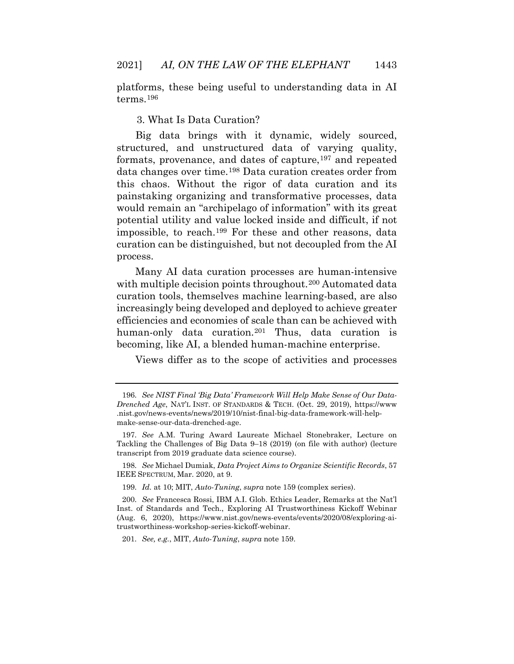platforms, these being useful to understanding data in AI terms.[196](#page-56-0)

## 3. What Is Data Curation?

Big data brings with it dynamic, widely sourced, structured, and unstructured data of varying quality, formats, provenance, and dates of capture,<sup>[197](#page-56-1)</sup> and repeated data changes over time.[198](#page-56-2) Data curation creates order from this chaos. Without the rigor of data curation and its painstaking organizing and transformative processes, data would remain an "archipelago of information" with its great potential utility and value locked inside and difficult, if not impossible, to reach.[199](#page-56-3) For these and other reasons, data curation can be distinguished, but not decoupled from the AI process.

<span id="page-55-2"></span><span id="page-55-1"></span><span id="page-55-0"></span>Many AI data curation processes are human-intensive with multiple decision points throughout.<sup>[200](#page-56-4)</sup> Automated data curation tools, themselves machine learning-based, are also increasingly being developed and deployed to achieve greater efficiencies and economies of scale than can be achieved with human-only data curation.<sup>[201](#page-57-0)</sup> Thus, data curation is becoming, like AI, a blended human-machine enterprise.

Views differ as to the scope of activities and processes

198. *See* Michael Dumiak, *Data Project Aims to Organize Scientific Records*, 57 IEEE SPECTRUM, Mar. 2020, at 9.

199. *Id.* at 10; MIT, *Auto-Tuning*, *supra* note 159 (complex series).

201. *See, e.g.*, MIT, *Auto-Tuning*, *supra* note 159.

<span id="page-55-3"></span><sup>196.</sup> *See NIST Final 'Big Data' Framework Will Help Make Sense of Our Data-Drenched Age*, NAT'L INST. OF STANDARDS & TECH. (Oct. 29, 2019), https://www .nist.gov/news-events/news/2019/10/nist-final-big-data-framework-will-helpmake-sense-our-data-drenched-age.

<sup>197.</sup> *See* A.M. Turing Award Laureate Michael Stonebraker, Lecture on Tackling the Challenges of Big Data 9–18 (2019) (on file with author) (lecture transcript from 2019 graduate data science course).

<span id="page-55-4"></span><sup>200.</sup> *See* Francesca Rossi, IBM A.I. Glob. Ethics Leader, Remarks at the Nat'l Inst. of Standards and Tech., Exploring AI Trustworthiness Kickoff Webinar (Aug. 6, 2020), https://www.nist.gov/news-events/events/2020/08/exploring-aitrustworthiness-workshop-series-kickoff-webinar.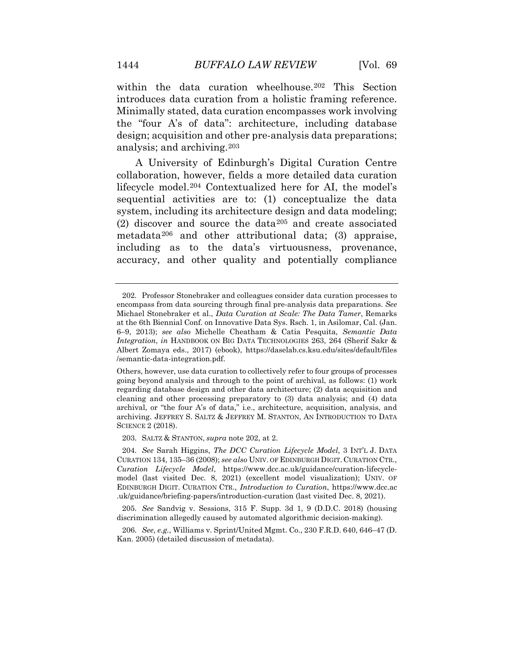within the data curation wheelhouse.<sup>[202](#page-57-1)</sup> This Section introduces data curation from a holistic framing reference. Minimally stated, data curation encompasses work involving the "four A's of data": architecture, including database design; acquisition and other pre-analysis data preparations; analysis; and archiving.[203](#page-57-2)

A University of Edinburgh's Digital Curation Centre collaboration, however, fields a more detailed data curation lifecycle model.[204](#page-57-3) Contextualized here for AI, the model's sequential activities are to: (1) conceptualize the data system, including its architecture design and data modeling; (2) discover and source the data[205](#page-58-0) and create associated metadata[206](#page-58-1) and other attributional data; (3) appraise, including as to the data's virtuousness, provenance, accuracy, and other quality and potentially compliance

203. SALTZ & STANTON, *supra* note 202, at 2.

<sup>202.</sup> Professor Stonebraker and colleagues consider data curation processes to encompass from data sourcing through final pre-analysis data preparations. *See*  Michael Stonebraker et al., *Data Curation at Scale: The Data Tamer*, Remarks at the 6th Biennial Conf. on Innovative Data Sys. Rsch. 1, in Asilomar, Cal. (Jan. 6–9, 2013); *see also* Michelle Cheatham & Catia Pesquita, *Semantic Data Integration*, *in* HANDBOOK ON BIG DATA TECHNOLOGIES 263, 264 (Sherif Sakr & Albert Zomaya eds., 2017) (ebook), https://daselab.cs.ksu.edu/sites/default/files /semantic-data-integration.pdf.

<span id="page-56-0"></span>Others, however, use data curation to collectively refer to four groups of processes going beyond analysis and through to the point of archival, as follows: (1) work regarding database design and other data architecture; (2) data acquisition and cleaning and other processing preparatory to (3) data analysis; and (4) data archival, or "the four A's of data," i.e., architecture, acquisition, analysis, and archiving. JEFFREY S. SALTZ & JEFFREY M. STANTON, AN INTRODUCTION TO DATA SCIENCE 2 (2018).

<span id="page-56-2"></span><span id="page-56-1"></span><sup>204.</sup> *See* Sarah Higgins, *The DCC Curation Lifecycle Model*, 3 INT'L J. DATA CURATION 134, 135–36 (2008); *see also* UNIV. OF EDINBURGH DIGIT. CURATION CTR., *Curation Lifecycle Model*, https://www.dcc.ac.uk/guidance/curation-lifecyclemodel (last visited Dec. 8, 2021) (excellent model visualization); UNIV. OF EDINBURGH DIGIT. CURATION CTR., *Introduction to Curation*, https://www.dcc.ac .uk/guidance/briefing-papers/introduction-curation (last visited Dec. 8, 2021).

<span id="page-56-4"></span><span id="page-56-3"></span><sup>205.</sup> *See* Sandvig v. Sessions, 315 F. Supp. 3d 1, 9 (D.D.C. 2018) (housing discrimination allegedly caused by automated algorithmic decision-making).

<sup>206.</sup> *See, e.g.*, Williams v. Sprint/United Mgmt. Co., 230 F.R.D. 640, 646–47 (D. Kan. 2005) (detailed discussion of metadata).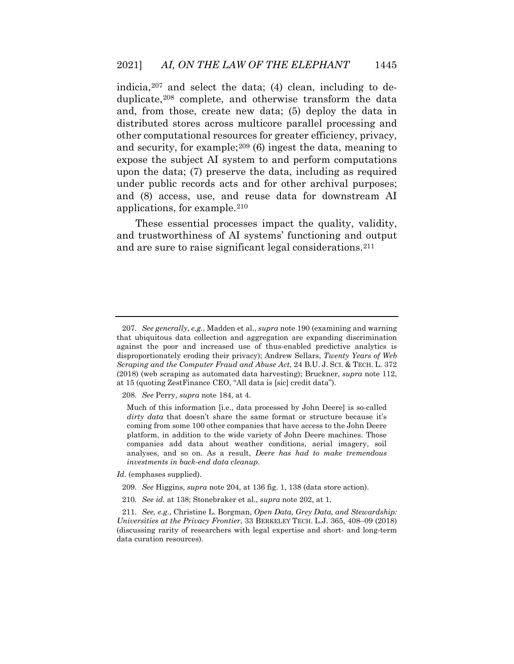indicia,  $207$  and select the data; (4) clean, including to deduplicate,[208](#page-58-3) complete, and otherwise transform the data and, from those, create new data; (5) deploy the data in distributed stores across multicore parallel processing and other computational resources for greater efficiency, privacy, and security, for example;[209](#page-58-4) (6) ingest the data, meaning to expose the subject AI system to and perform computations upon the data; (7) preserve the data, including as required under public records acts and for other archival purposes; and (8) access, use, and reuse data for downstream AI applications, for example.[210](#page-58-5)

These essential processes impact the quality, validity, and trustworthiness of AI systems' functioning and output and are sure to raise significant legal considerations.[211](#page-59-0)

<span id="page-57-3"></span><span id="page-57-2"></span>*Id.* (emphases supplied).

- 209. *See* Higgins, *supra* note 204, at 136 fig. 1, 138 (data store action).
- 210. *See id.* at 138; Stonebraker et al., *supra* note 202, at 1.

<span id="page-57-1"></span><span id="page-57-0"></span><sup>207.</sup> *See generally, e.g.*, Madden et al., *supra* note 190 (examining and warning that ubiquitous data collection and aggregation are expanding discrimination against the poor and increased use of thus-enabled predictive analytics is disproportionately eroding their privacy); Andrew Sellars, *Twenty Years of Web Scraping and the Computer Fraud and Abuse Act*, 24 B.U. J. SCI. & TECH. L. 372 (2018) (web scraping as automated data harvesting); Bruckner, *supra* note 112, at 15 (quoting ZestFinance CEO, "All data is [sic] credit data").

<sup>208.</sup> *See* Perry, *supra* note 184, at 4.

Much of this information [i.e., data processed by John Deere] is so-called *dirty data* that doesn't share the same format or structure because it's coming from some 100 other companies that have access to the John Deere platform, in addition to the wide variety of John Deere machines. Those companies add data about weather conditions, aerial imagery, soil analyses, and so on. As a result, *Deere has had to make tremendous investments in back-end data cleanup*.

<sup>211.</sup> *See, e.g.*, Christine L. Borgman, *Open Data, Grey Data, and Stewardship: Universities at the Privacy Frontier*, 33 BERKELEY TECH. L.J. 365, 408–09 (2018) (discussing rarity of researchers with legal expertise and short- and long-term data curation resources).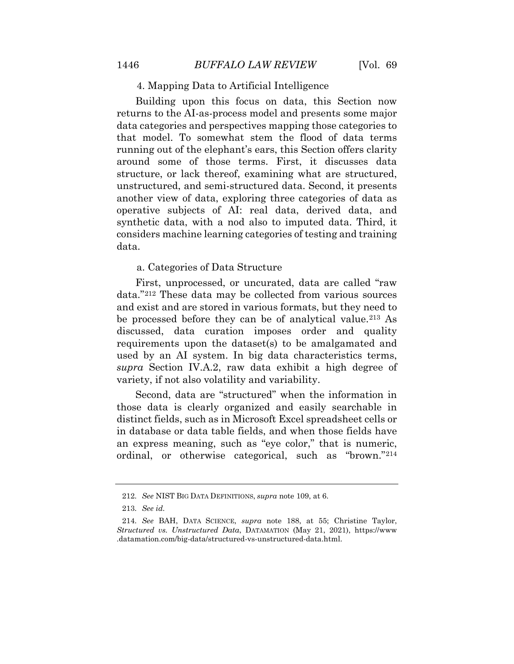## 4. Mapping Data to Artificial Intelligence

Building upon this focus on data, this Section now returns to the AI-as-process model and presents some major data categories and perspectives mapping those categories to that model. To somewhat stem the flood of data terms running out of the elephant's ears, this Section offers clarity around some of those terms. First, it discusses data structure, or lack thereof, examining what are structured, unstructured, and semi-structured data. Second, it presents another view of data, exploring three categories of data as operative subjects of AI: real data, derived data, and synthetic data, with a nod also to imputed data. Third, it considers machine learning categories of testing and training data.

## a. Categories of Data Structure

<span id="page-58-1"></span><span id="page-58-0"></span>First, unprocessed, or uncurated, data are called "raw data."[212](#page-59-1) These data may be collected from various sources and exist and are stored in various formats, but they need to be processed before they can be of analytical value.[213](#page-59-2) As discussed, data curation imposes order and quality requirements upon the dataset(s) to be amalgamated and used by an AI system. In big data characteristics terms, *supra* Section IV.A.2, raw data exhibit a high degree of variety, if not also volatility and variability.

<span id="page-58-3"></span><span id="page-58-2"></span>Second, data are "structured" when the information in those data is clearly organized and easily searchable in distinct fields, such as in Microsoft Excel spreadsheet cells or in database or data table fields, and when those fields have an express meaning, such as "eye color," that is numeric, ordinal, or otherwise categorical, such as "brown."[214](#page-60-0)

<sup>212.</sup> *See* NIST BIG DATA DEFINITIONS, *supra* note 109, at 6.

<sup>213.</sup> *See id.*

<span id="page-58-5"></span><span id="page-58-4"></span><sup>214.</sup> *See* BAH, DATA SCIENCE, *supra* note 188, at 55; Christine Taylor, *Structured vs. Unstructured Data*, DATAMATION (May 21, 2021), https://www .datamation.com/big-data/structured-vs-unstructured-data.html.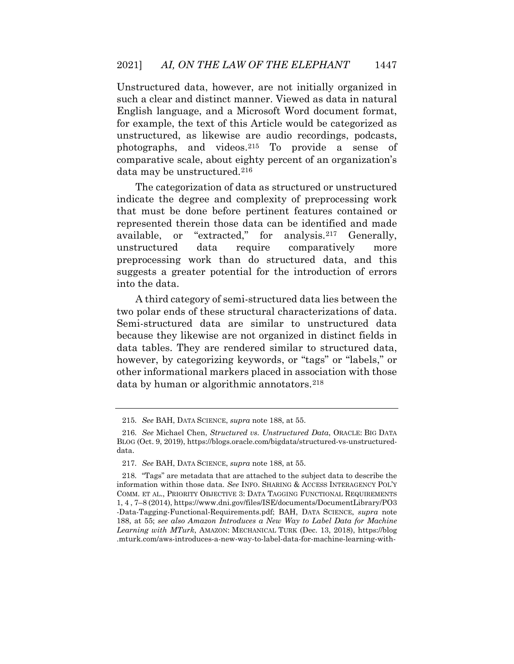Unstructured data, however, are not initially organized in such a clear and distinct manner. Viewed as data in natural English language, and a Microsoft Word document format, for example, the text of this Article would be categorized as unstructured, as likewise are audio recordings, podcasts, photographs, and videos.[215](#page-60-1) To provide a sense of comparative scale, about eighty percent of an organization's data may be unstructured.<sup>[216](#page-60-2)</sup>

The categorization of data as structured or unstructured indicate the degree and complexity of preprocessing work that must be done before pertinent features contained or represented therein those data can be identified and made available, or "extracted," for analysis.[217](#page-60-3) Generally, unstructured data require comparatively more preprocessing work than do structured data, and this suggests a greater potential for the introduction of errors into the data.

A third category of semi-structured data lies between the two polar ends of these structural characterizations of data. Semi-structured data are similar to unstructured data because they likewise are not organized in distinct fields in data tables. They are rendered similar to structured data, however, by categorizing keywords, or "tags" or "labels," or other informational markers placed in association with those data by human or algorithmic annotators.[218](#page-61-0)

<sup>215.</sup> *See* BAH, DATA SCIENCE, *supra* note 188, at 55.

<sup>216.</sup> *See* Michael Chen, *Structured vs. Unstructured Data*, ORACLE: BIG DATA BLOG (Oct. 9, 2019), https://blogs.oracle.com/bigdata/structured-vs-unstructureddata.

<sup>217.</sup> *See* BAH, DATA SCIENCE, *supra* note 188, at 55.

<span id="page-59-2"></span><span id="page-59-1"></span><span id="page-59-0"></span><sup>218. &</sup>quot;Tags" are metadata that are attached to the subject data to describe the information within those data. *See* INFO. SHARING & ACCESS INTERAGENCY POL'Y COMM. ET AL., PRIORITY OBJECTIVE 3: DATA TAGGING FUNCTIONAL REQUIREMENTS 1, 4 , 7–8 (2014), https://www.dni.gov/files/ISE/documents/DocumentLibrary/PO3 -Data-Tagging-Functional-Requirements.pdf; BAH, DATA SCIENCE, *supra* note 188, at 55; *see also Amazon Introduces a New Way to Label Data for Machine Learning with MTurk*, AMAZON: MECHANICAL TURK (Dec. 13, 2018), https://blog .mturk.com/aws-introduces-a-new-way-to-label-data-for-machine-learning-with-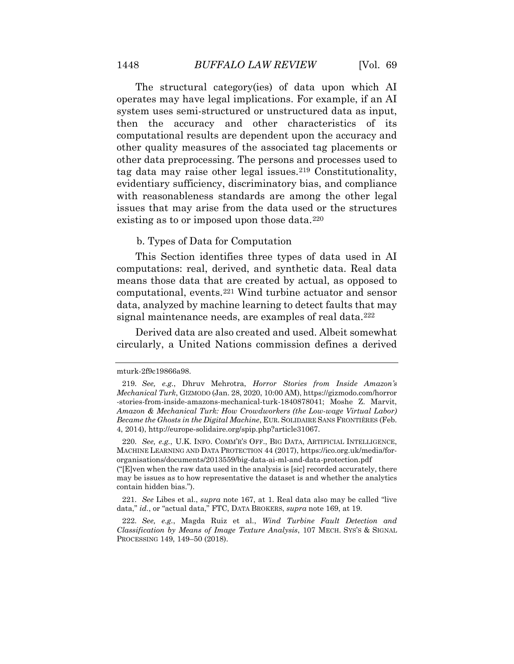The structural category(ies) of data upon which AI operates may have legal implications. For example, if an AI system uses semi-structured or unstructured data as input, then the accuracy and other characteristics of its computational results are dependent upon the accuracy and other quality measures of the associated tag placements or other data preprocessing. The persons and processes used to tag data may raise other legal issues.[219](#page-61-1) Constitutionality, evidentiary sufficiency, discriminatory bias, and compliance with reasonableness standards are among the other legal issues that may arise from the data used or the structures existing as to or imposed upon those data.[220](#page-61-2)

#### b. Types of Data for Computation

This Section identifies three types of data used in AI computations: real, derived, and synthetic data. Real data means those data that are created by actual, as opposed to computational, events.[221](#page-62-0) Wind turbine actuator and sensor data, analyzed by machine learning to detect faults that may signal maintenance needs, are examples of real data.<sup>[222](#page-62-1)</sup>

Derived data are also created and used. Albeit somewhat circularly, a United Nations commission defines a derived

<span id="page-60-0"></span>220. *See, e.g.*, U.K. INFO. COMM'R'S OFF., BIG DATA, ARTIFICIAL INTELLIGENCE, MACHINE LEARNING AND DATA PROTECTION 44 (2017), https://ico.org.uk/media/fororganisations/documents/2013559/big-data-ai-ml-and-data-protection.pdf

("[E]ven when the raw data used in the analysis is [sic] recorded accurately, there may be issues as to how representative the dataset is and whether the analytics contain hidden bias.").

<span id="page-60-2"></span><span id="page-60-1"></span>221. *See* Libes et al., *supra* note 167, at 1. Real data also may be called "live data," *id.*, or "actual data," FTC, DATA BROKERS, *supra* note 169, at 19.

<span id="page-60-3"></span>222. *See, e.g.*, Magda Ruiz et al., *Wind Turbine Fault Detection and Classification by Means of Image Texture Analysis*, 107 MECH. SYS'S & SIGNAL PROCESSING 149, 149–50 (2018).

mturk-2f9c19866a98.

<sup>219.</sup> *See, e.g.*, Dhruv Mehrotra, *Horror Stories from Inside Amazon's Mechanical Turk*, GIZMODO (Jan. 28, 2020, 10:00 AM), https://gizmodo.com/horror -stories-from-inside-amazons-mechanical-turk-1840878041; Moshe Z. Marvit, *Amazon & Mechanical Turk: How Crowdworkers (the Low-wage Virtual Labor) Became the Ghosts in the Digital Machine*, EUR. SOLIDAIRE SANS FRONTIÈRES (Feb. 4, 2014), http://europe-solidaire.org/spip.php?article31067.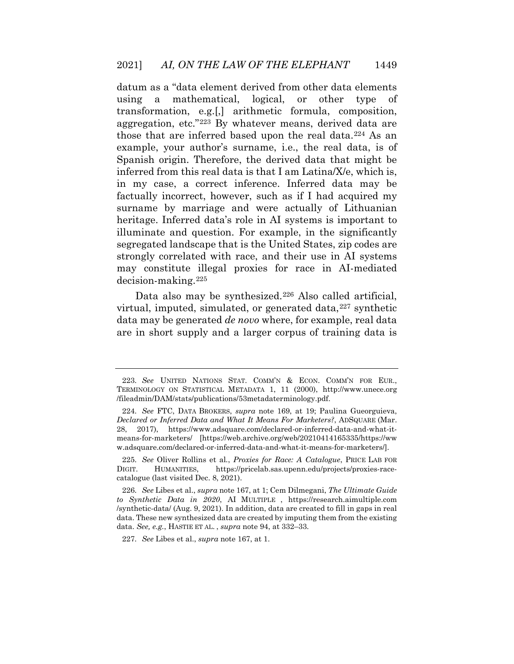datum as a "data element derived from other data elements using a mathematical, logical, or other type transformation, e.g.[,] arithmetic formula, composition, aggregation, etc."[223](#page-62-2) By whatever means, derived data are those that are inferred based upon the real data.[224](#page-62-3) As an example, your author's surname, i.e., the real data, is of Spanish origin. Therefore, the derived data that might be inferred from this real data is that I am Latina/X/e, which is, in my case, a correct inference. Inferred data may be factually incorrect, however, such as if I had acquired my surname by marriage and were actually of Lithuanian heritage. Inferred data's role in AI systems is important to illuminate and question. For example, in the significantly segregated landscape that is the United States, zip codes are strongly correlated with race, and their use in AI systems may constitute illegal proxies for race in AI-mediated decision-making.[225](#page-62-4)

Data also may be synthesized.<sup>[226](#page-63-0)</sup> Also called artificial, virtual, imputed, simulated, or generated data, $227$  synthetic data may be generated *de novo* where, for example, real data are in short supply and a larger corpus of training data is

<span id="page-61-0"></span><sup>223.</sup> *See* UNITED NATIONS STAT. COMM'N & ECON. COMM'N FOR EUR., TERMINOLOGY ON STATISTICAL METADATA 1, 11 (2000), http://www.unece.org /fileadmin/DAM/stats/publications/53metadaterminology.pdf.

<span id="page-61-1"></span><sup>224.</sup> *See* FTC, DATA BROKERS, *supra* note 169, at 19; Paulina Gueorguieva, *Declared or Inferred Data and What It Means For Marketers?*, ADSQUARE (Mar. 28, 2017), https://www.adsquare.com/declared-or-inferred-data-and-what-itmeans-for-marketers/ [https://web.archive.org/web/20210414165335/https://ww w.adsquare.com/declared-or-inferred-data-and-what-it-means-for-marketers/].

<sup>225.</sup> *See* Oliver Rollins et al*.*, *Proxies for Race: A Catalogue*, PRICE LAB FOR DIGIT. HUMANITIES, https://pricelab.sas.upenn.edu/projects/proxies-racecatalogue (last visited Dec. 8, 2021).

<span id="page-61-2"></span><sup>226.</sup> *See* Libes et al., *supra* note 167, at 1; Cem Dilmegani, *The Ultimate Guide to Synthetic Data in 2020*, AI MULTIPLE , https://research.aimultiple.com /synthetic-data/ (Aug. 9, 2021). In addition, data are created to fill in gaps in real data. These new synthesized data are created by imputing them from the existing data. *See, e.g.*, HASTIE ET AL. , *supra* note 94, at 332–33.

<sup>227.</sup> *See* Libes et al., *supra* note 167, at 1.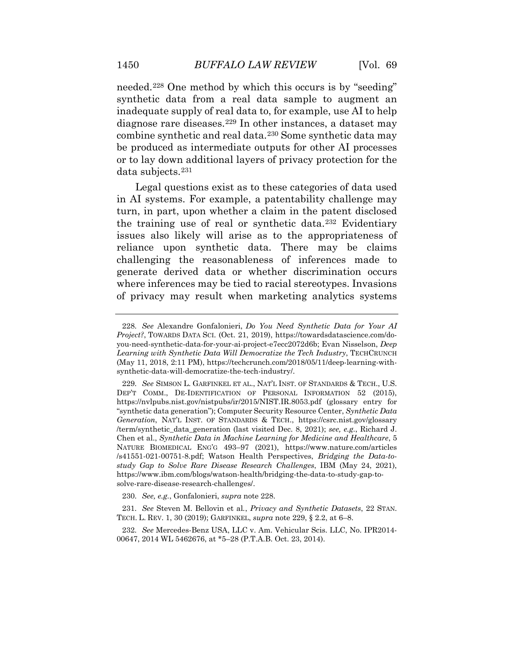needed.[228](#page-63-2) One method by which this occurs is by "seeding" synthetic data from a real data sample to augment an inadequate supply of real data to, for example, use AI to help diagnose rare diseases.[229](#page-63-3) In other instances, a dataset may combine synthetic and real data.[230](#page-63-4) Some synthetic data may be produced as intermediate outputs for other AI processes or to lay down additional layers of privacy protection for the data subjects.[231](#page-63-5)

Legal questions exist as to these categories of data used in AI systems. For example, a patentability challenge may turn, in part, upon whether a claim in the patent disclosed the training use of real or synthetic data.[232](#page-64-0) Evidentiary issues also likely will arise as to the appropriateness of reliance upon synthetic data. There may be claims challenging the reasonableness of inferences made to generate derived data or whether discrimination occurs where inferences may be tied to racial stereotypes. Invasions of privacy may result when marketing analytics systems

<sup>228.</sup> *See* Alexandre Gonfalonieri, *Do You Need Synthetic Data for Your AI Project?*, TOWARDS DATA SCI. (Oct. 21, 2019), https://towardsdatascience.com/doyou-need-synthetic-data-for-your-ai-project-e7ecc2072d6b; Evan Nisselson, *Deep Learning with Synthetic Data Will Democratize the Tech Industry*, TECHCRUNCH (May 11, 2018, 2:11 PM), https://techcrunch.com/2018/05/11/deep-learning-withsynthetic-data-will-democratize-the-tech-industry/.

<span id="page-62-2"></span><span id="page-62-1"></span><span id="page-62-0"></span><sup>229.</sup> *See* SIMSON L. GARFINKEL ET AL., NAT'L INST. OF STANDARDS & TECH., U.S. DEP'T COMM., DE-IDENTIFICATION OF PERSONAL INFORMATION 52 (2015), https://nvlpubs.nist.gov/nistpubs/ir/2015/NIST.IR.8053.pdf (glossary entry for "synthetic data generation"); Computer Security Resource Center, *Synthetic Data Generation*, NAT'L INST. OF STANDARDS & TECH., https://csrc.nist.gov/glossary /term/synthetic\_data\_generation (last visited Dec. 8, 2021); *see, e.g.*, Richard J. Chen et al., *Synthetic Data in Machine Learning for Medicine and Healthcare*, 5 NATURE BIOMEDICAL ENG'G 493–97 (2021), https://www.nature.com/articles /s41551-021-00751-8.pdf; Watson Health Perspectives, *Bridging the Data-tostudy Gap to Solve Rare Disease Research Challenges*, IBM (May 24, 2021), https://www.ibm.com/blogs/watson-health/bridging-the-data-to-study-gap-tosolve-rare-disease-research-challenges/.

<sup>230.</sup> *See, e.g.*, Gonfalonieri, *supra* note 228.

<span id="page-62-4"></span><span id="page-62-3"></span><sup>231.</sup> *See* Steven M. Bellovin et al*.*, *Privacy and Synthetic Datasets*, 22 STAN. TECH. L. REV. 1, 30 (2019); GARFINKEL, *supra* note 229, § 2.2, at 6–8.

<sup>232.</sup> *See* Mercedes-Benz USA, LLC v. Am. Vehicular Scis. LLC, No. IPR2014- 00647, 2014 WL 5462676, at \*5–28 (P.T.A.B. Oct. 23, 2014).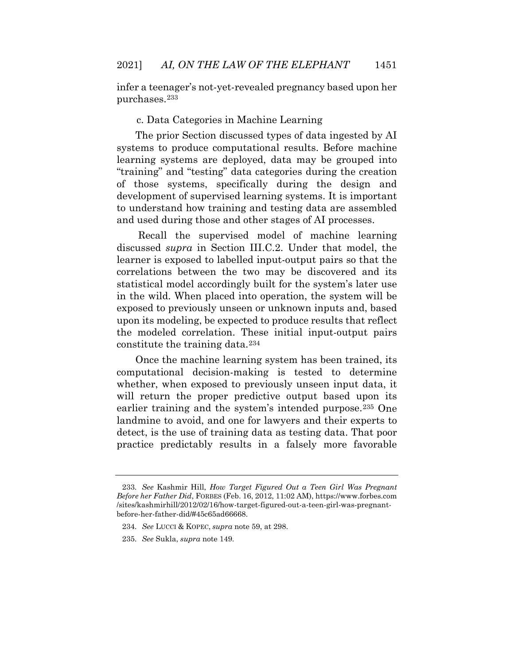infer a teenager's not-yet-revealed pregnancy based upon her purchases.[233](#page-64-1)

# c. Data Categories in Machine Learning

The prior Section discussed types of data ingested by AI systems to produce computational results. Before machine learning systems are deployed, data may be grouped into "training" and "testing" data categories during the creation of those systems, specifically during the design and development of supervised learning systems. It is important to understand how training and testing data are assembled and used during those and other stages of AI processes.

<span id="page-63-0"></span>Recall the supervised model of machine learning discussed *supra* in Section III.C.2. Under that model, the learner is exposed to labelled input-output pairs so that the correlations between the two may be discovered and its statistical model accordingly built for the system's later use in the wild. When placed into operation, the system will be exposed to previously unseen or unknown inputs and, based upon its modeling, be expected to produce results that reflect the modeled correlation. These initial input-output pairs constitute the training data.[234](#page-65-0)

<span id="page-63-3"></span><span id="page-63-2"></span><span id="page-63-1"></span>Once the machine learning system has been trained, its computational decision-making is tested to determine whether, when exposed to previously unseen input data, it will return the proper predictive output based upon its earlier training and the system's intended purpose.[235](#page-65-1) One landmine to avoid, and one for lawyers and their experts to detect, is the use of training data as testing data. That poor practice predictably results in a falsely more favorable

<span id="page-63-5"></span><span id="page-63-4"></span><sup>233.</sup> *See* Kashmir Hill, *How Target Figured Out a Teen Girl Was Pregnant Before her Father Did*, FORBES (Feb. 16, 2012, 11:02 AM), https://www.forbes.com /sites/kashmirhill/2012/02/16/how-target-figured-out-a-teen-girl-was-pregnantbefore-her-father-did/#45c65ad66668.

<sup>234.</sup> *See* LUCCI & KOPEC, *supra* note 59, at 298.

<sup>235.</sup> *See* Sukla, *supra* note 149.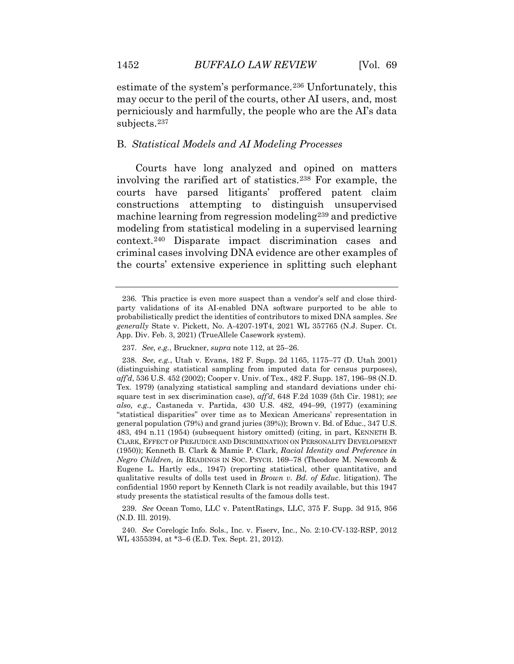estimate of the system's performance.[236](#page-65-2) Unfortunately, this may occur to the peril of the courts, other AI users, and, most perniciously and harmfully, the people who are the AI's data subjects.[237](#page-65-3)

## B. *Statistical Models and AI Modeling Processes*

Courts have long analyzed and opined on matters involving the rarified art of statistics.[238](#page-65-4) For example, the courts have parsed litigants' proffered patent claim constructions attempting to distinguish unsupervised machine learning from regression modeling[239](#page-66-0) and predictive modeling from statistical modeling in a supervised learning context.[240](#page-66-1) Disparate impact discrimination cases and criminal cases involving DNA evidence are other examples of the courts' extensive experience in splitting such elephant

<sup>236.</sup> This practice is even more suspect than a vendor's self and close thirdparty validations of its AI-enabled DNA software purported to be able to probabilistically predict the identities of contributors to mixed DNA samples. *See generally* State v. Pickett, No. A-4207-19T4, 2021 WL 357765 (N.J. Super. Ct. App. Div. Feb. 3, 2021) (TrueAllele Casework system).

<sup>237.</sup> *See, e.g.*, Bruckner, *supra* note 112, at 25–26.

<sup>238.</sup> *See, e.g.*, Utah v. Evans, 182 F. Supp. 2d 1165, 1175–77 (D. Utah 2001) (distinguishing statistical sampling from imputed data for census purposes), *aff'd*, 536 U.S. 452 (2002); Cooper v. Univ. of Tex., 482 F. Supp. 187, 196–98 (N.D. Tex. 1979) (analyzing statistical sampling and standard deviations under chisquare test in sex discrimination case), *aff'd*, 648 F.2d 1039 (5th Cir. 1981); *see also, e.g.*, Castaneda v. Partida, 430 U.S. 482, 494–99, (1977) (examining "statistical disparities" over time as to Mexican Americans' representation in general population (79%) and grand juries (39%)); Brown v. Bd. of Educ., 347 U.S. 483, 494 n.11 (1954) (subsequent history omitted) (citing, in part, KENNETH B. CLARK, EFFECT OF PREJUDICE AND DISCRIMINATION ON PERSONALITY DEVELOPMENT (1950)); Kenneth B. Clark & Mamie P. Clark, *Racial Identity and Preference in Negro Children*, *in* READINGS IN SOC. PSYCH. 169–78 (Theodore M. Newcomb & Eugene L. Hartly eds., 1947) (reporting statistical, other quantitative, and qualitative results of dolls test used in *Brown v. Bd. of Educ.* litigation). The confidential 1950 report by Kenneth Clark is not readily available, but this 1947 study presents the statistical results of the famous dolls test.

<span id="page-64-1"></span><span id="page-64-0"></span><sup>239.</sup> *See* Ocean Tomo, LLC v. PatentRatings, LLC, 375 F. Supp. 3d 915, 956 (N.D. Ill. 2019).

<sup>240.</sup> *See* Corelogic Info. Sols., Inc. v. Fiserv, Inc., No. 2:10-CV-132-RSP, 2012 WL 4355394, at \*3–6 (E.D. Tex. Sept. 21, 2012).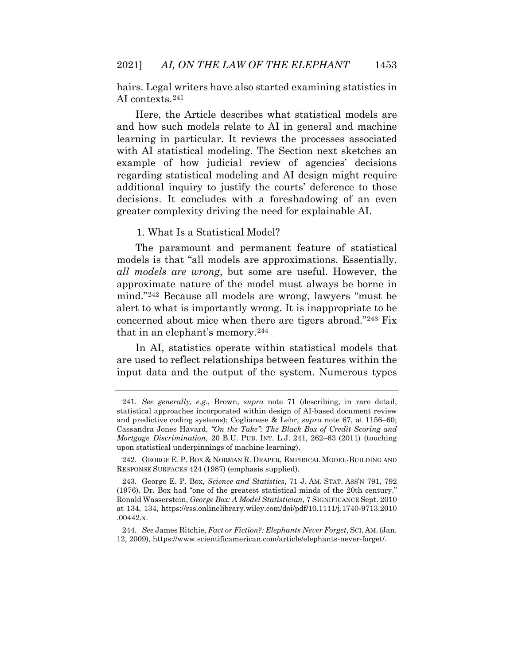hairs. Legal writers have also started examining statistics in AI contexts.[241](#page-66-2)

Here, the Article describes what statistical models are and how such models relate to AI in general and machine learning in particular. It reviews the processes associated with AI statistical modeling. The Section next sketches an example of how judicial review of agencies' decisions regarding statistical modeling and AI design might require additional inquiry to justify the courts' deference to those decisions. It concludes with a foreshadowing of an even greater complexity driving the need for explainable AI.

# 1. What Is a Statistical Model?

The paramount and permanent feature of statistical models is that "all models are approximations. Essentially, *all models are wrong*, but some are useful. However, the approximate nature of the model must always be borne in mind."[242](#page-67-0) Because all models are wrong, lawyers "must be alert to what is importantly wrong. It is inappropriate to be concerned about mice when there are tigers abroad."[243](#page-67-1) Fix that in an elephant's memory.[244](#page-67-2)

<span id="page-65-2"></span><span id="page-65-1"></span><span id="page-65-0"></span>In AI, statistics operate within statistical models that are used to reflect relationships between features within the input data and the output of the system. Numerous types

244. *See* James Ritchie, *Fact or Fiction?: Elephants Never Forget*, SCI. AM. (Jan. 12, 2009), https://www.scientificamerican.com/article/elephants-never-forget/.

<span id="page-65-4"></span><span id="page-65-3"></span><sup>241.</sup> *See generally, e.g.*, Brown, *supra* note 71 (describing, in rare detail, statistical approaches incorporated within design of AI-based document review and predictive coding systems); Coglianese & Lehr, *supra* note 67, at 1156–60; Cassandra Jones Havard, *"On the Take": The Black Box of Credit Scoring and Mortgage Discrimination*, 20 B.U. PUB. INT. L.J. 241, 262–63 (2011) (touching upon statistical underpinnings of machine learning).

<sup>242.</sup> GEORGE E. P. BOX & NORMAN R. DRAPER, EMPIRICAL MODEL-BUILDING AND RESPONSE SURFACES 424 (1987) (emphasis supplied).

<sup>243.</sup> George E. P. Box, *Science and Statistics*, 71 J. AM. STAT. ASS'N 791, 792 (1976). Dr. Box had "one of the greatest statistical minds of the 20th century." Ronald Wasserstein, *George Box: A Model Statistician*, 7 SIGNIFICANCE Sept. 2010 at 134, 134, https://rss.onlinelibrary.wiley.com/doi/pdf/10.1111/j.1740-9713.2010 .00442.x.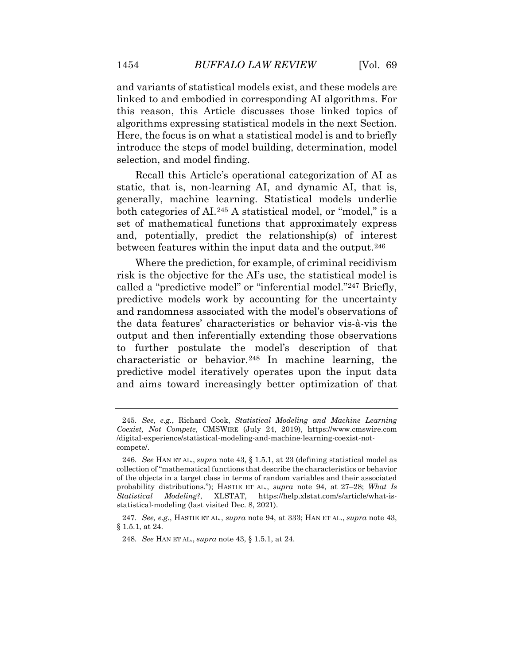and variants of statistical models exist, and these models are linked to and embodied in corresponding AI algorithms. For this reason, this Article discusses those linked topics of algorithms expressing statistical models in the next Section. Here, the focus is on what a statistical model is and to briefly introduce the steps of model building, determination, model selection, and model finding.

Recall this Article's operational categorization of AI as static, that is, non-learning AI, and dynamic AI, that is, generally, machine learning. Statistical models underlie both categories of AI.<sup>[245](#page-67-3)</sup> A statistical model, or "model," is a set of mathematical functions that approximately express and, potentially, predict the relationship(s) of interest between features within the input data and the output.[246](#page-67-4)

Where the prediction, for example, of criminal recidivism risk is the objective for the AI's use, the statistical model is called a "predictive model" or "inferential model."[247](#page-68-0) Briefly, predictive models work by accounting for the uncertainty and randomness associated with the model's observations of the data features' characteristics or behavior vis-à-vis the output and then inferentially extending those observations to further postulate the model's description of that characteristic or behavior.<sup>[248](#page-68-1)</sup> In machine learning, the predictive model iteratively operates upon the input data and aims toward increasingly better optimization of that

<span id="page-66-0"></span><sup>245.</sup> *See, e.g.*, Richard Cook, *Statistical Modeling and Machine Learning Coexist, Not Compete*, CMSWIRE (July 24, 2019), https://www.cmswire.com /digital-experience/statistical-modeling-and-machine-learning-coexist-notcompete/.

<span id="page-66-2"></span><span id="page-66-1"></span><sup>246.</sup> *See* HAN ET AL., *supra* note 43, § 1.5.1, at 23 (defining statistical model as collection of "mathematical functions that describe the characteristics or behavior of the objects in a target class in terms of random variables and their associated probability distributions."); HASTIE ET AL*.*, *supra* note 94, at 27–28; *What Is Statistical Modeling?*, XLSTAT, https://help.xlstat.com/s/article/what-isstatistical-modeling (last visited Dec. 8, 2021).

<sup>247.</sup> *See, e.g.*, HASTIE ET AL*.*, *supra* note 94, at 333; HAN ET AL., *supra* note 43, § 1.5.1, at 24.

<sup>248.</sup> *See* HAN ET AL*.*, *supra* note 43, § 1.5.1, at 24.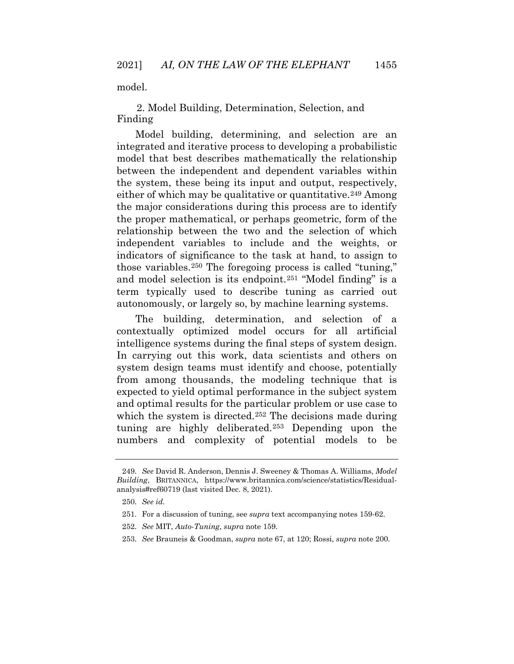model.

2. Model Building, Determination, Selection, and Finding

Model building, determining, and selection are an integrated and iterative process to developing a probabilistic model that best describes mathematically the relationship between the independent and dependent variables within the system, these being its input and output, respectively, either of which may be qualitative or quantitative.<sup>[249](#page-68-2)</sup> Among the major considerations during this process are to identify the proper mathematical, or perhaps geometric, form of the relationship between the two and the selection of which independent variables to include and the weights, or indicators of significance to the task at hand, to assign to those variables.[250](#page-68-3) The foregoing process is called "tuning," and model selection is its endpoint.[251](#page-69-0) "Model finding" is a term typically used to describe tuning as carried out autonomously, or largely so, by machine learning systems.

<span id="page-67-1"></span><span id="page-67-0"></span>The building, determination, and selection of a contextually optimized model occurs for all artificial intelligence systems during the final steps of system design. In carrying out this work, data scientists and others on system design teams must identify and choose, potentially from among thousands, the modeling technique that is expected to yield optimal performance in the subject system and optimal results for the particular problem or use case to which the system is directed.<sup>[252](#page-69-1)</sup> The decisions made during tuning are highly deliberated.[253](#page-69-2) Depending upon the numbers and complexity of potential models to be

253. *See* Brauneis & Goodman, *supra* note 67, at 120; Rossi, *supra* note 200.

<span id="page-67-4"></span><span id="page-67-3"></span><span id="page-67-2"></span><sup>249.</sup> *See* David R. Anderson, Dennis J. Sweeney & Thomas A. Williams, *Model Building*, BRITANNICA, https://www.britannica.com/science/statistics/Residualanalysis#ref60719 (last visited Dec. 8, 2021).

<sup>250.</sup> *See id.*

<sup>251.</sup> For a discussion of tuning, see *supra* text accompanying notes 159-62.

<sup>252.</sup> *See* MIT, *Auto-Tuning*, *supra* note 159.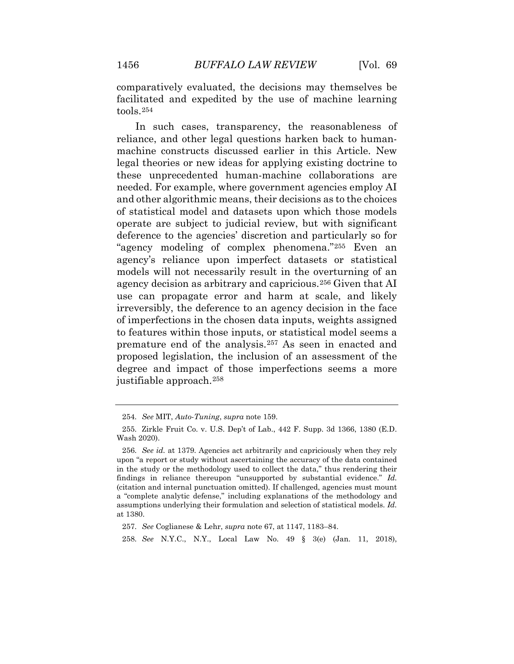comparatively evaluated, the decisions may themselves be facilitated and expedited by the use of machine learning tools.[254](#page-69-3)

In such cases, transparency, the reasonableness of reliance, and other legal questions harken back to humanmachine constructs discussed earlier in this Article. New legal theories or new ideas for applying existing doctrine to these unprecedented human-machine collaborations are needed. For example, where government agencies employ AI and other algorithmic means, their decisions as to the choices of statistical model and datasets upon which those models operate are subject to judicial review, but with significant deference to the agencies' discretion and particularly so for "agency modeling of complex phenomena."[255](#page-69-4) Even an agency's reliance upon imperfect datasets or statistical models will not necessarily result in the overturning of an agency decision as arbitrary and capricious.[256](#page-70-0) Given that AI use can propagate error and harm at scale, and likely irreversibly, the deference to an agency decision in the face of imperfections in the chosen data inputs, weights assigned to features within those inputs, or statistical model seems a premature end of the analysis.[257](#page-70-1) As seen in enacted and proposed legislation, the inclusion of an assessment of the degree and impact of those imperfections seems a more justifiable approach.[258](#page-70-2)

<span id="page-68-3"></span>258. *See* N.Y.C., N.Y., Local Law No. 49 § 3(e) (Jan. 11, 2018),

<sup>254.</sup> *See* MIT, *Auto-Tuning*, *supra* note 159.

<sup>255.</sup> Zirkle Fruit Co. v. U.S. Dep't of Lab., 442 F. Supp. 3d 1366, 1380 (E.D. Wash 2020).

<span id="page-68-1"></span><span id="page-68-0"></span><sup>256.</sup> *See id.* at 1379. Agencies act arbitrarily and capriciously when they rely upon "a report or study without ascertaining the accuracy of the data contained in the study or the methodology used to collect the data," thus rendering their findings in reliance thereupon "unsupported by substantial evidence." *Id.*  (citation and internal punctuation omitted). If challenged, agencies must mount a "complete analytic defense," including explanations of the methodology and assumptions underlying their formulation and selection of statistical models. *Id.*  at 1380.

<span id="page-68-2"></span><sup>257.</sup> *See* Coglianese & Lehr, *supra* note 67, at 1147, 1183–84.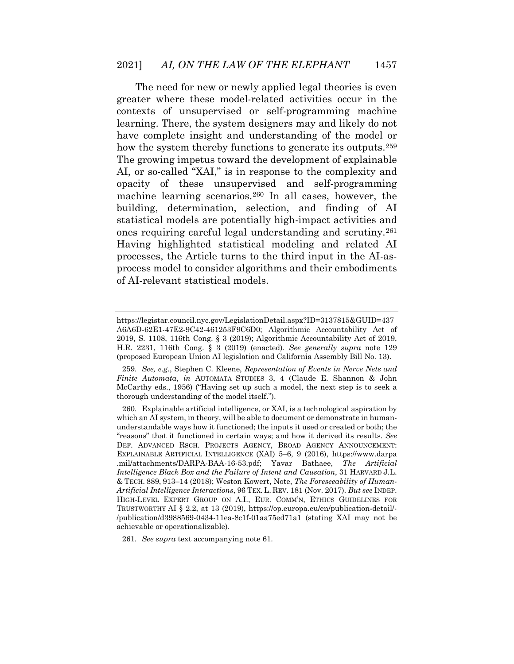The need for new or newly applied legal theories is even greater where these model-related activities occur in the contexts of unsupervised or self-programming machine learning. There, the system designers may and likely do not have complete insight and understanding of the model or how the system thereby functions to generate its outputs.<sup>[259](#page-70-3)</sup> The growing impetus toward the development of explainable AI, or so-called "XAI," is in response to the complexity and opacity of these unsupervised and self-programming machine learning scenarios.[260](#page-71-0) In all cases, however, the building, determination, selection, and finding of AI statistical models are potentially high-impact activities and ones requiring careful legal understanding and scrutiny.[261](#page-71-1) Having highlighted statistical modeling and related AI processes, the Article turns to the third input in the AI-asprocess model to consider algorithms and their embodiments of AI-relevant statistical models.

<span id="page-69-4"></span><span id="page-69-3"></span><span id="page-69-2"></span><span id="page-69-1"></span>261. *See supra* text accompanying note 61.

https://legistar.council.nyc.gov/LegislationDetail.aspx?ID=3137815&GUID=437 A6A6D-62E1-47E2-9C42-461253F9C6D0; Algorithmic Accountability Act of 2019, S. 1108, 116th Cong. § 3 (2019); Algorithmic Accountability Act of 2019, H.R. 2231, 116th Cong. § 3 (2019) (enacted). *See generally supra* note 129 (proposed European Union AI legislation and California Assembly Bill No. 13).

<sup>259.</sup> *See, e.g.*, Stephen C. Kleene, *Representation of Events in Nerve Nets and Finite Automata*, *in* AUTOMATA STUDIES 3, 4 (Claude E. Shannon & John McCarthy eds., 1956) ("Having set up such a model, the next step is to seek a thorough understanding of the model itself.").

<span id="page-69-0"></span><sup>260.</sup> Explainable artificial intelligence, or XAI, is a technological aspiration by which an AI system, in theory, will be able to document or demonstrate in humanunderstandable ways how it functioned; the inputs it used or created or both; the "reasons" that it functioned in certain ways; and how it derived its results. *See*  DEF. ADVANCED RSCH. PROJECTS AGENCY, BROAD AGENCY ANNOUNCEMENT: EXPLAINABLE ARTIFICIAL INTELLIGENCE (XAI) 5–6, 9 (2016), https://www.darpa .mil/attachments/DARPA-BAA-16-53.pdf; Yavar Bathaee, *The Artificial Intelligence Black Box and the Failure of Intent and Causation*, 31 HARVARD J.L. & TECH. 889, 913–14 (2018); Weston Kowert, Note, *The Foreseeability of Human-Artificial Intelligence Interactions*, 96 TEX. L. REV. 181 (Nov. 2017). *But see* INDEP. HIGH-LEVEL EXPERT GROUP ON A.I., EUR. COMM'N, ETHICS GUIDELINES FOR TRUSTWORTHY AI § 2.2, at 13 (2019), https://op.europa.eu/en/publication-detail/- /publication/d3988569-0434-11ea-8c1f-01aa75ed71a1 (stating XAI may not be achievable or operationalizable).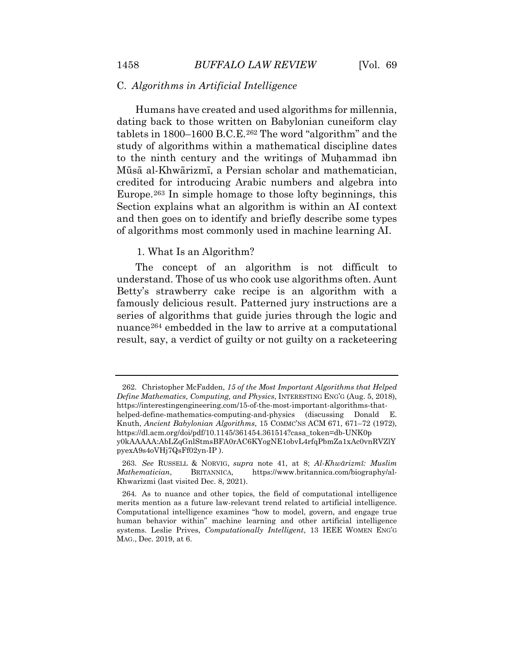## C. *Algorithms in Artificial Intelligence*

Humans have created and used algorithms for millennia, dating back to those written on Babylonian cuneiform clay tablets in 1800–1600 B.C.E.[262](#page-72-0) The word "algorithm" and the study of algorithms within a mathematical discipline dates to the ninth century and the writings of Muhammad ibn Mūsā al-Khwārizmī, a Persian scholar and mathematician, credited for introducing Arabic numbers and algebra into Europe.[263](#page-72-1) In simple homage to those lofty beginnings, this Section explains what an algorithm is within an AI context and then goes on to identify and briefly describe some types of algorithms most commonly used in machine learning AI.

#### 1. What Is an Algorithm?

The concept of an algorithm is not difficult to understand. Those of us who cook use algorithms often. Aunt Betty's strawberry cake recipe is an algorithm with a famously delicious result. Patterned jury instructions are a series of algorithms that guide juries through the logic and nuance<sup>[264](#page-72-2)</sup> embedded in the law to arrive at a computational result, say, a verdict of guilty or not guilty on a racketeering

<span id="page-70-0"></span><sup>262.</sup> Christopher McFadden, *15 of the Most Important Algorithms that Helped Define Mathematics, Computing, and Physics*, INTERESTING ENG'G (Aug. 5, 2018), https://interestingengineering.com/15-of-the-most-important-algorithms-thathelped-define-mathematics-computing-and-physics (discussing Donald E. Knuth, *Ancient Babylonian Algorithms*, 15 COMMC'NS ACM 671, 671–72 (1972), https://dl.acm.org/doi/pdf/10.1145/361454.361514?casa\_token=db-UNK0p y0kAAAAA:AbLZqGnlStmsBFA0rAC6KYogNE1obvL4rfqPbmZa1xAc0vnRVZlY pyexA9s4oVHj7QsFf02yn-IP ).

<span id="page-70-2"></span><span id="page-70-1"></span><sup>263.</sup> *See* RUSSELL & NORVIG, *supra* note 41, at 8; *Al-Khwārizmī: Muslim Mathematician*, BRITANNICA, https://www.britannica.com/biography/al-Khwarizmi (last visited Dec. 8, 2021).

<span id="page-70-3"></span><sup>264.</sup> As to nuance and other topics, the field of computational intelligence merits mention as a future law-relevant trend related to artificial intelligence. Computational intelligence examines "how to model, govern, and engage true human behavior within" machine learning and other artificial intelligence systems. Leslie Prives, *Computationally Intelligent*, 13 IEEE WOMEN ENG'G MAG., Dec. 2019, at 6.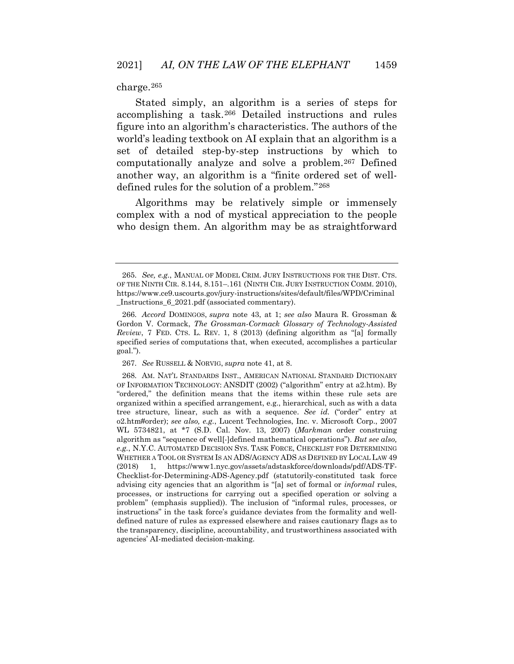charge.[265](#page-73-0)

Stated simply, an algorithm is a series of steps for accomplishing a task.[266](#page-73-1) Detailed instructions and rules figure into an algorithm's characteristics. The authors of the world's leading textbook on AI explain that an algorithm is a set of detailed step-by-step instructions by which to computationally analyze and solve a problem.[267](#page-73-2) Defined another way, an algorithm is a "finite ordered set of welldefined rules for the solution of a problem."[268](#page-73-3)

Algorithms may be relatively simple or immensely complex with a nod of mystical appreciation to the people who design them. An algorithm may be as straightforward

<sup>265.</sup> *See, e.g.*, MANUAL OF MODEL CRIM. JURY INSTRUCTIONS FOR THE DIST. CTS. OF THE NINTH CIR. 8.144, 8.151–.161 (NINTH CIR. JURY INSTRUCTION COMM. 2010), https://www.ce9.uscourts.gov/jury-instructions/sites/default/files/WPD/Criminal \_Instructions\_6\_2021.pdf (associated commentary).

<sup>266.</sup> *Accord* DOMINGOS, *supra* note 43, at 1; *see also* Maura R. Grossman & Gordon V. Cormack, *The Grossman-Cormack Glossary of Technology-Assisted Review*, 7 FED. CTS. L. REV. 1, 8 (2013) (defining algorithm as "[a] formally specified series of computations that, when executed, accomplishes a particular goal.").

<sup>267.</sup> *See* RUSSELL & NORVIG, *supra* note 41, at 8.

<span id="page-71-1"></span><span id="page-71-0"></span><sup>268.</sup> AM. NAT'L STANDARDS INST., AMERICAN NATIONAL STANDARD DICTIONARY OF INFORMATION TECHNOLOGY: ANSDIT (2002) ("algorithm" entry at a2.htm). By "ordered," the definition means that the items within these rule sets are organized within a specified arrangement, e.g., hierarchical, such as with a data tree structure, linear, such as with a sequence. *See id.* ("order" entry at o2.htm#order); *see also, e.g.*, Lucent Technologies, Inc. v. Microsoft Corp., 2007 WL 5734821, at \*7 (S.D. Cal. Nov. 13, 2007) (*Markman* order construing algorithm as "sequence of well[-]defined mathematical operations"). *But see also, e.g.*, N.Y.C. AUTOMATED DECISION SYS. TASK FORCE, CHECKLIST FOR DETERMINING WHETHER A TOOL OR SYSTEM IS AN ADS/AGENCY ADS AS DEFINED BY LOCAL LAW 49 (2018) 1, https://www1.nyc.gov/assets/adstaskforce/downloads/pdf/ADS-TF-Checklist-for-Determining-ADS-Agency.pdf (statutorily-constituted task force advising city agencies that an algorithm is "[a] set of formal or *informal* rules, processes, or instructions for carrying out a specified operation or solving a problem" (emphasis supplied)). The inclusion of "informal rules, processes, or instructions" in the task force's guidance deviates from the formality and welldefined nature of rules as expressed elsewhere and raises cautionary flags as to the transparency, discipline, accountability, and trustworthiness associated with agencies' AI-mediated decision-making.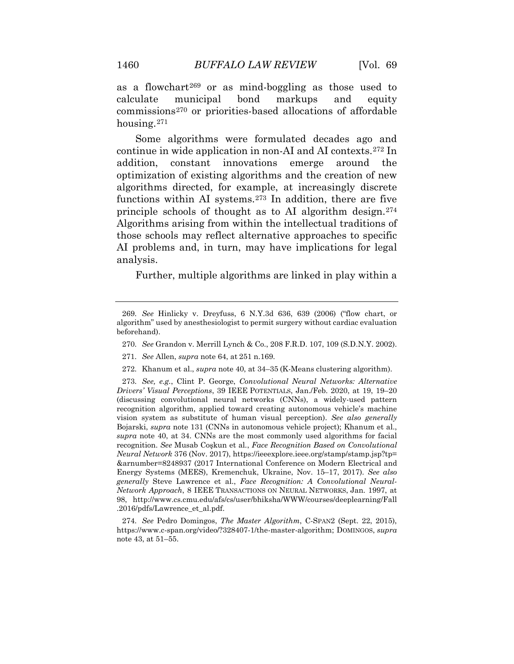as a flowchart[269](#page-74-0) or as mind-boggling as those used to calculate municipal bond markups and equity commissions[270](#page-74-1) or priorities-based allocations of affordable housing.[271](#page-74-2)

Some algorithms were formulated decades ago and continue in wide application in non-AI and AI contexts.[272](#page-74-3) In addition, constant innovations emerge around the optimization of existing algorithms and the creation of new algorithms directed, for example, at increasingly discrete functions within AI systems.[273](#page-74-4) In addition, there are five principle schools of thought as to AI algorithm design.[274](#page-74-5) Algorithms arising from within the intellectual traditions of those schools may reflect alternative approaches to specific AI problems and, in turn, may have implications for legal analysis.

Further, multiple algorithms are linked in play within a

- 270. *See* Grandon v. Merrill Lynch & Co., 208 F.R.D. 107, 109 (S.D.N.Y. 2002).
- 271. *See* Allen, *supra* note 64, at 251 n.169.
- 272. Khanum et al., *supra* note 40, at 34–35 (K-Means clustering algorithm).

273. *See, e.g.*, Clint P. George, *Convolutional Neural Networks: Alternative Drivers' Visual Perceptions*, 39 IEEE POTENTIALS, Jan./Feb. 2020, at 19, 19–20 (discussing convolutional neural networks (CNNs), a widely-used pattern recognition algorithm, applied toward creating autonomous vehicle's machine vision system as substitute of human visual perception). *See also generally*  Bojarski, *supra* note 131 (CNNs in autonomous vehicle project); Khanum et al., *supra* note 40, at 34. CNNs are the most commonly used algorithms for facial recognition. *See* Musab Coşkun et al*.*, *Face Recognition Based on Convolutional Neural Network* 376 (Nov. 2017), https://ieeexplore.ieee.org/stamp/stamp.jsp?tp= &arnumber=8248937 (2017 International Conference on Modern Electrical and Energy Systems (MEES), Kremenchuk, Ukraine, Nov. 15–17, 2017). *See also generally* Steve Lawrence et al., *Face Recognition: A Convolutional Neural-Network Approach*, 8 IEEE TRANSACTIONS ON NEURAL NETWORKS, Jan. 1997, at 98, http://www.cs.cmu.edu/afs/cs/user/bhiksha/WWW/courses/deeplearning/Fall .2016/pdfs/Lawrence\_et\_al.pdf.

274. *See* Pedro Domingos, *The Master Algorithm*, C-SPAN2 (Sept. 22, 2015), https://www.c-span.org/video/?328407-1/the-master-algorithm; DOMINGOS, *supra*  note 43, at 51–55.

<sup>269.</sup> *See* Hinlicky v. Dreyfuss, 6 N.Y.3d 636, 639 (2006) ("flow chart, or algorithm" used by anesthesiologist to permit surgery without cardiac evaluation beforehand).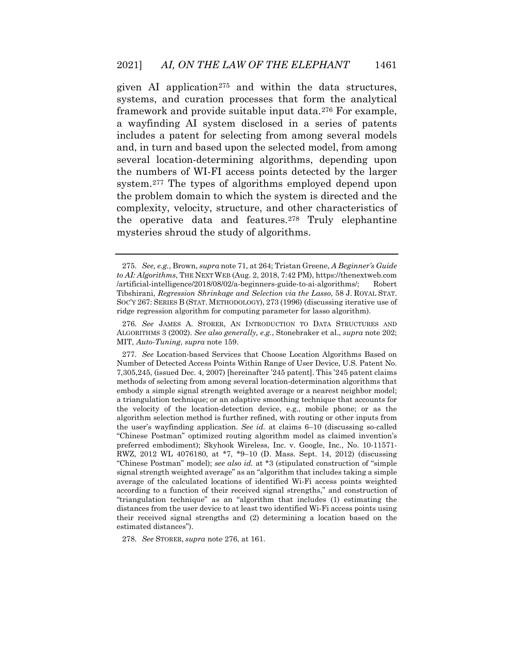given AI application<sup>[275](#page-75-0)</sup> and within the data structures, systems, and curation processes that form the analytical framework and provide suitable input data.[276](#page-75-1) For example, a wayfinding AI system disclosed in a series of patents includes a patent for selecting from among several models and, in turn and based upon the selected model, from among several location-determining algorithms, depending upon the numbers of WI-FI access points detected by the larger system.[277](#page-75-2) The types of algorithms employed depend upon the problem domain to which the system is directed and the complexity, velocity, structure, and other characteristics of the operative data and features.[278](#page-76-0) Truly elephantine mysteries shroud the study of algorithms.

278. *See* STORER, *supra* note 276, at 161.

<sup>275.</sup> *See, e.g.*, Brown, *supra* note 71, at 264; Tristan Greene, *A Beginner's Guide to AI: Algorithms*, THE NEXT WEB (Aug. 2, 2018, 7:42 PM), https://thenextweb.com /artificial-intelligence/2018/08/02/a-beginners-guide-to-ai-algorithms/; Robert Tibshirani, *Regression Shrinkage and Selection via the Lasso*, 58 J. ROYAL STAT. SOC'Y 267: SERIES B (STAT. METHODOLOGY), 273 (1996) (discussing iterative use of ridge regression algorithm for computing parameter for lasso algorithm).

<sup>276.</sup> *See* JAMES A. STORER, AN INTRODUCTION TO DATA STRUCTURES AND ALGORITHMS 3 (2002). *See also generally, e.g.*, Stonebraker et al., *supra* note 202; MIT, *Auto-Tuning*, *supra* note 159.

<sup>277.</sup> *See* Location-based Services that Choose Location Algorithms Based on Number of Detected Access Points Within Range of User Device, U.S. Patent No. 7,305,245, (issued Dec. 4, 2007) [hereinafter '245 patent]. This '245 patent claims methods of selecting from among several location-determination algorithms that embody a simple signal strength weighted average or a nearest neighbor model; a triangulation technique; or an adaptive smoothing technique that accounts for the velocity of the location-detection device, e.g., mobile phone; or as the algorithm selection method is further refined, with routing or other inputs from the user's wayfinding application. *See id.* at claims 6–10 (discussing so-called "Chinese Postman" optimized routing algorithm model as claimed invention's preferred embodiment); Skyhook Wireless, Inc. v. Google, Inc*.*, No. 10-11571- RWZ, 2012 WL 4076180, at \*7, \*9–10 (D. Mass. Sept. 14, 2012) (discussing "Chinese Postman" model); *see also id.* at \*3 (stipulated construction of "simple signal strength weighted average" as an "algorithm that includes taking a simple average of the calculated locations of identified Wi-Fi access points weighted according to a function of their received signal strengths," and construction of "triangulation technique" as an "algorithm that includes (1) estimating the distances from the user device to at least two identified Wi-Fi access points using their received signal strengths and (2) determining a location based on the estimated distances").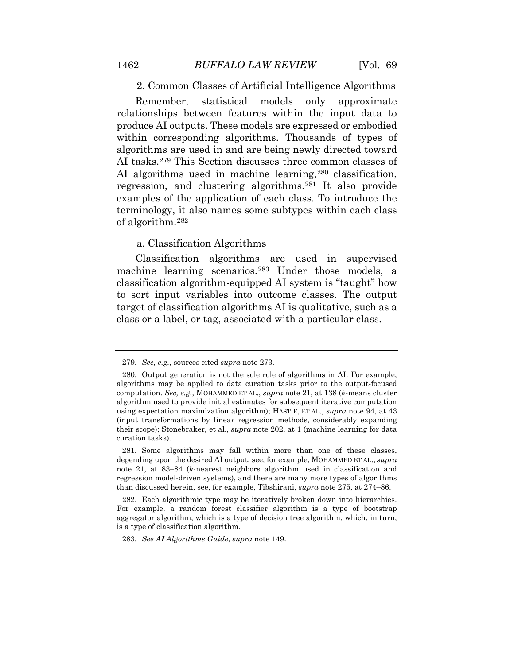2. Common Classes of Artificial Intelligence Algorithms

Remember, statistical models only approximate relationships between features within the input data to produce AI outputs. These models are expressed or embodied within corresponding algorithms. Thousands of types of algorithms are used in and are being newly directed toward AI tasks.[279](#page-76-1) This Section discusses three common classes of AI algorithms used in machine learning,<sup>[280](#page-76-2)</sup> classification, regression, and clustering algorithms[.281](#page-76-3) It also provide examples of the application of each class. To introduce the terminology, it also names some subtypes within each class of algorithm.[282](#page-76-4)

## a. Classification Algorithms

<span id="page-74-0"></span>Classification algorithms are used in supervised machine learning scenarios.[283](#page-76-5) Under those models, a classification algorithm-equipped AI system is "taught" how to sort input variables into outcome classes. The output target of classification algorithms AI is qualitative, such as a class or a label, or tag, associated with a particular class.

283. *See AI Algorithms Guide*, *supra* note 149.

<sup>279.</sup> *See, e.g.*, sources cited *supra* note 273.

<span id="page-74-4"></span><span id="page-74-3"></span><span id="page-74-2"></span><span id="page-74-1"></span><sup>280.</sup> Output generation is not the sole role of algorithms in AI. For example, algorithms may be applied to data curation tasks prior to the output-focused computation. *See, e.g.*, MOHAMMED ET AL., *supra* note 21, at 138 (*k*-means cluster algorithm used to provide initial estimates for subsequent iterative computation using expectation maximization algorithm); HASTIE, ET AL., *supra* note 94, at 43 (input transformations by linear regression methods, considerably expanding their scope); Stonebraker, et al., *supra* note 202, at 1 (machine learning for data curation tasks).

<sup>281.</sup> Some algorithms may fall within more than one of these classes, depending upon the desired AI output, see*,* for example, MOHAMMED ET AL., *supra*  note 21, at 83–84 (*k*-nearest neighbors algorithm used in classification and regression model-driven systems), and there are many more types of algorithms than discussed herein, see, for example, Tibshirani, *supra* note 275, at 274–86.

<span id="page-74-5"></span><sup>282.</sup> Each algorithmic type may be iteratively broken down into hierarchies. For example, a random forest classifier algorithm is a type of bootstrap aggregator algorithm, which is a type of decision tree algorithm, which, in turn, is a type of classification algorithm.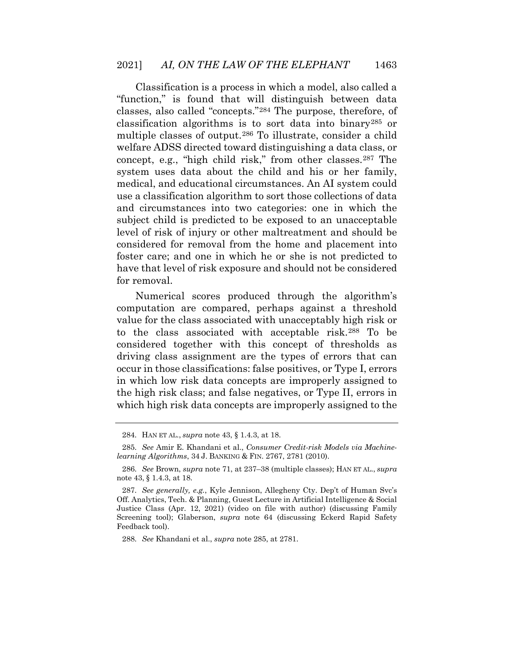Classification is a process in which a model, also called a "function," is found that will distinguish between data classes, also called "concepts."[284](#page-77-0) The purpose, therefore, of classification algorithms is to sort data into binary[285](#page-77-1) or multiple classes of output.[286](#page-77-2) To illustrate, consider a child welfare ADSS directed toward distinguishing a data class, or concept, e.g., "high child risk," from other classes.[287](#page-77-3) The system uses data about the child and his or her family, medical, and educational circumstances. An AI system could use a classification algorithm to sort those collections of data and circumstances into two categories: one in which the subject child is predicted to be exposed to an unacceptable level of risk of injury or other maltreatment and should be considered for removal from the home and placement into foster care; and one in which he or she is not predicted to have that level of risk exposure and should not be considered for removal.

<span id="page-75-2"></span><span id="page-75-1"></span><span id="page-75-0"></span>Numerical scores produced through the algorithm's computation are compared, perhaps against a threshold value for the class associated with unacceptably high risk or to the class associated with acceptable risk.[288](#page-77-4) To be considered together with this concept of thresholds as driving class assignment are the types of errors that can occur in those classifications: false positives, or Type I, errors in which low risk data concepts are improperly assigned to the high risk class; and false negatives, or Type II, errors in which high risk data concepts are improperly assigned to the

288. *See* Khandani et al., *supra* note 285, at 2781.

<sup>284.</sup> HAN ET AL., *supra* note 43, § 1.4.3, at 18.

<sup>285.</sup> *See* Amir E. Khandani et al., *Consumer Credit-risk Models via Machinelearning Algorithms*, 34 J. BANKING & FIN. 2767, 2781 (2010).

<sup>286.</sup> *See* Brown, *supra* note 71, at 237–38 (multiple classes); HAN ET AL., *supra* note 43, § 1.4.3, at 18.

<sup>287.</sup> *See generally, e.g.*, Kyle Jennison, Allegheny Cty. Dep't of Human Svc's Off. Analytics, Tech. & Planning, Guest Lecture in Artificial Intelligence & Social Justice Class (Apr. 12, 2021) (video on file with author) (discussing Family Screening tool); Glaberson, *supra* note 64 (discussing Eckerd Rapid Safety Feedback tool).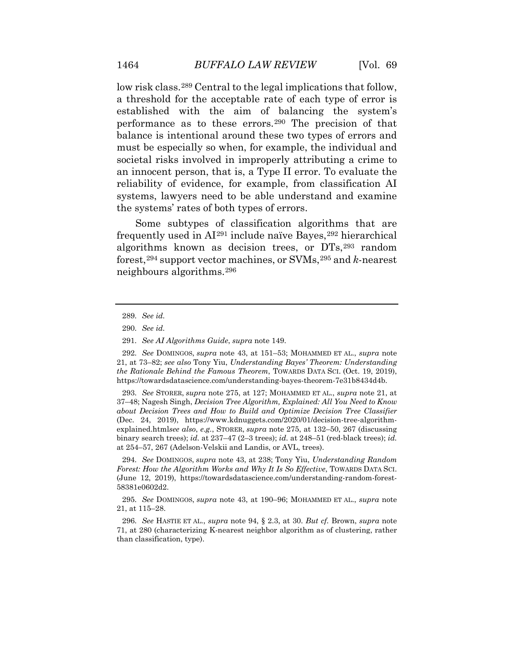low risk class.[289](#page-78-0) Central to the legal implications that follow, a threshold for the acceptable rate of each type of error is established with the aim of balancing the system's performance as to these errors.[290](#page-78-1) The precision of that balance is intentional around these two types of errors and must be especially so when, for example, the individual and societal risks involved in improperly attributing a crime to an innocent person, that is, a Type II error. To evaluate the reliability of evidence, for example, from classification AI systems, lawyers need to be able understand and examine the systems' rates of both types of errors.

Some subtypes of classification algorithms that are frequently used in  $Al<sup>291</sup>$  $Al<sup>291</sup>$  $Al<sup>291</sup>$  include naïve Bayes,<sup> $292$ </sup> hierarchical algorithms known as decision trees, or DTs,[293](#page-78-4) random forest,[294](#page-79-0) support vector machines, or SVMs,[295](#page-79-1) and *k*-nearest neighbours algorithms.[296](#page-79-2)

293. *See* STORER, *supra* note 275, at 127; MOHAMMED ET AL., *supra* note 21, at 37–48; Nagesh Singh, *Decision Tree Algorithm, Explained: All You Need to Know about Decision Trees and How to Build and Optimize Decision Tree Classifier*  (Dec. 24, 2019), https://www.kdnuggets.com/2020/01/decision-tree-algorithmexplained.html*see also*, *e.g.*, STORER, *supra* note 275, at 132–50, 267 (discussing binary search trees); *id.* at 237–47 (2–3 trees); *id.* at 248–51 (red-black trees); *id.* at 254–57, 267 (Adelson-Velskii and Landis, or AVL, trees).

<span id="page-76-3"></span>294. *See* DOMINGOS, *supra* note 43, at 238; Tony Yiu, *Understanding Random Forest: How the Algorithm Works and Why It Is So Effective*, TOWARDS DATA SCI. (June 12, 2019), https://towardsdatascience.com/understanding-random-forest-58381e0602d2.

<span id="page-76-4"></span>295. *See* DOMINGOS, *supra* note 43, at 190–96; MOHAMMED ET AL., *supra* note 21, at 115–28.

<span id="page-76-5"></span>296. *See* HASTIE ET AL., *supra* note 94, § 2.3, at 30. *But cf.* Brown, *supra* note 71, at 280 (characterizing K-nearest neighbor algorithm as of clustering, rather than classification, type).

<sup>289.</sup> *See id.*

<sup>290.</sup> *See id.*

<sup>291.</sup> *See AI Algorithms Guide*, *supra* note 149.

<span id="page-76-2"></span><span id="page-76-1"></span><span id="page-76-0"></span><sup>292.</sup> *See* DOMINGOS, *supra* note 43, at 151–53; MOHAMMED ET AL., *supra* note 21, at 73–82; *see also* Tony Yiu, *Understanding Bayes' Theorem: Understanding the Rationale Behind the Famous Theorem*, TOWARDS DATA SCI. (Oct. 19, 2019), https://towardsdatascience.com/understanding-bayes-theorem-7e31b8434d4b.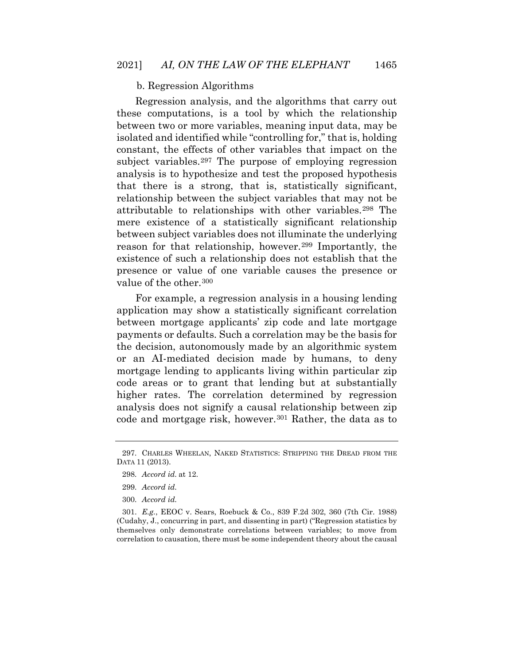## b. Regression Algorithms

Regression analysis, and the algorithms that carry out these computations, is a tool by which the relationship between two or more variables, meaning input data, may be isolated and identified while "controlling for," that is, holding constant, the effects of other variables that impact on the subject variables.[297](#page-79-3) The purpose of employing regression analysis is to hypothesize and test the proposed hypothesis that there is a strong, that is, statistically significant, relationship between the subject variables that may not be attributable to relationships with other variables.[298](#page-79-4) The mere existence of a statistically significant relationship between subject variables does not illuminate the underlying reason for that relationship, however.[299](#page-79-5) Importantly, the existence of such a relationship does not establish that the presence or value of one variable causes the presence or value of the other.<sup>[300](#page-79-6)</sup>

For example, a regression analysis in a housing lending application may show a statistically significant correlation between mortgage applicants' zip code and late mortgage payments or defaults. Such a correlation may be the basis for the decision, autonomously made by an algorithmic system or an AI-mediated decision made by humans, to deny mortgage lending to applicants living within particular zip code areas or to grant that lending but at substantially higher rates. The correlation determined by regression analysis does not signify a causal relationship between zip code and mortgage risk, however.[301](#page-80-0) Rather, the data as to

<span id="page-77-3"></span><span id="page-77-2"></span><span id="page-77-1"></span><span id="page-77-0"></span><sup>297.</sup> CHARLES WHEELAN, NAKED STATISTICS: STRIPPING THE DREAD FROM THE DATA 11 (2013).

<sup>298.</sup> *Accord id.* at 12.

<sup>299.</sup> *Accord id.*

<sup>300.</sup> *Accord id.*

<span id="page-77-4"></span><sup>301.</sup> *E.g.*, EEOC v. Sears, Roebuck & Co., 839 F.2d 302, 360 (7th Cir. 1988) (Cudahy, J., concurring in part, and dissenting in part) ("Regression statistics by themselves only demonstrate correlations between variables; to move from correlation to causation, there must be some independent theory about the causal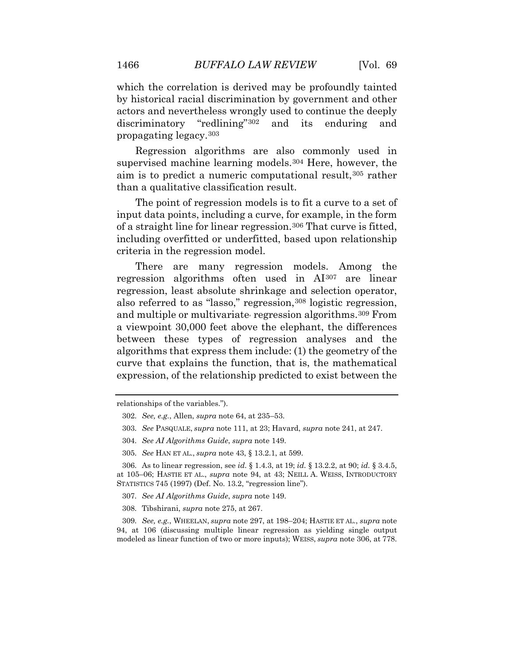which the correlation is derived may be profoundly tainted by historical racial discrimination by government and other actors and nevertheless wrongly used to continue the deeply discriminatory "redlining"[302](#page-80-1) and its enduring and propagating legacy.[303](#page-80-2)

Regression algorithms are also commonly used in supervised machine learning models.<sup>[304](#page-80-3)</sup> Here, however, the aim is to predict a numeric computational result,[305](#page-80-4) rather than a qualitative classification result.

The point of regression models is to fit a curve to a set of input data points, including a curve, for example, in the form of a straight line for linear regression.[306](#page-80-5) That curve is fitted, including overfitted or underfitted, based upon relationship criteria in the regression model.

There are many regression models. Among the regression algorithms often used in AI[307](#page-81-0) are linear regression, least absolute shrinkage and selection operator, also referred to as "lasso," regression,<sup>[308](#page-81-1)</sup> logistic regression, and multiple or multivariate, regression algorithms.[309](#page-81-2) From a viewpoint 30,000 feet above the elephant, the differences between these types of regression analyses and the algorithms that express them include: (1) the geometry of the curve that explains the function, that is, the mathematical expression, of the relationship predicted to exist between the

305. *See* HAN ET AL., *supra* note 43, § 13.2.1, at 599.

308. Tibshirani, *supra* note 275, at 267.

309. *See, e.g.*, WHEELAN, *supra* note 297, at 198–204; HASTIE ET AL., *supra* note 94, at 106 (discussing multiple linear regression as yielding single output modeled as linear function of two or more inputs); WEISS, *supra* note 306, at 778.

<span id="page-78-2"></span><span id="page-78-1"></span><span id="page-78-0"></span>relationships of the variables.").

<sup>302.</sup> *See, e.g.*, Allen, *supra* note 64, at 235–53.

<sup>303.</sup> *See* PASQUALE, *supra* note 111, at 23; Havard, *supra* note 241, at 247.

<sup>304.</sup> *See AI Algorithms Guide*, *supra* note 149.

<span id="page-78-4"></span><span id="page-78-3"></span><sup>306.</sup> As to linear regression, see *id.* § 1.4.3, at 19; *id.* § 13.2.2, at 90; *id.* § 3.4.5, at 105–06; HASTIE ET AL., *supra* note 94, at 43; NEILL A. WEISS, INTRODUCTORY STATISTICS 745 (1997) (Def. No. 13.2, "regression line").

<sup>307.</sup> *See AI Algorithms Guide*, *supra* note 149.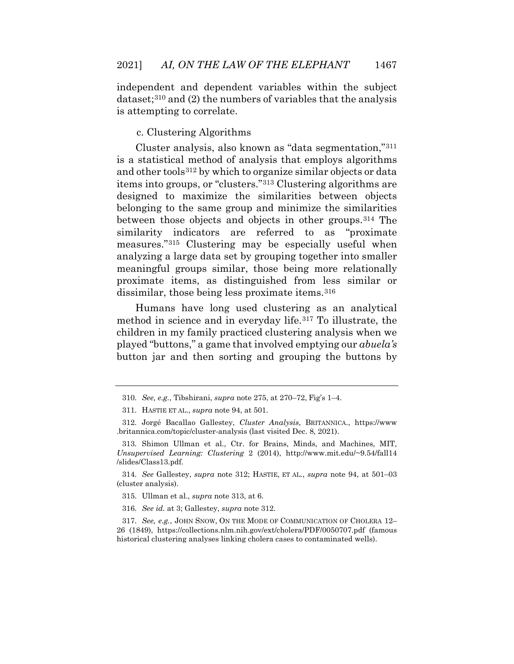independent and dependent variables within the subject dataset;[310](#page-81-3) and (2) the numbers of variables that the analysis is attempting to correlate.

c. [Clustering Algorithms](https://www.upgrad.com/blog/types-of-artificial-intelligence-algorithms/#3_Clustering_Algorithms)

Cluster analysis, also known as "data segmentation,"[311](#page-81-4) is a statistical method of analysis that employs algorithms and other tools[312](#page-81-5) by which to organize similar objects or data items into groups, or "clusters."[313](#page-81-6) Clustering algorithms are designed to maximize the similarities between objects belonging to the same group and minimize the similarities between those objects and objects in other groups.[314](#page-81-7) The similarity indicators are referred to as "proximate measures."[315](#page-81-8) Clustering may be especially useful when analyzing a large data set by grouping together into smaller meaningful groups similar, those being more relationally proximate items, as distinguished from less similar or dissimilar, those being less proximate items.[316](#page-81-9)

Humans have long used clustering as an analytical method in science and in everyday life.[317](#page-81-10) To illustrate, the children in my family practiced clustering analysis when we played "buttons," a game that involved emptying our *abuela's* button jar and then sorting and grouping the buttons by

<sup>310.</sup> *See, e.g.*, Tibshirani, *supra* note 275, at 270–72, Fig's 1–4.

<sup>311.</sup> HASTIE ET AL., *supra* note 94, at 501.

<span id="page-79-1"></span><span id="page-79-0"></span><sup>312.</sup> Jorgé Bacallao Gallestey, *Cluster Analysis*, BRITANNICA., https://www .britannica.com/topic/cluster-analysis (last visited Dec. 8, 2021).

<span id="page-79-2"></span><sup>313.</sup> Shimon Ullman et al., Ctr. for Brains, Minds, and Machines, MIT, *Unsupervised Learning: Clustering* 2 (2014), http://www.mit.edu/~9.54/fall14 /slides/Class13.pdf.

<span id="page-79-3"></span><sup>314.</sup> *See* Gallestey, *supra* note 312; HASTIE, ET AL*.*, *supra* note 94, at 501–03 (cluster analysis).

<sup>315.</sup> Ullman et al., *supra* note 313, at 6.

<sup>316.</sup> *See id.* at 3; Gallestey, *supra* note 312.

<span id="page-79-6"></span><span id="page-79-5"></span><span id="page-79-4"></span><sup>317.</sup> *See, e.g.*, JOHN SNOW, ON THE MODE OF COMMUNICATION OF CHOLERA 12– 26 (1849), https://collections.nlm.nih.gov/ext/cholera/PDF/0050707.pdf (famous historical clustering analyses linking cholera cases to contaminated wells).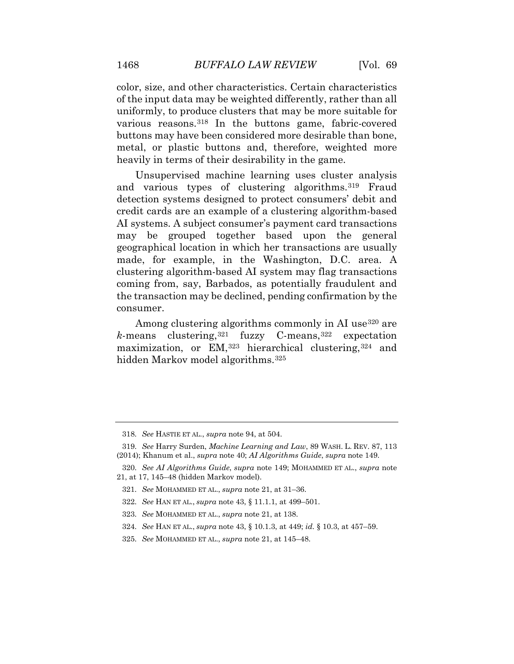color, size, and other characteristics. Certain characteristics of the input data may be weighted differently, rather than all uniformly, to produce clusters that may be more suitable for various reasons.[318](#page-81-11) In the buttons game, fabric-covered buttons may have been considered more desirable than bone, metal, or plastic buttons and, therefore, weighted more heavily in terms of their desirability in the game.

Unsupervised machine learning uses cluster analysis and various types of clustering algorithms.[319](#page-81-7) Fraud detection systems designed to protect consumers' debit and credit cards are an example of a clustering algorithm-based AI systems. A subject consumer's payment card transactions may be grouped together based upon the general geographical location in which her transactions are usually made, for example, in the Washington, D.C. area. A clustering algorithm-based AI system may flag transactions coming from, say, Barbados, as potentially fraudulent and the transaction may be declined, pending confirmation by the consumer.

Among clustering algorithms commonly in AI use<sup>[320](#page-81-12)</sup> are  $k$ -means clustering,  $321$  fuzzy C-means,  $322$  expectation maximization, or EM,<sup>[323](#page-81-15)</sup> hierarchical clustering,<sup>[324](#page-81-16)</sup> and hidden Markov model algorithms.[325](#page-81-17)

- 322. *See* HAN ET AL., *supra* note 43, § 11.1.1, at 499–501.
- <span id="page-80-5"></span>323. *See* MOHAMMED ET AL., *supra* note 21, at 138.
- 324. *See* HAN ET AL., *supra* note 43, § 10.1.3, at 449; *id.* § 10.3, at 457–59.

<sup>318.</sup> *See* HASTIE ET AL., *supra* note 94, at 504.

<span id="page-80-0"></span><sup>319.</sup> *See* Harry Surden, *Machine Learning and Law*, 89 WASH. L. REV. 87, 113 (2014); Khanum et al., *supra* note 40; *AI Algorithms Guide*, *supra* note 149.

<span id="page-80-4"></span><span id="page-80-3"></span><span id="page-80-2"></span><span id="page-80-1"></span><sup>320.</sup> *See AI Algorithms Guide*, *supra* note 149; MOHAMMED ET AL., *supra* note 21, at 17, 145–48 (hidden Markov model).

<sup>321.</sup> *See* MOHAMMED ET AL., *supra* note 21, at 31–36.

<sup>325.</sup> *See* MOHAMMED ET AL., *supra* note 21, at 145–48.